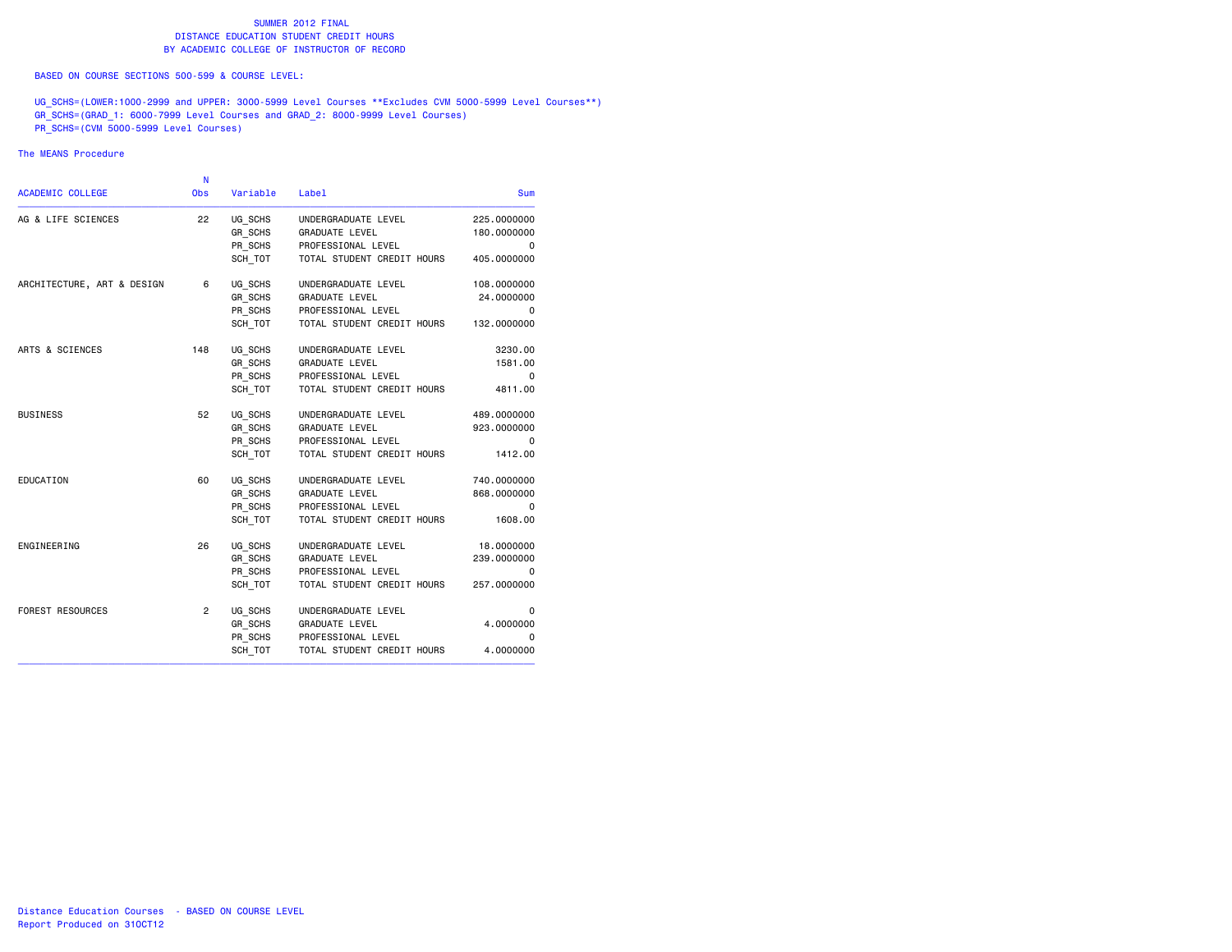#### SUMMER 2012 FINALDISTANCE EDUCATION STUDENT CREDIT HOURS BY ACADEMIC COLLEGE OF INSTRUCTOR OF RECORD

BASED ON COURSE SECTIONS 500-599 & COURSE LEVEL:

UG\_SCHS=(LOWER:1000-2999 and UPPER: 3000-5999 Level Courses \*\*Excludes CVM 5000-5999 Level Courses\*\*) GR\_SCHS=(GRAD\_1: 6000-7999 Level Courses and GRAD\_2: 8000-9999 Level Courses) PR\_SCHS=(CVM 5000-5999 Level Courses)

#### The MEANS Procedure

|                            | N              |                |                            |             |
|----------------------------|----------------|----------------|----------------------------|-------------|
| ACADEMIC COLLEGE           | <b>Obs</b>     | Variable       | Label                      | Sum         |
| AG & LIFE SCIENCES         | 22             | UG SCHS        | UNDERGRADUATE LEVEL        | 225,0000000 |
|                            |                | GR_SCHS        | <b>GRADUATE LEVEL</b>      | 180.0000000 |
|                            |                | PR_SCHS        | PROFESSIONAL LEVEL         | 0           |
|                            |                | SCH_TOT        | TOTAL STUDENT CREDIT HOURS | 405.0000000 |
| ARCHITECTURE, ART & DESIGN | 6              | UG_SCHS        | UNDERGRADUATE LEVEL        | 108.0000000 |
|                            |                | GR SCHS        | <b>GRADUATE LEVEL</b>      | 24.0000000  |
|                            |                | PR SCHS        | PROFESSIONAL LEVEL         | 0           |
|                            |                | SCH TOT        | TOTAL STUDENT CREDIT HOURS | 132.0000000 |
| ARTS & SCIENCES            | 148            | UG SCHS        | UNDERGRADUATE LEVEL        | 3230.00     |
|                            |                | GR SCHS        | <b>GRADUATE LEVEL</b>      | 1581.00     |
|                            |                | PR SCHS        | PROFESSIONAL LEVEL         | 0           |
|                            |                | SCH TOT        | TOTAL STUDENT CREDIT HOURS | 4811.00     |
| <b>BUSINESS</b>            | 52             | UG SCHS        | UNDERGRADUATE LEVEL        | 489.0000000 |
|                            |                | GR SCHS        | GRADUATE LEVEL             | 923.0000000 |
|                            |                | PR SCHS        | PROFESSIONAL LEVEL         | 0           |
|                            |                | SCH TOT        | TOTAL STUDENT CREDIT HOURS | 1412.00     |
| EDUCATION                  | 60             | UG SCHS        | UNDERGRADUATE LEVEL        | 740.0000000 |
|                            |                | GR SCHS        | <b>GRADUATE LEVEL</b>      | 868.0000000 |
|                            |                | PR SCHS        | PROFESSIONAL LEVEL         | 0           |
|                            |                | SCH TOT        | TOTAL STUDENT CREDIT HOURS | 1608.00     |
| ENGINEERING                | 26             | UG SCHS        | UNDERGRADUATE LEVEL        | 18.0000000  |
|                            |                | <b>GR SCHS</b> | <b>GRADUATE LEVEL</b>      | 239.0000000 |
|                            |                | PR SCHS        | PROFESSIONAL LEVEL         | 0           |
|                            |                | SCH TOT        | TOTAL STUDENT CREDIT HOURS | 257.0000000 |
| <b>FOREST RESOURCES</b>    | $\overline{2}$ | UG SCHS        | UNDERGRADUATE LEVEL        | 0           |
|                            |                | GR SCHS        | <b>GRADUATE LEVEL</b>      | 4,0000000   |
|                            |                | PR SCHS        | PROFESSIONAL LEVEL         | 0           |
|                            |                | SCH TOT        | TOTAL STUDENT CREDIT HOURS | 4.0000000   |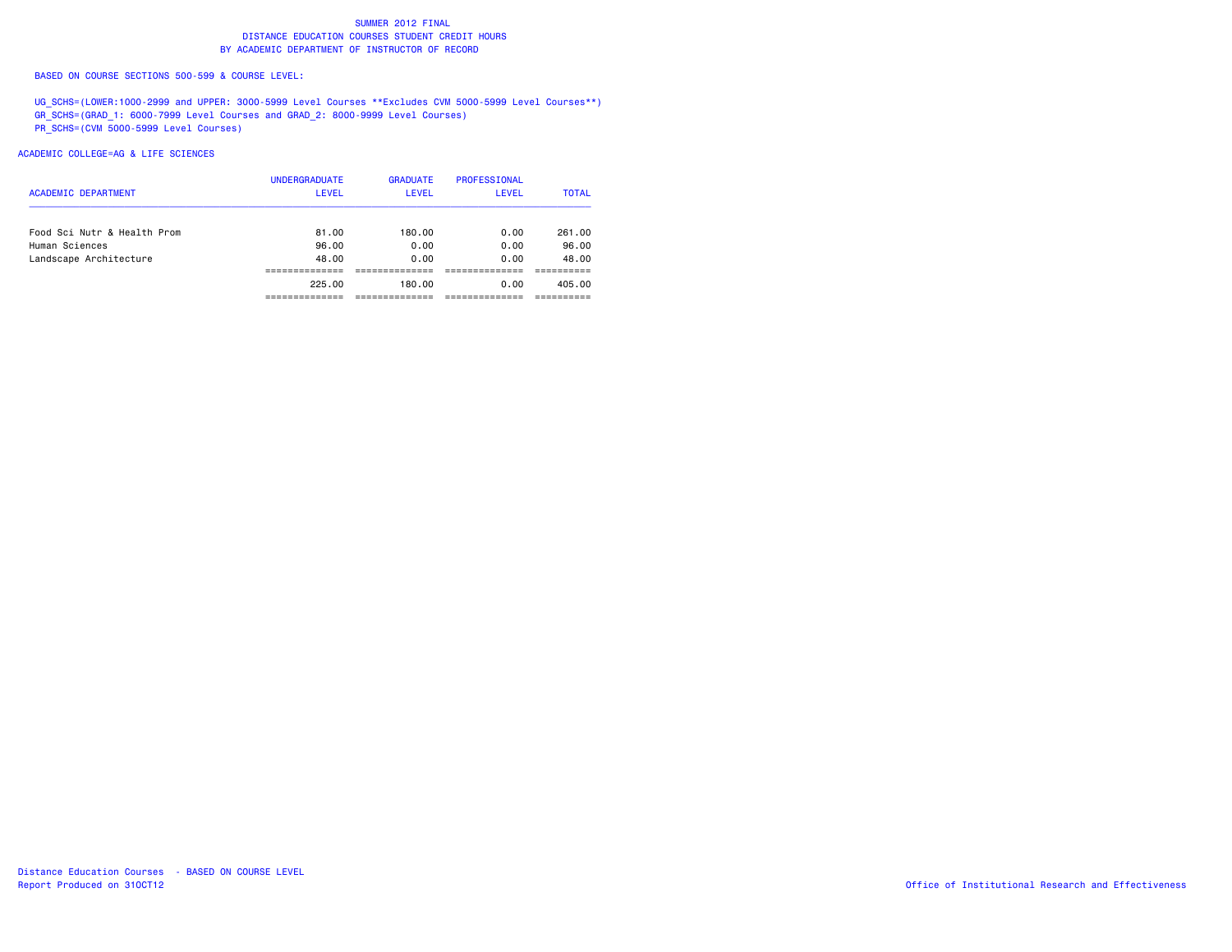BASED ON COURSE SECTIONS 500-599 & COURSE LEVEL:

UG\_SCHS=(LOWER:1000-2999 and UPPER: 3000-5999 Level Courses \*\*Excludes CVM 5000-5999 Level Courses\*\*) GR\_SCHS=(GRAD\_1: 6000-7999 Level Courses and GRAD\_2: 8000-9999 Level Courses) PR\_SCHS=(CVM 5000-5999 Level Courses)

#### ACADEMIC COLLEGE=AG & LIFE SCIENCES

| <b>ACADEMIC DEPARTMENT</b>  | <b>UNDERGRADUATE</b><br><b>LEVEL</b> | <b>GRADUATE</b><br><b>LEVEL</b> | PROFESSIONAL<br>LEVEL | <b>TOTAL</b> |
|-----------------------------|--------------------------------------|---------------------------------|-----------------------|--------------|
| Food Sci Nutr & Health Prom | 81.00                                | 180.00                          | 0.00                  | 261.00       |
| Human Sciences              | 96.00                                | 0.00                            | 0.00                  | 96.00        |
| Landscape Architecture      | 48.00                                | 0.00                            | 0.00                  | 48.00        |
|                             |                                      |                                 |                       |              |
|                             | 225.00                               | 180.00                          | 0.00                  | 405.00       |
|                             |                                      |                                 |                       |              |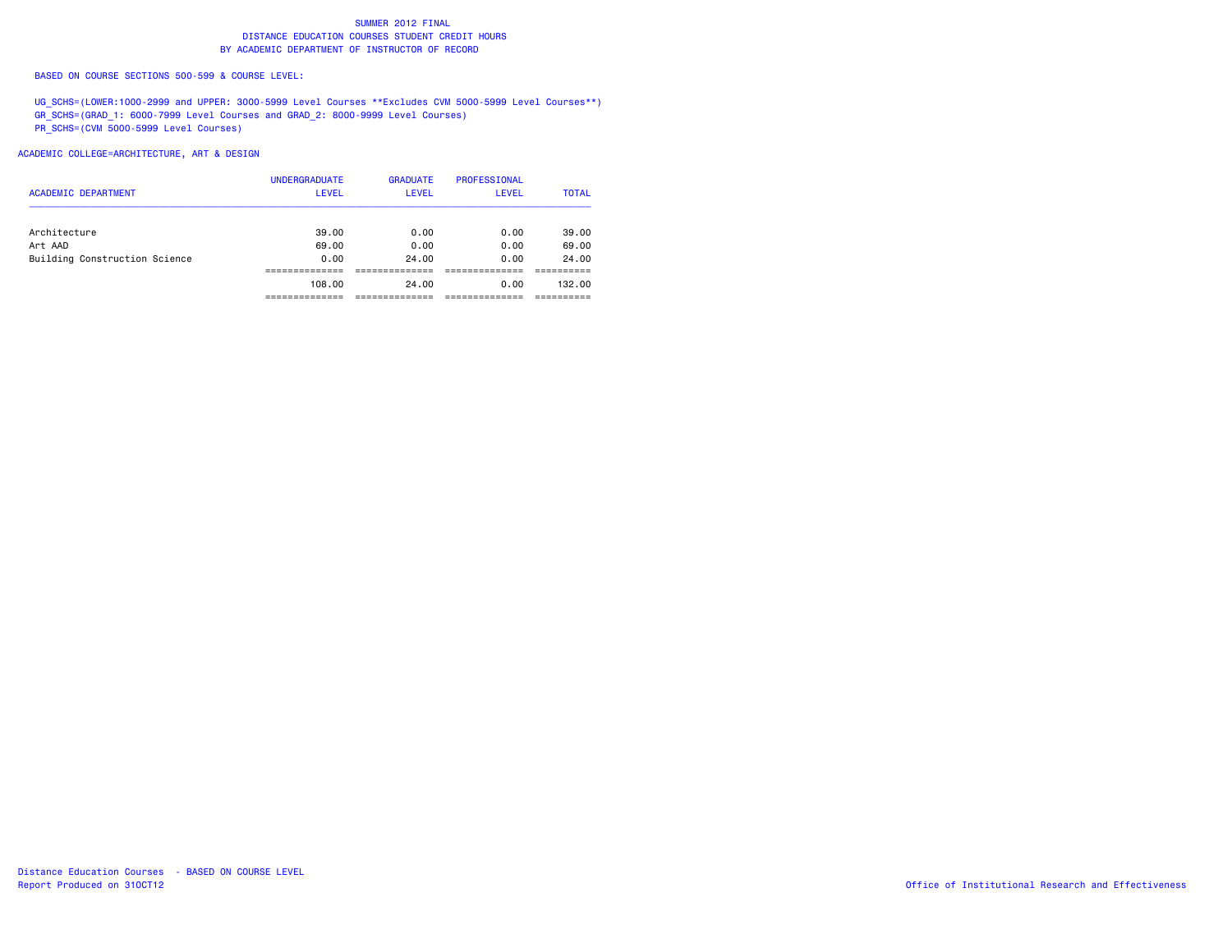BASED ON COURSE SECTIONS 500-599 & COURSE LEVEL:

UG\_SCHS=(LOWER:1000-2999 and UPPER: 3000-5999 Level Courses \*\*Excludes CVM 5000-5999 Level Courses\*\*) GR\_SCHS=(GRAD\_1: 6000-7999 Level Courses and GRAD\_2: 8000-9999 Level Courses) PR\_SCHS=(CVM 5000-5999 Level Courses)

ACADEMIC COLLEGE=ARCHITECTURE, ART & DESIGN

| <b>ACADEMIC DEPARTMENT</b>    | <b>UNDERGRADUATE</b><br><b>LEVEL</b> | <b>GRADUATE</b><br><b>LEVEL</b> | PROFESSIONAL<br><b>LEVEL</b> | <b>TOTAL</b> |
|-------------------------------|--------------------------------------|---------------------------------|------------------------------|--------------|
| Architecture                  | 39.00                                | 0.00                            | 0.00                         | 39.00        |
| Art AAD                       | 69.00                                | 0.00                            | 0.00                         | 69.00        |
| Building Construction Science | 0.00                                 | 24.00                           | 0.00                         | 24,00        |
|                               |                                      |                                 |                              |              |
|                               | 108,00                               | 24.00                           | 0.00                         | 132.00       |
|                               |                                      |                                 |                              |              |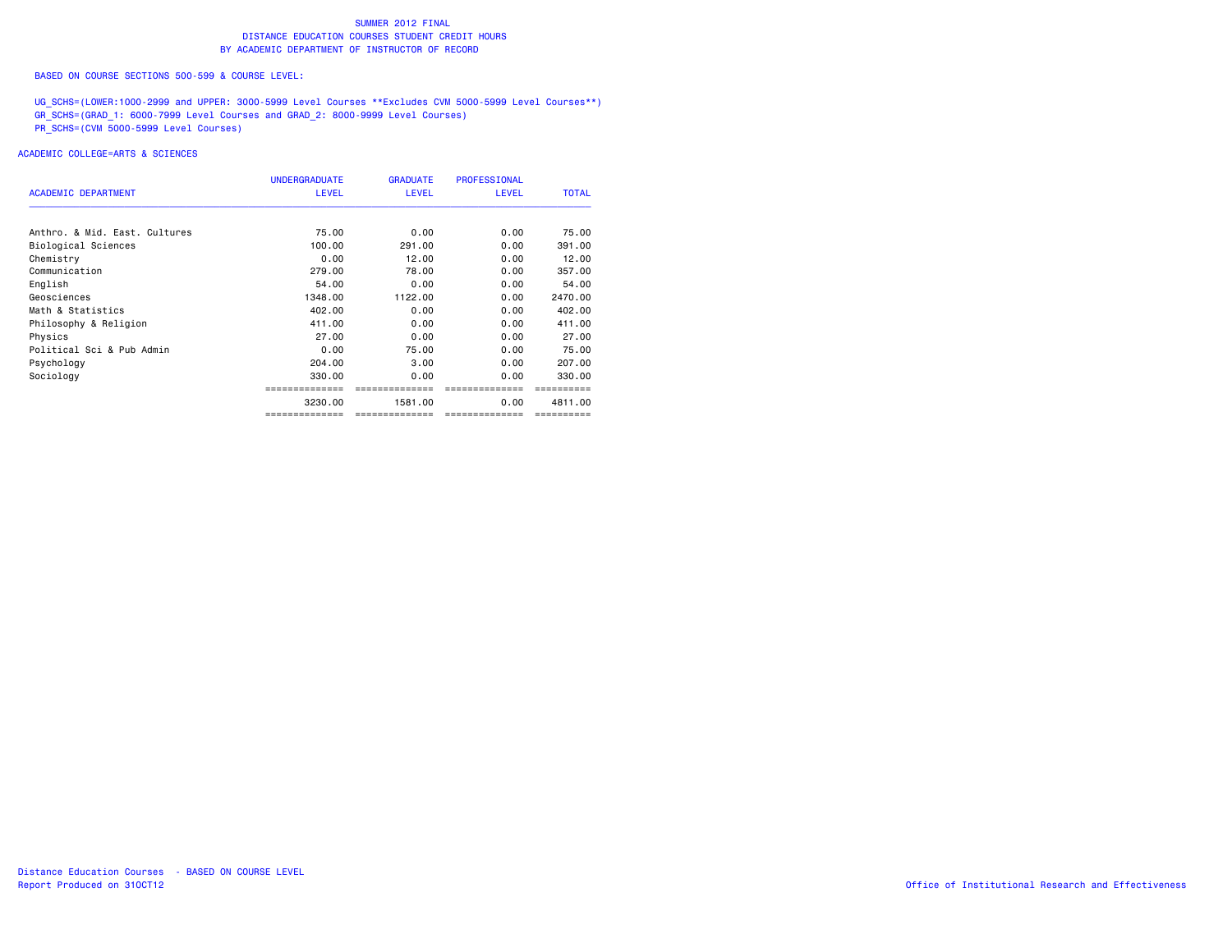BASED ON COURSE SECTIONS 500-599 & COURSE LEVEL:

UG\_SCHS=(LOWER:1000-2999 and UPPER: 3000-5999 Level Courses \*\*Excludes CVM 5000-5999 Level Courses\*\*) GR\_SCHS=(GRAD\_1: 6000-7999 Level Courses and GRAD\_2: 8000-9999 Level Courses) PR\_SCHS=(CVM 5000-5999 Level Courses)

| <b>ACADEMIC DEPARTMENT</b>    | <b>UNDERGRADUATE</b><br><b>LEVEL</b> | <b>GRADUATE</b><br><b>LEVEL</b> | <b>PROFESSIONAL</b><br><b>LEVEL</b> | <b>TOTAL</b> |
|-------------------------------|--------------------------------------|---------------------------------|-------------------------------------|--------------|
|                               |                                      |                                 |                                     |              |
| Anthro, & Mid. East, Cultures | 75.00                                | 0.00                            | 0.00                                | 75.00        |
| Biological Sciences           | 100.00                               | 291,00                          | 0.00                                | 391,00       |
| Chemistry                     | 0.00                                 | 12.00                           | 0.00                                | 12.00        |
| Communication                 | 279.00                               | 78.00                           | 0.00                                | 357,00       |
| English                       | 54.00                                | 0.00                            | 0.00                                | 54.00        |
| Geosciences                   | 1348.00                              | 1122.00                         | 0.00                                | 2470.00      |
| Math & Statistics             | 402,00                               | 0.00                            | 0.00                                | 402,00       |
| Philosophy & Religion         | 411.00                               | 0.00                            | 0.00                                | 411.00       |
| Physics                       | 27.00                                | 0.00                            | 0.00                                | 27.00        |
| Political Sci & Pub Admin     | 0.00                                 | 75.00                           | 0.00                                | 75.00        |
| Psychology                    | 204.00                               | 3.00                            | 0.00                                | 207,00       |
| Sociology                     | 330,00                               | 0.00                            | 0.00                                | 330,00       |
|                               |                                      |                                 |                                     |              |
|                               | 3230.00                              | 1581.00                         | 0.00                                | 4811.00      |
|                               | ==============                       | --------------                  | ==============                      | ==========   |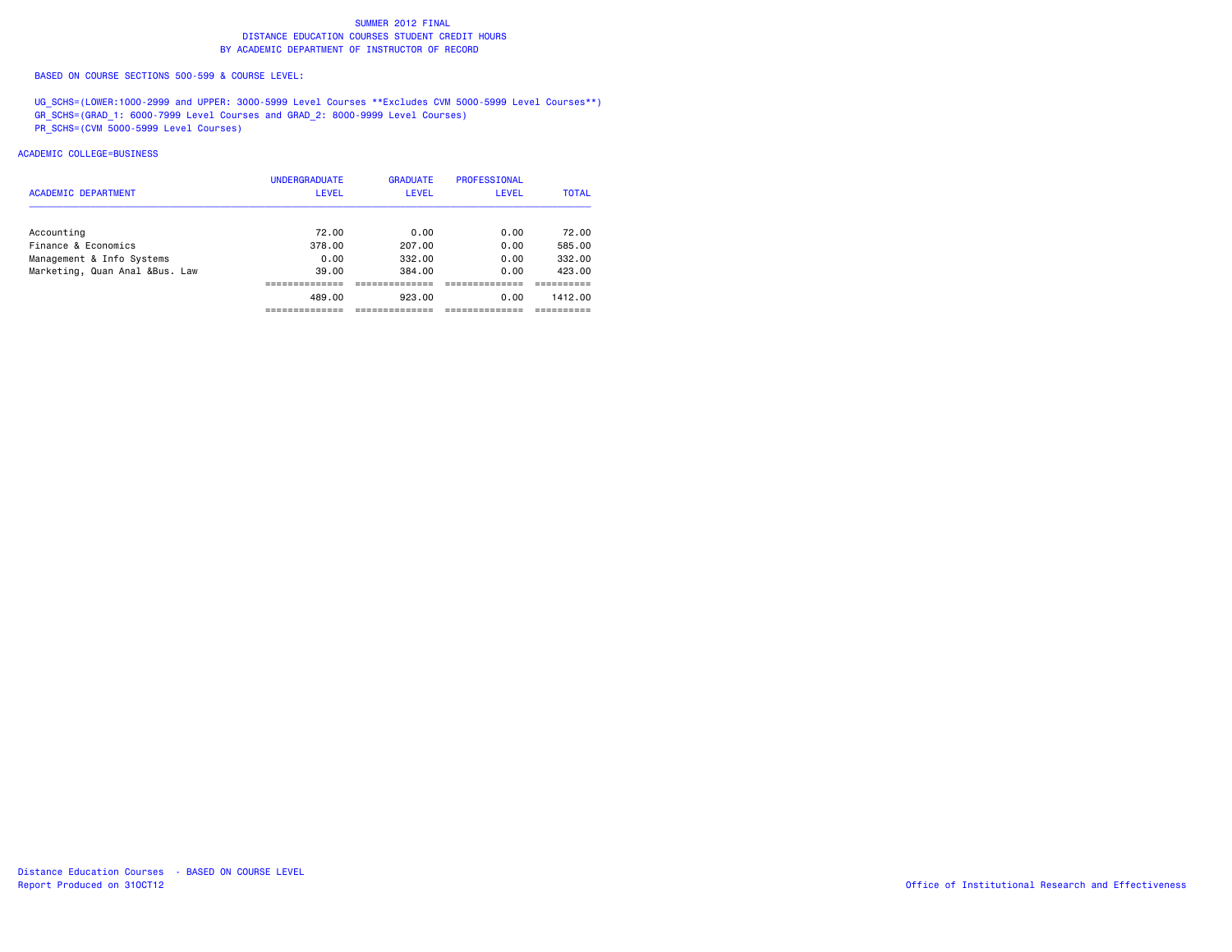BASED ON COURSE SECTIONS 500-599 & COURSE LEVEL:

UG\_SCHS=(LOWER:1000-2999 and UPPER: 3000-5999 Level Courses \*\*Excludes CVM 5000-5999 Level Courses\*\*) GR\_SCHS=(GRAD\_1: 6000-7999 Level Courses and GRAD\_2: 8000-9999 Level Courses) PR\_SCHS=(CVM 5000-5999 Level Courses)

| <b>ACADEMIC DEPARTMENT</b>     | <b>UNDERGRADUATE</b><br>LEVEL | <b>GRADUATE</b><br><b>LEVEL</b> | <b>PROFESSIONAL</b><br>LEVEL | <b>TOTAL</b> |
|--------------------------------|-------------------------------|---------------------------------|------------------------------|--------------|
|                                |                               |                                 |                              |              |
| Accounting                     | 72.00                         | 0.00                            | 0.00                         | 72.00        |
| Finance & Economics            | 378.00                        | 207.00                          | 0.00                         | 585.00       |
| Management & Info Systems      | 0.00                          | 332.00                          | 0.00                         | 332.00       |
| Marketing, Quan Anal &Bus. Law | 39.00                         | 384.00                          | 0.00                         | 423.00       |
|                                |                               |                                 |                              |              |
|                                | 489.00                        | 923.00                          | 0.00                         | 1412.00      |
|                                |                               |                                 |                              |              |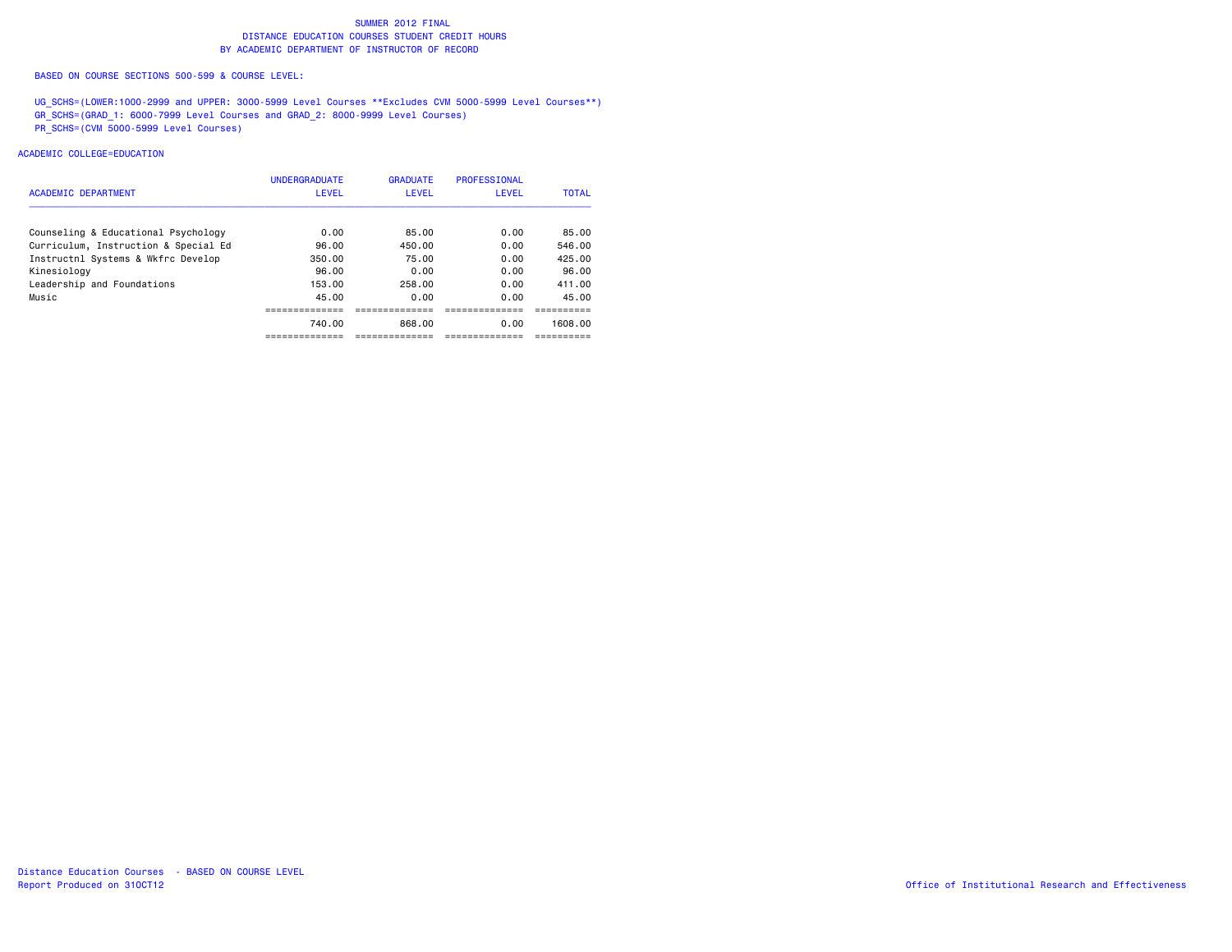BASED ON COURSE SECTIONS 500-599 & COURSE LEVEL:

UG\_SCHS=(LOWER:1000-2999 and UPPER: 3000-5999 Level Courses \*\*Excludes CVM 5000-5999 Level Courses\*\*) GR\_SCHS=(GRAD\_1: 6000-7999 Level Courses and GRAD\_2: 8000-9999 Level Courses) PR\_SCHS=(CVM 5000-5999 Level Courses)

| <b>ACADEMIC DEPARTMENT</b>           | <b>UNDERGRADUATE</b><br>LEVEL | <b>GRADUATE</b><br>LEVEL | <b>PROFESSIONAL</b><br><b>LEVEL</b> | <b>TOTAL</b> |
|--------------------------------------|-------------------------------|--------------------------|-------------------------------------|--------------|
| Counseling & Educational Psychology  | 0.00                          | 85.00                    | 0.00                                | 85.00        |
| Curriculum, Instruction & Special Ed | 96.00                         | 450.00                   | 0.00                                | 546.00       |
| Instructnl Systems & Wkfrc Develop   | 350.00                        | 75.00                    | 0.00                                | 425.00       |
| Kinesiology                          | 96.00                         | 0.00                     | 0.00                                | 96.00        |
| Leadership and Foundations           | 153.00                        | 258.00                   | 0.00                                | 411.00       |
| Music                                | 45.00                         | 0.00                     | 0.00                                | 45.00        |
|                                      |                               |                          |                                     |              |
|                                      | 740.00                        | 868.00                   | 0.00                                | 1608.00      |
|                                      |                               |                          |                                     |              |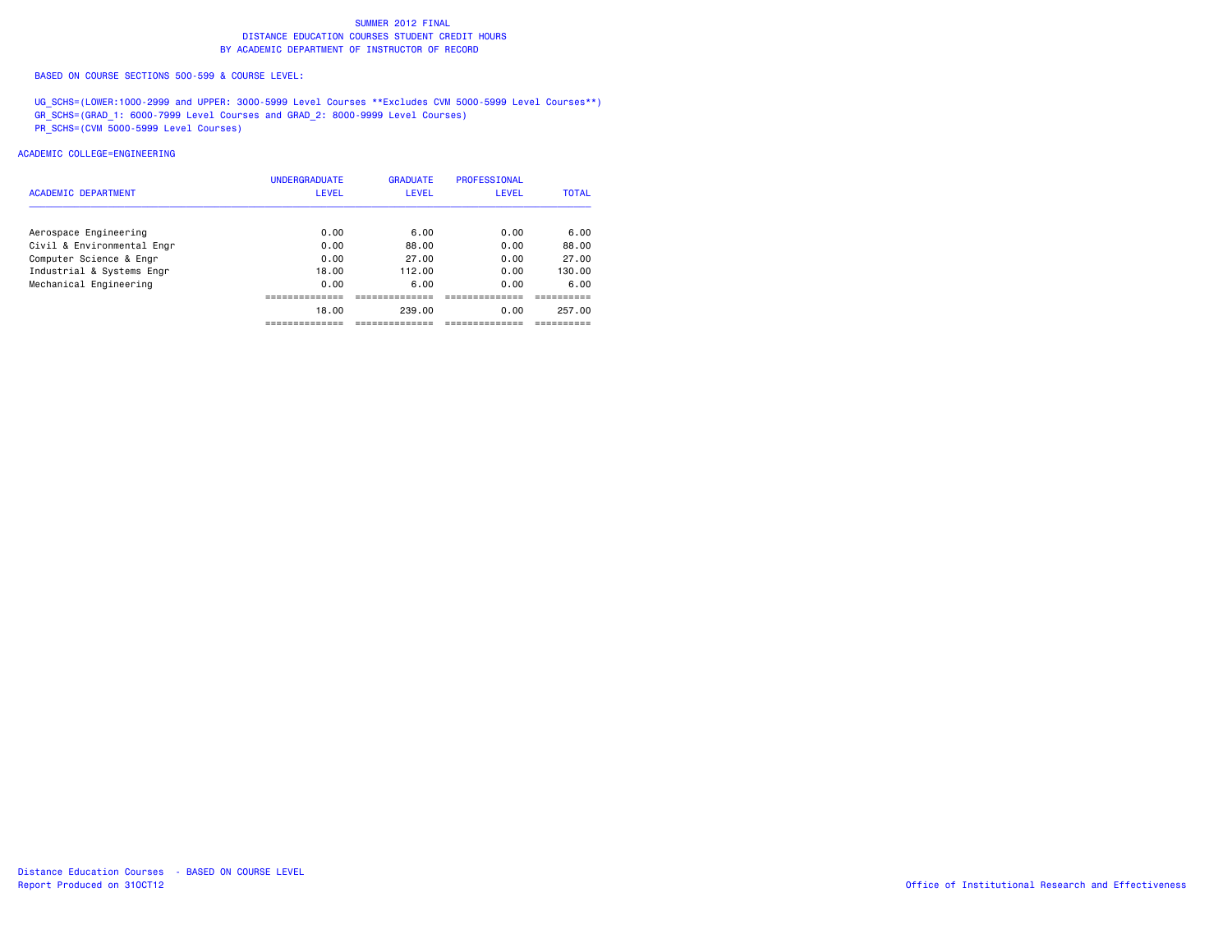BASED ON COURSE SECTIONS 500-599 & COURSE LEVEL:

UG\_SCHS=(LOWER:1000-2999 and UPPER: 3000-5999 Level Courses \*\*Excludes CVM 5000-5999 Level Courses\*\*) GR\_SCHS=(GRAD\_1: 6000-7999 Level Courses and GRAD\_2: 8000-9999 Level Courses) PR\_SCHS=(CVM 5000-5999 Level Courses)

| <b>ACADEMIC DEPARTMENT</b> | <b>UNDERGRADUATE</b><br>LEVEL | <b>GRADUATE</b><br>LEVEL | <b>PROFESSIONAL</b><br><b>LEVEL</b> | <b>TOTAL</b> |
|----------------------------|-------------------------------|--------------------------|-------------------------------------|--------------|
| Aerospace Engineering      | 0.00                          | 6.00                     | 0.00                                | 6.00         |
| Civil & Environmental Engr | 0.00                          | 88.00                    | 0.00                                | 88.00        |
| Computer Science & Engr    | 0.00                          | 27.00                    | 0.00                                | 27.00        |
| Industrial & Systems Engr  | 18.00                         | 112.00                   | 0.00                                | 130.00       |
| Mechanical Engineering     | 0.00                          | 6.00                     | 0.00                                | 6.00         |
|                            |                               |                          |                                     |              |
|                            | 18.00                         | 239.00                   | 0.00                                | 257.00       |
|                            |                               |                          |                                     |              |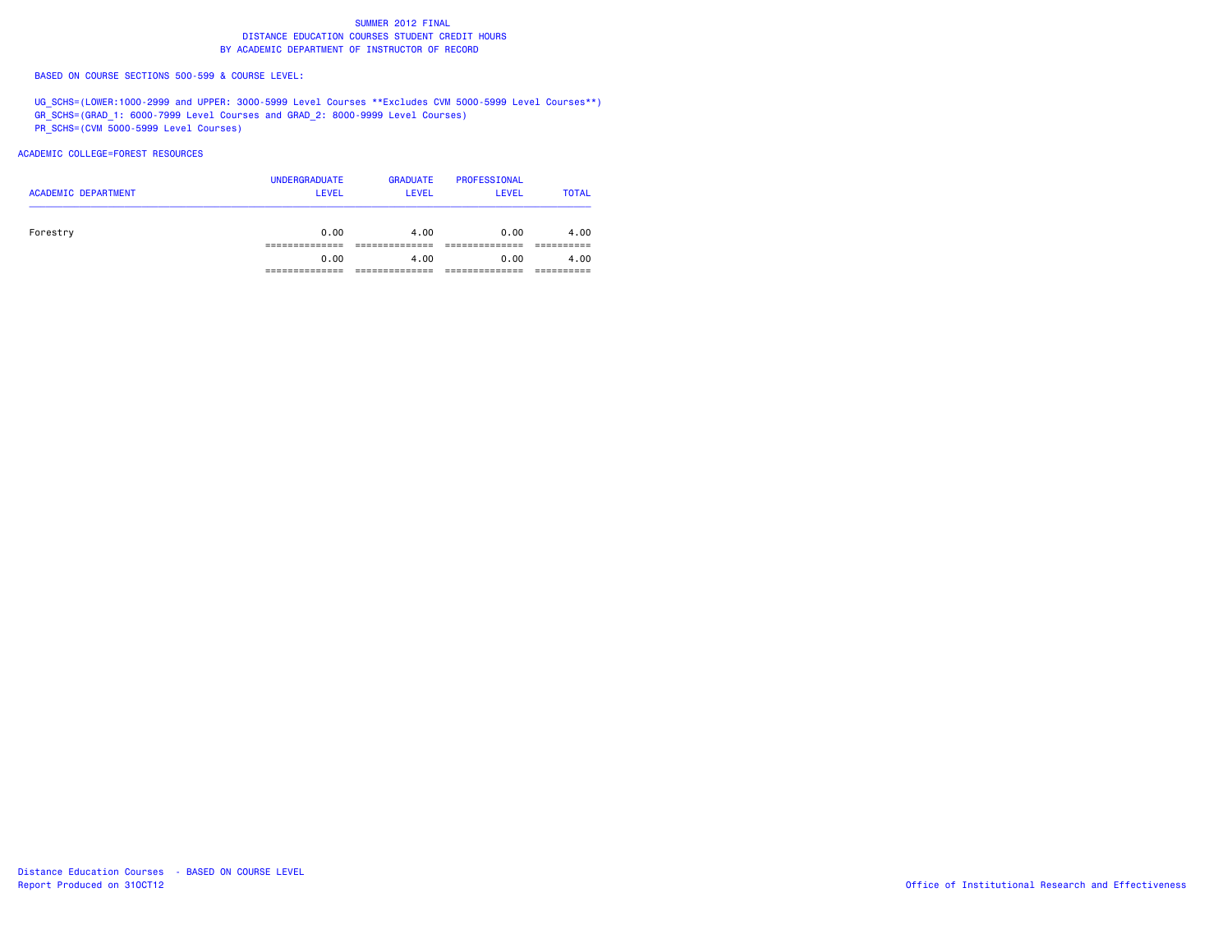BASED ON COURSE SECTIONS 500-599 & COURSE LEVEL:

UG\_SCHS=(LOWER:1000-2999 and UPPER: 3000-5999 Level Courses \*\*Excludes CVM 5000-5999 Level Courses\*\*) GR\_SCHS=(GRAD\_1: 6000-7999 Level Courses and GRAD\_2: 8000-9999 Level Courses) PR\_SCHS=(CVM 5000-5999 Level Courses)

ACADEMIC COLLEGE=FOREST RESOURCES

| <b>ACADEMIC DEPARTMENT</b> | <b>UNDERGRADUATE</b><br><b>LEVEL</b> | <b>GRADUATE</b><br>LEVEL | PROFESSIONAL<br><b>LEVEL</b> | <b>TOTAL</b> |
|----------------------------|--------------------------------------|--------------------------|------------------------------|--------------|
| Forestry                   | 0.00                                 | 4.00                     | 0.00                         | 4.00         |
|                            | 0.00                                 | 4.00                     | 0.00                         | 4.00         |
|                            |                                      |                          |                              |              |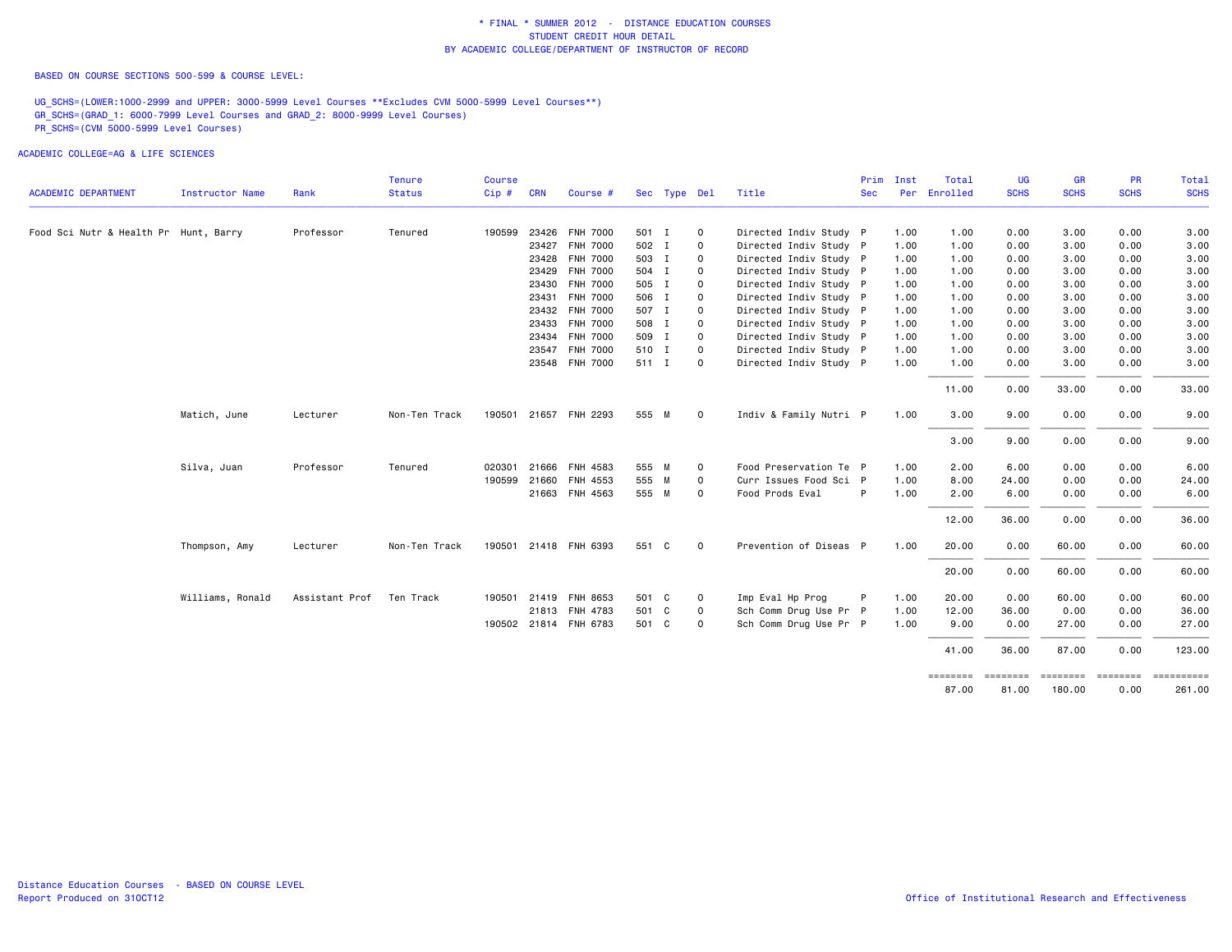BASED ON COURSE SECTIONS 500-599 & COURSE LEVEL:

UG\_SCHS=(LOWER:1000-2999 and UPPER: 3000-5999 Level Courses \*\*Excludes CVM 5000-5999 Level Courses\*\*) GR\_SCHS=(GRAD\_1: 6000-7999 Level Courses and GRAD\_2: 8000-9999 Level Courses) PR\_SCHS=(CVM 5000-5999 Level Courses)

ACADEMIC COLLEGE=AG & LIFE SCIENCES

|                                       |                        |                | <b>Tenure</b> | <b>Course</b> |            |                       |       |              |              |                        | Prim       | Inst | Total    | UG          | <b>GR</b>   | PR          | Total       |
|---------------------------------------|------------------------|----------------|---------------|---------------|------------|-----------------------|-------|--------------|--------------|------------------------|------------|------|----------|-------------|-------------|-------------|-------------|
| <b>ACADEMIC DEPARTMENT</b>            | <b>Instructor Name</b> | Rank           | <b>Status</b> | Cip#          | <b>CRN</b> | Course #              |       | Sec Type Del |              | Title                  | <b>Sec</b> | Per  | Enrolled | <b>SCHS</b> | <b>SCHS</b> | <b>SCHS</b> | <b>SCHS</b> |
| Food Sci Nutr & Health Pr Hunt, Barry |                        | Professor      | Tenured       | 190599        |            | 23426 FNH 7000        | 501 I |              | $\mathbf 0$  | Directed Indiv Study P |            | 1.00 | 1.00     | 0.00        | 3.00        | 0.00        | 3.00        |
|                                       |                        |                |               |               |            | 23427 FNH 7000        | 502 I |              | 0            | Directed Indiv Study P |            | 1.00 | 1.00     | 0.00        | 3.00        | 0.00        | 3.00        |
|                                       |                        |                |               |               |            | 23428 FNH 7000        | 503 I |              | 0            | Directed Indiv Study P |            | 1.00 | 1.00     | 0.00        | 3.00        | 0.00        | 3.00        |
|                                       |                        |                |               |               |            | 23429 FNH 7000        | 504 I |              | $\mathbf 0$  | Directed Indiv Study P |            | 1.00 | 1.00     | 0.00        | 3.00        | 0.00        | 3.00        |
|                                       |                        |                |               |               |            | 23430 FNH 7000        | 505 I |              | $\mathbf 0$  | Directed Indiv Study P |            | 1.00 | 1.00     | 0.00        | 3.00        | 0.00        | 3.00        |
|                                       |                        |                |               |               | 23431      | <b>FNH 7000</b>       | 506 I |              | 0            | Directed Indiv Study P |            | 1.00 | 1.00     | 0.00        | 3.00        | 0.00        | 3.00        |
|                                       |                        |                |               |               |            | 23432 FNH 7000        | 507 I |              | 0            | Directed Indiv Study P |            | 1.00 | 1.00     | 0.00        | 3.00        | 0.00        | 3.00        |
|                                       |                        |                |               |               |            | 23433 FNH 7000        | 508 I |              | $\circ$      | Directed Indiv Study P |            | 1.00 | 1.00     | 0.00        | 3.00        | 0.00        | 3.00        |
|                                       |                        |                |               |               |            | 23434 FNH 7000        | 509 I |              | $\circ$      | Directed Indiv Study P |            | 1.00 | 1.00     | 0.00        | 3.00        | 0.00        | 3.00        |
|                                       |                        |                |               |               |            | 23547 FNH 7000        | 510 I |              | 0            | Directed Indiv Study P |            | 1.00 | 1.00     | 0.00        | 3.00        | 0.00        | 3.00        |
|                                       |                        |                |               |               |            | 23548 FNH 7000        | 511 I |              | 0            | Directed Indiv Study P |            | 1.00 | 1.00     | 0.00        | 3.00        | 0.00        | 3.00        |
|                                       |                        |                |               |               |            |                       |       |              |              |                        |            |      | 11.00    | 0.00        | 33.00       | 0.00        | 33.00       |
|                                       | Matich, June           | Lecturer       | Non-Ten Track |               |            | 190501 21657 FNH 2293 | 555 M |              | $\mathbf 0$  | Indiv & Family Nutri P |            | 1.00 | 3.00     | 9.00        | 0.00        | 0.00        | 9.00        |
|                                       |                        |                |               |               |            |                       |       |              |              |                        |            |      | 3.00     | 9.00        | 0.00        | 0.00        | 9.00        |
|                                       | Silva, Juan            | Professor      | Tenured       | 020301        |            | 21666 FNH 4583        | 555 M |              | $\circ$      | Food Preservation Te P |            | 1.00 | 2.00     | 6.00        | 0.00        | 0.00        | 6.00        |
|                                       |                        |                |               | 190599        |            | 21660 FNH 4553        | 555 M |              | 0            | Curr Issues Food Sci P |            | 1.00 | 8.00     | 24.00       | 0.00        | 0.00        | 24.00       |
|                                       |                        |                |               |               |            | 21663 FNH 4563        | 555 M |              | 0            | Food Prods Eval        | P          | 1.00 | 2.00     | 6.00        | 0.00        | 0.00        | 6.00        |
|                                       |                        |                |               |               |            |                       |       |              |              |                        |            |      | 12.00    | 36.00       | 0.00        | 0.00        | 36.00       |
|                                       | Thompson, Amy          | Lecturer       | Non-Ten Track |               |            | 190501 21418 FNH 6393 | 551 C |              | $\mathbf 0$  | Prevention of Diseas P |            | 1.00 | 20.00    | 0.00        | 60.00       | 0.00        | 60.00       |
|                                       |                        |                |               |               |            |                       |       |              |              |                        |            |      | 20.00    | 0.00        | 60.00       | 0.00        | 60.00       |
|                                       | Williams, Ronald       | Assistant Prof | Ten Track     | 190501        |            | 21419 FNH 8653        | 501 C |              | 0            | Imp Eval Hp Prog       | P          | 1.00 | 20.00    | 0.00        | 60.00       | 0.00        | 60.00       |
|                                       |                        |                |               |               |            | 21813 FNH 4783        | 501 C |              | $\mathsf{o}$ | Sch Comm Drug Use Pr P |            | 1.00 | 12.00    | 36.00       | 0.00        | 0.00        | 36.00       |
|                                       |                        |                |               |               |            | 190502 21814 FNH 6783 | 501 C |              | 0            | Sch Comm Drug Use Pr P |            | 1.00 | 9.00     | 0.00        | 27.00       | 0.00        | 27.00       |
|                                       |                        |                |               |               |            |                       |       |              |              |                        |            |      | 41.00    | 36.00       | 87.00       | 0.00        | 123.00      |
|                                       |                        |                |               |               |            |                       |       |              |              |                        |            |      | ======== |             | ======      | ========    | =======     |
|                                       |                        |                |               |               |            |                       |       |              |              |                        |            |      | 87.00    | 81.00       | 180.00      | 0.00        | 261.00      |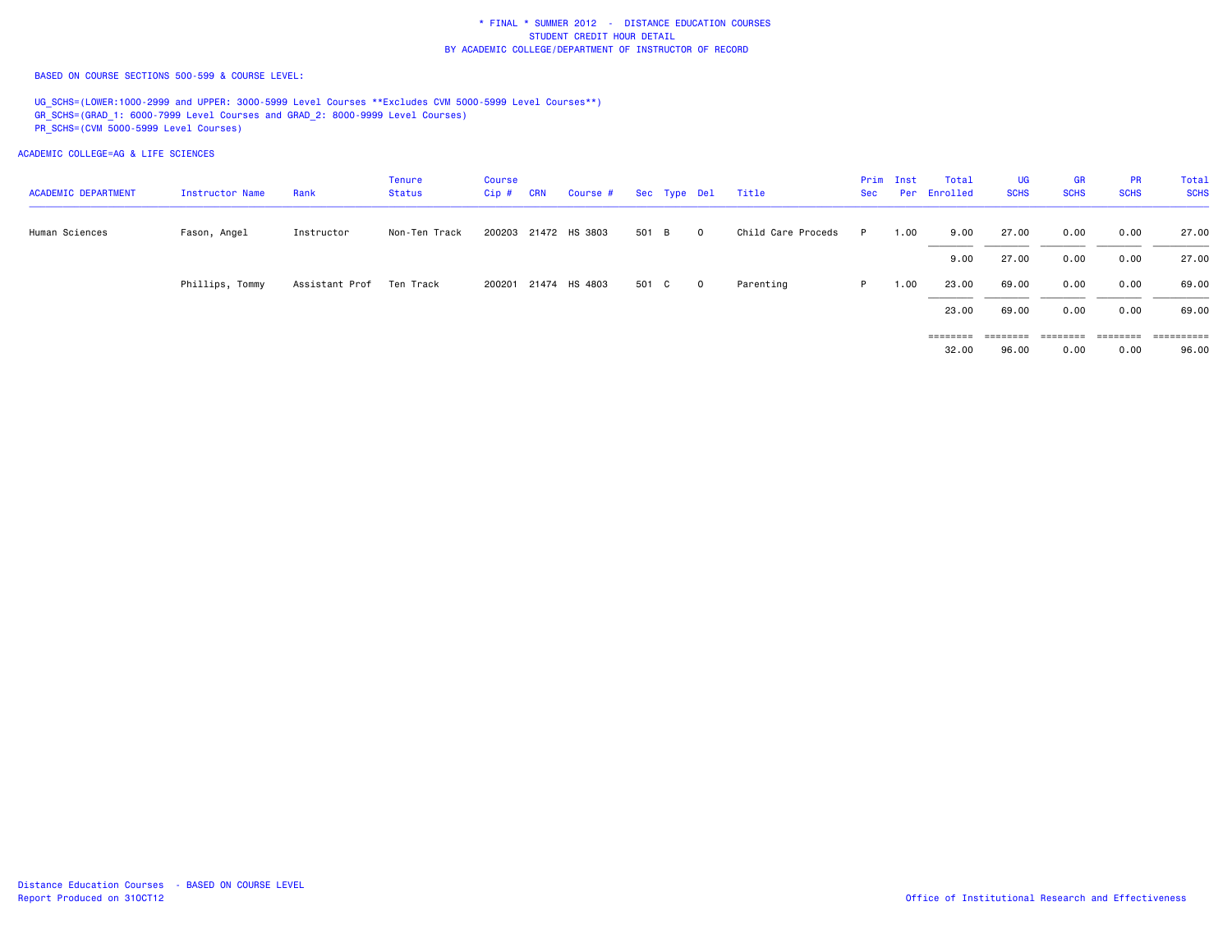BASED ON COURSE SECTIONS 500-599 & COURSE LEVEL:

UG\_SCHS=(LOWER:1000-2999 and UPPER: 3000-5999 Level Courses \*\*Excludes CVM 5000-5999 Level Courses\*\*) GR\_SCHS=(GRAD\_1: 6000-7999 Level Courses and GRAD\_2: 8000-9999 Level Courses) PR\_SCHS=(CVM 5000-5999 Level Courses)

ACADEMIC COLLEGE=AG & LIFE SCIENCES

| <b>ACADEMIC DEPARTMENT</b> | Instructor Name | Rank                       | <b>Tenure</b><br>Status | <b>Course</b><br>Cip # | <b>CRN</b> | Course # Sec Type Del |       |                | Title              | Sec | Prim Inst | Total<br>Per Enrolled | <b>UG</b><br><b>SCHS</b>   | <b>GR</b><br><b>SCHS</b> | <b>PR</b><br><b>SCHS</b> | Total<br><b>SCHS</b> |
|----------------------------|-----------------|----------------------------|-------------------------|------------------------|------------|-----------------------|-------|----------------|--------------------|-----|-----------|-----------------------|----------------------------|--------------------------|--------------------------|----------------------|
| Human Sciences             | Fason, Angel    | Instructor                 | Non-Ten Track           |                        |            | 200203 21472 HS 3803  | 501 B | $\overline{0}$ | Child Care Proceds | P.  | 1.00      | 9.00                  | 27.00                      | 0.00                     | 0.00                     | 27.00                |
|                            |                 |                            |                         |                        |            |                       |       |                |                    |     |           | 9.00                  | 27.00                      | 0.00                     | 0.00                     | 27.00                |
|                            | Phillips, Tommy | Assistant Prof – Ten Track |                         |                        |            | 200201 21474 HS 4803  | 501 C | $\overline{0}$ | Parenting          | P.  | 1.00      | 23.00                 | 69.00                      | 0.00                     | 0.00                     | 69.00                |
|                            |                 |                            |                         |                        |            |                       |       |                |                    |     |           | 23.00                 | 69.00                      | 0.00                     | 0.00                     | 69.00                |
|                            |                 |                            |                         |                        |            |                       |       |                |                    |     |           | ========<br>32.00     | $=$ = = = = = = =<br>96.00 | ========<br>0.00         | ========<br>0.00         | -----------<br>96.00 |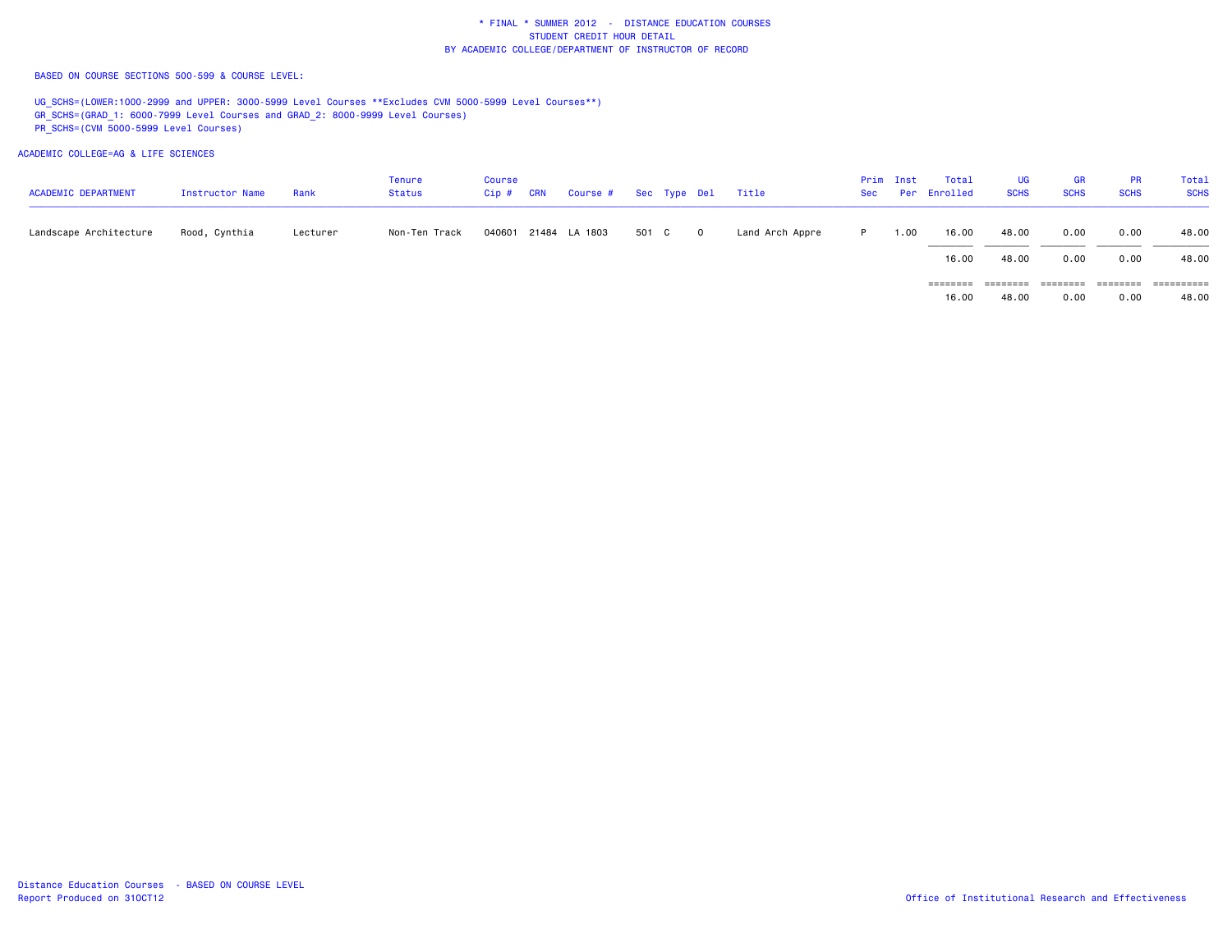BASED ON COURSE SECTIONS 500-599 & COURSE LEVEL:

UG SCHS=(LOWER:1000-2999 and UPPER: 3000-5999 Level Courses \*\*Excludes CVM 5000-5999 Level Courses\*\*) GR\_SCHS=(GRAD\_1: 6000-7999 Level Courses and GRAD\_2: 8000-9999 Level Courses) PR\_SCHS=(CVM 5000-5999 Level Courses)

ACADEMIC COLLEGE=AG & LIFE SCIENCES

| <b>ACADEMIC DEPARTMENT</b> | Instructor Name | Rank     | Tenure<br>Status | Course<br>$Cip$ # | <b>CRN</b> | Course # Sec Type Del |       |            | Title           | Sec | Prim Inst | Total<br>Per Enrolled | <b>UG</b><br><b>SCHS</b> | <b>GR</b><br><b>SCHS</b> | <b>PR</b><br><b>SCHS</b> | Total<br><b>SCHS</b> |
|----------------------------|-----------------|----------|------------------|-------------------|------------|-----------------------|-------|------------|-----------------|-----|-----------|-----------------------|--------------------------|--------------------------|--------------------------|----------------------|
| Landscape Architecture     | Rood, Cynthia   | Lecturer | Non-Ten Track    |                   |            | 040601 21484 LA 1803  | 501 C | $^{\circ}$ | Land Arch Appre | P.  | 1.00      | 16.00                 | 48.00                    | 0.00                     | 0.00                     | 48.00                |
|                            |                 |          |                  |                   |            |                       |       |            |                 |     |           | 16.00                 | 48.00                    | 0.00                     | 0.00                     | 48.00                |
|                            |                 |          |                  |                   |            |                       |       |            |                 |     |           | $=$ = = = = = = =     | ========                 | ========                 | ========                 | ==========           |
|                            |                 |          |                  |                   |            |                       |       |            |                 |     |           | 16.00                 | 48.00                    | 0.00                     | 0.00                     | 48.00                |

Distance Education Courses - BASED ON COURSE LEVELReport Produced on 310CT12 **Canadiates** of Institutional Research and Effectiveness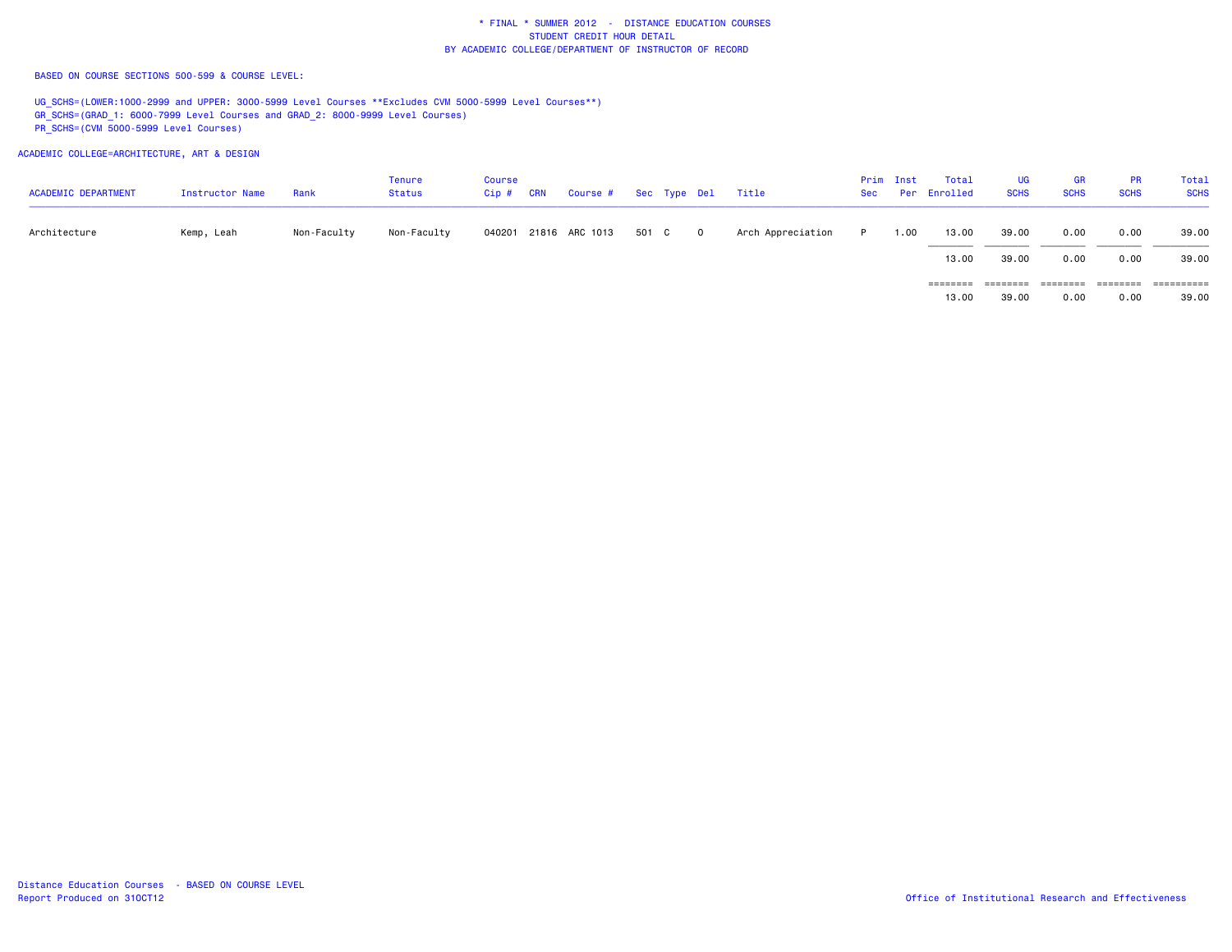BASED ON COURSE SECTIONS 500-599 & COURSE LEVEL:

UG SCHS=(LOWER:1000-2999 and UPPER: 3000-5999 Level Courses \*\*Excludes CVM 5000-5999 Level Courses\*\*) GR\_SCHS=(GRAD\_1: 6000-7999 Level Courses and GRAD\_2: 8000-9999 Level Courses) PR\_SCHS=(CVM 5000-5999 Level Courses)

ACADEMIC COLLEGE=ARCHITECTURE, ART & DESIGN

| <b>ACADEMIC DEPARTMENT</b> | Instructor Name | Rank        | Tenure<br>Status | Course<br>Cip # | <b>CRN</b> | Course # Sec Type Del |       |            | Title             | Sec | Prim Inst | Total<br>Per Enrolled | <b>UG</b><br><b>SCHS</b> | <b>GR</b><br><b>SCHS</b> | <b>PR</b><br><b>SCHS</b> | Total<br><b>SCHS</b> |
|----------------------------|-----------------|-------------|------------------|-----------------|------------|-----------------------|-------|------------|-------------------|-----|-----------|-----------------------|--------------------------|--------------------------|--------------------------|----------------------|
| Architecture               | Kemp, Leah      | Non-Faculty | Non-Faculty      |                 |            | 040201 21816 ARC 1013 | 501 C | $^{\circ}$ | Arch Appreciation |     | 1.00      | 13.00                 | 39.00                    | 0.00                     | 0.00                     | 39.00                |
|                            |                 |             |                  |                 |            |                       |       |            |                   |     |           | 13.00                 | 39.00                    | 0.00                     | 0.00                     | 39.00                |
|                            |                 |             |                  |                 |            |                       |       |            |                   |     |           | $=$ = = = = = = =     | ========                 | ========                 | ========                 | ==========           |
|                            |                 |             |                  |                 |            |                       |       |            |                   |     |           | 13,00                 | 39.00                    | 0.00                     | 0.00                     | 39.00                |

Distance Education Courses - BASED ON COURSE LEVELReport Produced on 310CT12 **Canadiates** of Institutional Research and Effectiveness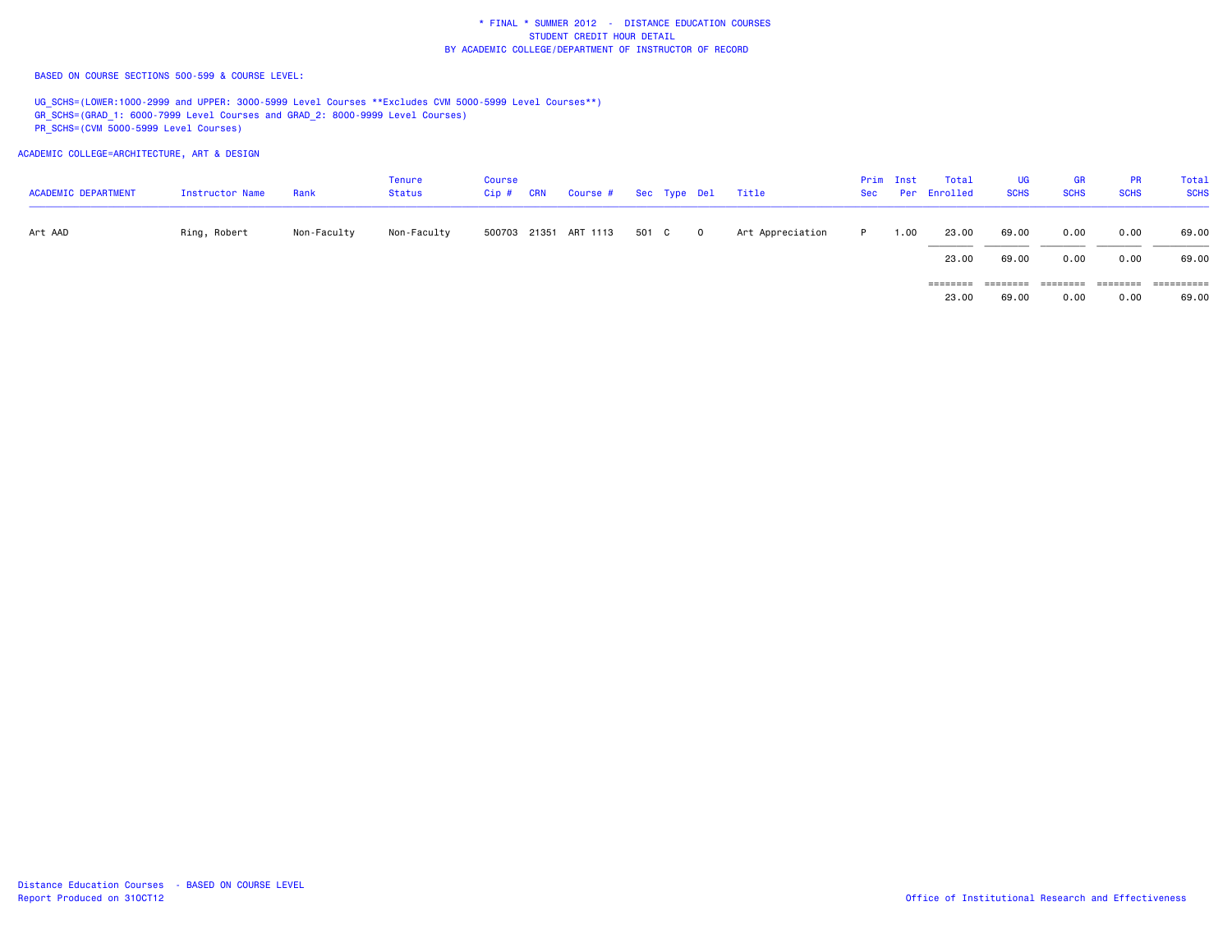BASED ON COURSE SECTIONS 500-599 & COURSE LEVEL:

UG\_SCHS=(LOWER:1000-2999 and UPPER: 3000-5999 Level Courses \*\*Excludes CVM 5000-5999 Level Courses\*\*) GR\_SCHS=(GRAD\_1: 6000-7999 Level Courses and GRAD\_2: 8000-9999 Level Courses) PR\_SCHS=(CVM 5000-5999 Level Courses)

ACADEMIC COLLEGE=ARCHITECTURE, ART & DESIGN

| <b>ACADEMIC DEPARTMENT</b> | Instructor Name | Rank        | Tenure<br>Status | Course<br>Cip # | <b>CRN</b> | Course # Sec Type Del Title |       |                         |                  | Sec | Prim Inst | Total<br>Per Enrolled | <b>UG</b><br><b>SCHS</b> | GR<br><b>SCHS</b> | PR<br><b>SCHS</b> | Total<br><b>SCHS</b> |
|----------------------------|-----------------|-------------|------------------|-----------------|------------|-----------------------------|-------|-------------------------|------------------|-----|-----------|-----------------------|--------------------------|-------------------|-------------------|----------------------|
| Art AAD                    | Ring, Robert    | Non-Faculty | Non-Faculty      |                 |            | 500703 21351 ART 1113       | 501 C | $\overline{\mathbf{0}}$ | Art Appreciation | P.  | 1.00      | 23.00                 | 69.00                    | 0.00              | 0.00              | 69.00                |
|                            |                 |             |                  |                 |            |                             |       |                         |                  |     |           | 23.00                 | 69.00                    | 0.00              | 0.00              | 69.00                |
|                            |                 |             |                  |                 |            |                             |       |                         |                  |     |           | ========              | ========                 | ========          | ========          | ==========           |
|                            |                 |             |                  |                 |            |                             |       |                         |                  |     |           | 23.00                 | 69.00                    | 0.00              | 0.00              | 69.00                |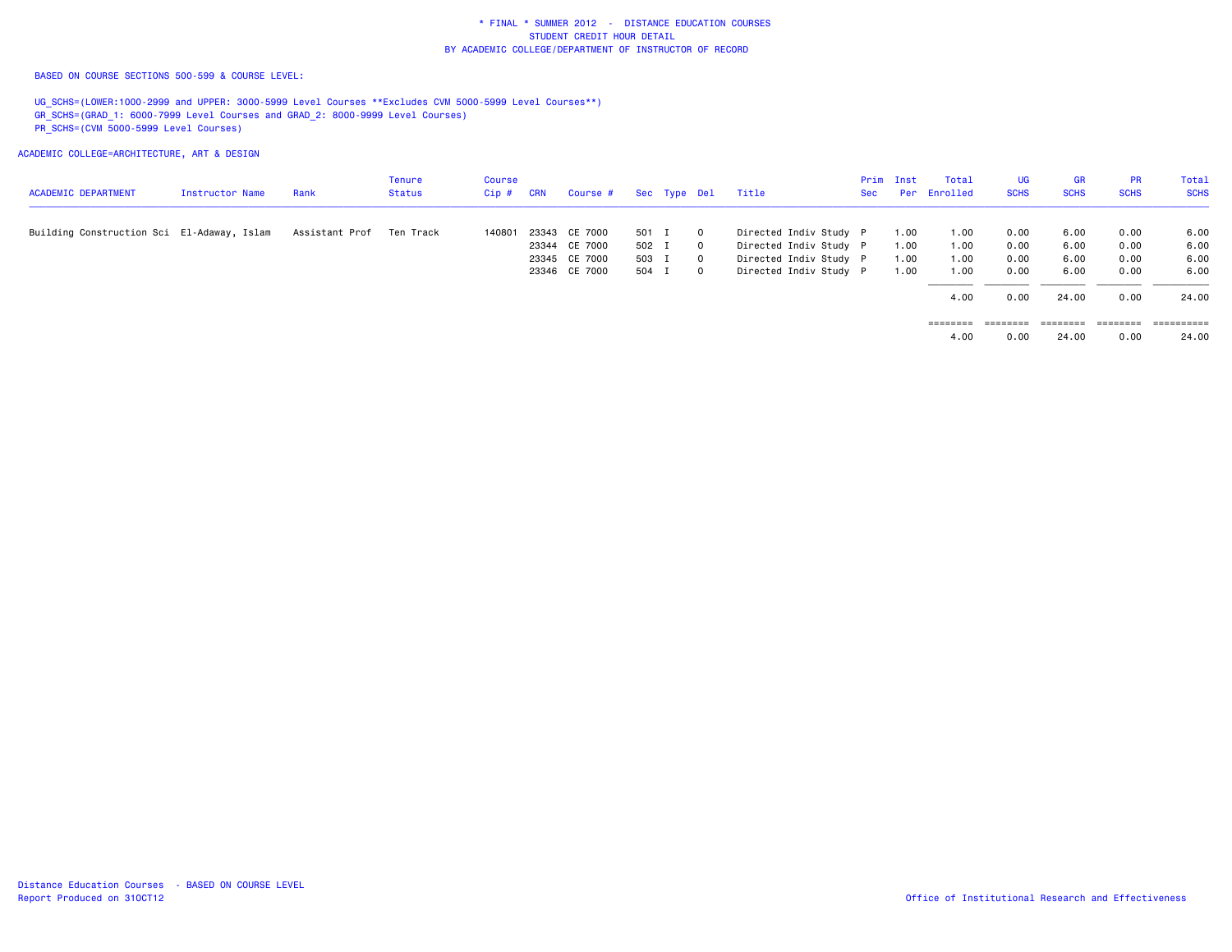BASED ON COURSE SECTIONS 500-599 & COURSE LEVEL:

 UG\_SCHS=(LOWER:1000-2999 and UPPER: 3000-5999 Level Courses \*\*Excludes CVM 5000-5999 Level Courses\*\*) GR\_SCHS=(GRAD\_1: 6000-7999 Level Courses and GRAD\_2: 8000-9999 Level Courses) PR\_SCHS=(CVM 5000-5999 Level Courses)

ACADEMIC COLLEGE=ARCHITECTURE, ART & DESIGN

| <b>ACADEMIC DEPARTMENT</b>                 | Instructor Name | Rank           | Tenure<br>Status | Course<br>Cip# | CRN | Course #      |       | Sec Type Del |         | Title                  | Sec | Prim Inst | Total<br>Per Enrolled | UG<br><b>SCHS</b> | <b>GR</b><br><b>SCHS</b> | <b>PR</b><br><b>SCHS</b> | Total<br><b>SCHS</b> |
|--------------------------------------------|-----------------|----------------|------------------|----------------|-----|---------------|-------|--------------|---------|------------------------|-----|-----------|-----------------------|-------------------|--------------------------|--------------------------|----------------------|
| Building Construction Sci El-Adaway, Islam |                 | Assistant Prof | Ten Track        | 140801         |     | 23343 CE 7000 | 501 I |              | $\circ$ | Directed Indiv Study P |     | 1.00      | 1.00                  | 0.00              | 6.00                     | 0.00                     | 6.00                 |
|                                            |                 |                |                  |                |     | 23344 CE 7000 | 502 I |              | $\circ$ | Directed Indiv Study P |     | 1.00      | 1.00                  | 0.00              | 6.00                     | 0.00                     | 6.00                 |
|                                            |                 |                |                  |                |     | 23345 CE 7000 | 503 I |              | $\circ$ | Directed Indiv Study P |     | 1.00      | 1.00                  | 0.00              | 6.00                     | 0.00                     | 6.00                 |
|                                            |                 |                |                  |                |     | 23346 CE 7000 | 504 I |              | $\circ$ | Directed Indiv Study P |     | 1.00      | 1.00                  | 0.00              | 6.00                     | 0.00                     | 6.00                 |
|                                            |                 |                |                  |                |     |               |       |              |         |                        |     |           | 4.00                  | 0.00              | 24.00                    | 0.00                     | 24,00                |
|                                            |                 |                |                  |                |     |               |       |              |         |                        |     |           | ========              | ========          | ---------                | ========                 | ==========           |

4.00 0.00 24.00 0.00 24.00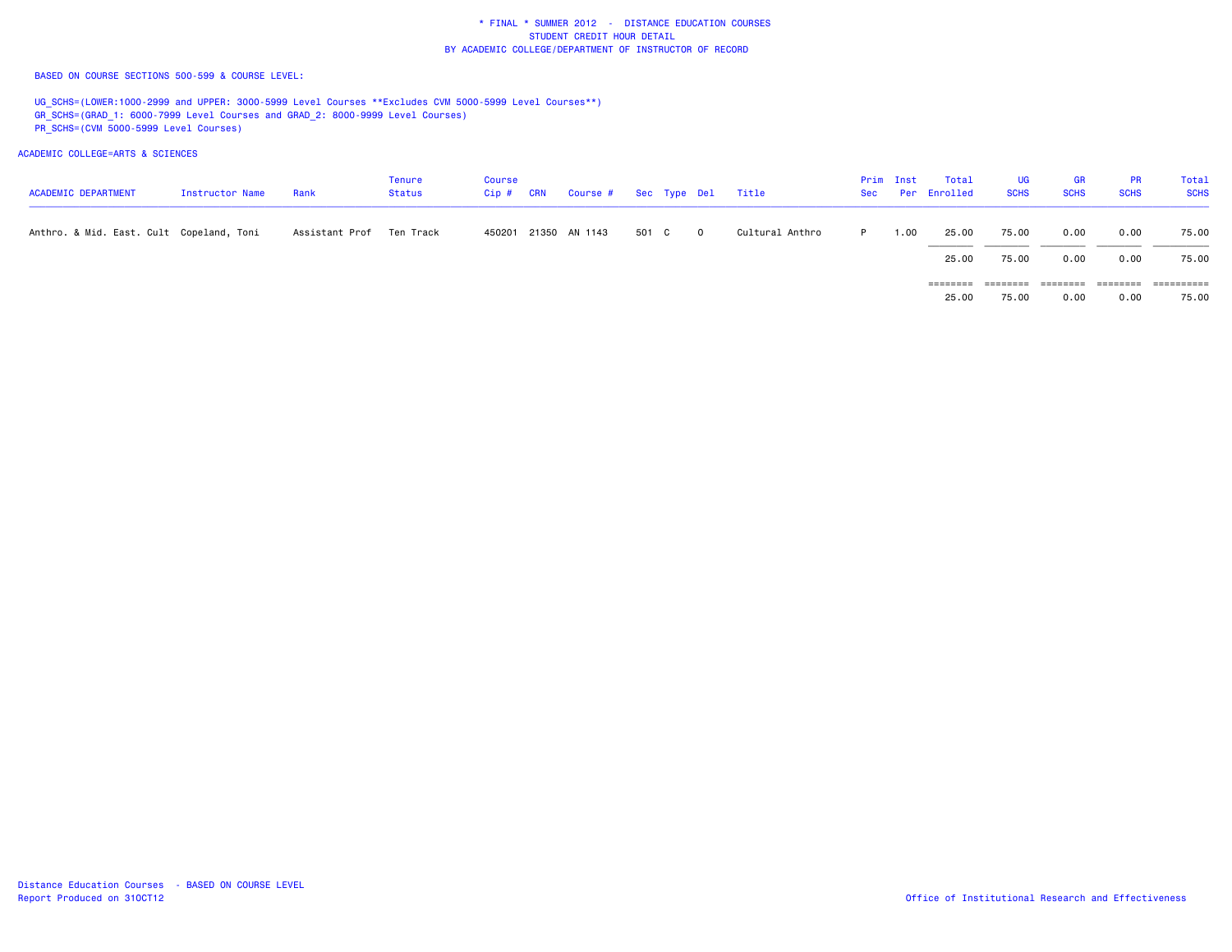BASED ON COURSE SECTIONS 500-599 & COURSE LEVEL:

UG\_SCHS=(LOWER:1000-2999 and UPPER: 3000-5999 Level Courses \*\*Excludes CVM 5000-5999 Level Courses\*\*) GR\_SCHS=(GRAD\_1: 6000-7999 Level Courses and GRAD\_2: 8000-9999 Level Courses) PR\_SCHS=(CVM 5000-5999 Level Courses)

| <b>ACADEMIC DEPARTMENT</b>               | Instructor Name | Rank                       | Tenure<br><b>Status</b> | <b>Course</b><br>$Cip$ # | <b>CRN</b> | Course # Sec Type Del |       |     | Title           | Sec | Prim Inst | Total<br>Per Enrolled | UG<br><b>SCHS</b> | <b>GR</b><br><b>SCHS</b> | PR<br><b>SCHS</b> | Total<br><b>SCHS</b> |
|------------------------------------------|-----------------|----------------------------|-------------------------|--------------------------|------------|-----------------------|-------|-----|-----------------|-----|-----------|-----------------------|-------------------|--------------------------|-------------------|----------------------|
| Anthro. & Mid. East. Cult Copeland, Toni |                 | Assistant Prof – Ten Track |                         |                          |            | 450201 21350 AN 1143  | 501 C | - 0 | Cultural Anthro | P.  | 1.00      | 25.00                 | 75.00             | 0.00                     | 0.00              | 75.00                |
|                                          |                 |                            |                         |                          |            |                       |       |     |                 |     |           | 25.00                 | 75.00             | 0.00                     | 0.00              | 75.00                |
|                                          |                 |                            |                         |                          |            |                       |       |     |                 |     |           | ========              | ========          |                          |                   | ----------           |
|                                          |                 |                            |                         |                          |            |                       |       |     |                 |     |           | 25.00                 | 75.00             | 0.00                     | 0.00              | 75.00                |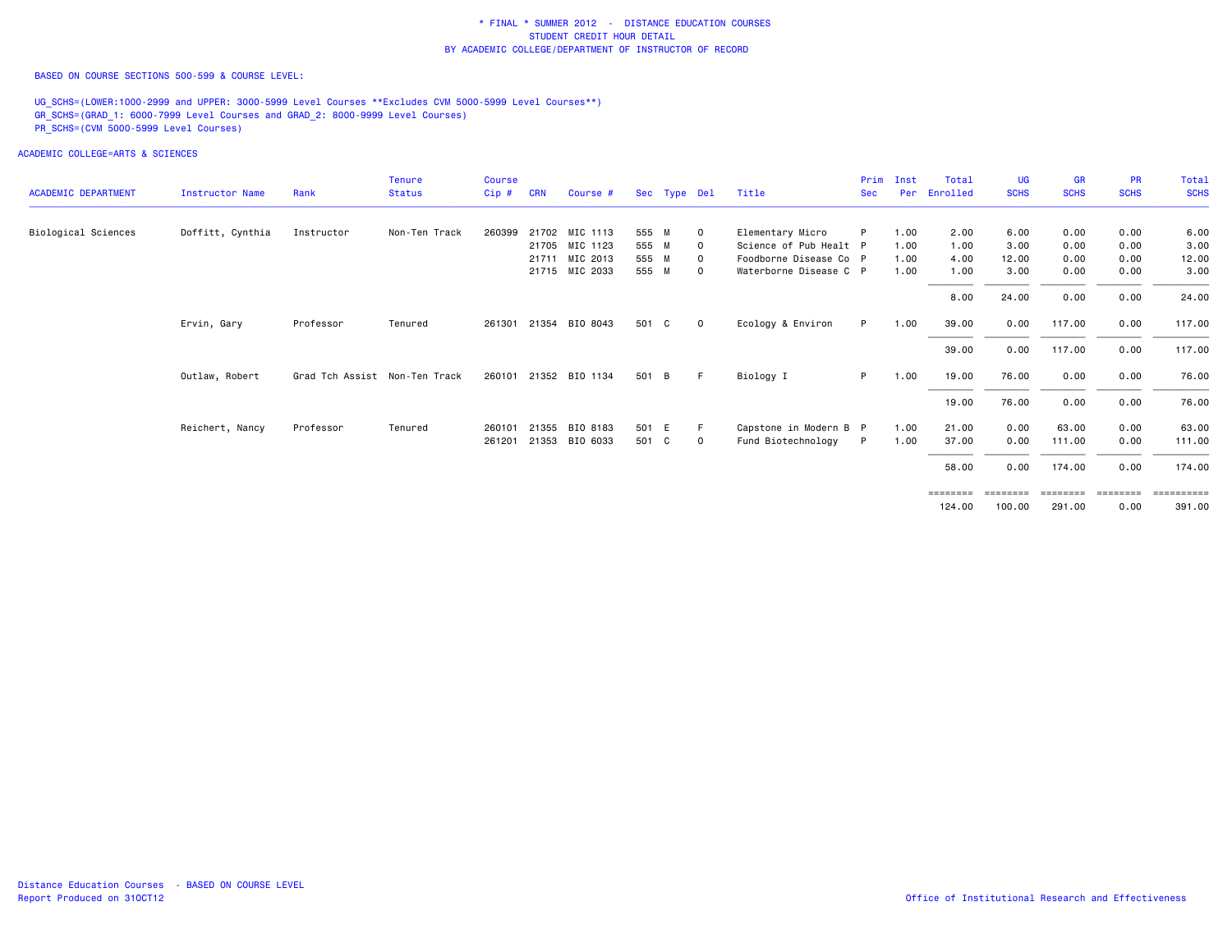BASED ON COURSE SECTIONS 500-599 & COURSE LEVEL:

UG\_SCHS=(LOWER:1000-2999 and UPPER: 3000-5999 Level Courses \*\*Excludes CVM 5000-5999 Level Courses\*\*) GR\_SCHS=(GRAD\_1: 6000-7999 Level Courses and GRAD\_2: 8000-9999 Level Courses) PR\_SCHS=(CVM 5000-5999 Level Courses)

| <b>ACADEMIC DEPARTMENT</b> | <b>Instructor Name</b> | Rank                          | <b>Tenure</b><br><b>Status</b> | Course<br>Cip# | <b>CRN</b> | Course #              |       | Sec Type Del |             | Title                  | Prim<br><b>Sec</b> | Inst<br><b>Per</b> | Total<br>Enrolled | <b>UG</b><br><b>SCHS</b> | <b>GR</b><br><b>SCHS</b> | <b>PR</b><br><b>SCHS</b> | Total<br><b>SCHS</b>  |
|----------------------------|------------------------|-------------------------------|--------------------------------|----------------|------------|-----------------------|-------|--------------|-------------|------------------------|--------------------|--------------------|-------------------|--------------------------|--------------------------|--------------------------|-----------------------|
| Biological Sciences        | Doffitt, Cynthia       | Instructor                    | Non-Ten Track                  | 260399         |            | 21702 MIC 1113        | 555 M |              | $\mathbf 0$ | Elementary Micro       | P                  | 1.00               | 2.00              | 6.00                     | 0.00                     | 0.00                     | 6.00                  |
|                            |                        |                               |                                |                |            | 21705 MIC 1123        | 555 M |              | $\Omega$    | Science of Pub Healt P |                    | 1.00               | 1.00              | 3.00                     | 0.00                     | 0.00                     | 3.00                  |
|                            |                        |                               |                                |                | 21711      | MIC 2013              | 555 M |              | 0           | Foodborne Disease Co P |                    | 1.00               | 4.00              | 12.00                    | 0.00                     | 0.00                     | 12.00                 |
|                            |                        |                               |                                |                |            | 21715 MIC 2033        | 555 M |              | $\Omega$    | Waterborne Disease C P |                    | 1.00               | 1.00              | 3.00                     | 0.00                     | 0.00                     | 3.00                  |
|                            |                        |                               |                                |                |            |                       |       |              |             |                        |                    |                    | 8.00              | 24.00                    | 0.00                     | 0.00                     | 24.00                 |
|                            | Ervin, Gary            | Professor                     | Tenured                        |                |            | 261301 21354 BIO 8043 | 501 C |              | $\mathbf 0$ | Ecology & Environ      | P.                 | 1.00               | 39.00             | 0.00                     | 117.00                   | 0.00                     | 117.00                |
|                            |                        |                               |                                |                |            |                       |       |              |             |                        |                    |                    | 39.00             | 0.00                     | 117.00                   | 0.00                     | 117.00                |
|                            | Outlaw, Robert         | Grad Tch Assist Non-Ten Track |                                |                |            | 260101 21352 BIO 1134 | 501 B |              | F.          | Biology I              | P.                 | 1.00               | 19.00             | 76.00                    | 0.00                     | 0.00                     | 76.00                 |
|                            |                        |                               |                                |                |            |                       |       |              |             |                        |                    |                    | 19.00             | 76.00                    | 0.00                     | 0.00                     | 76.00                 |
|                            | Reichert, Nancy        | Professor                     | Tenured                        | 260101         | 21355      | BIO 8183              | 501 E |              | -F          | Capstone in Modern B P |                    | 1.00               | 21.00             | 0.00                     | 63.00                    | 0.00                     | 63.00                 |
|                            |                        |                               |                                | 261201         | 21353      | BIO 6033              | 501 C |              | $\mathbf 0$ | Fund Biotechnology     | P                  | 1.00               | 37.00             | 0.00                     | 111.00                   | 0.00                     | 111.00                |
|                            |                        |                               |                                |                |            |                       |       |              |             |                        |                    |                    | 58.00             | 0.00                     | 174.00                   | 0.00                     | 174.00                |
|                            |                        |                               |                                |                |            |                       |       |              |             |                        |                    |                    | ========          | ========                 | ========                 | <b>EBBERED</b>           | $=$ = = = = = = = = = |
|                            |                        |                               |                                |                |            |                       |       |              |             |                        |                    |                    | 124,00            | 100.00                   | 291.00                   | 0.00                     | 391.00                |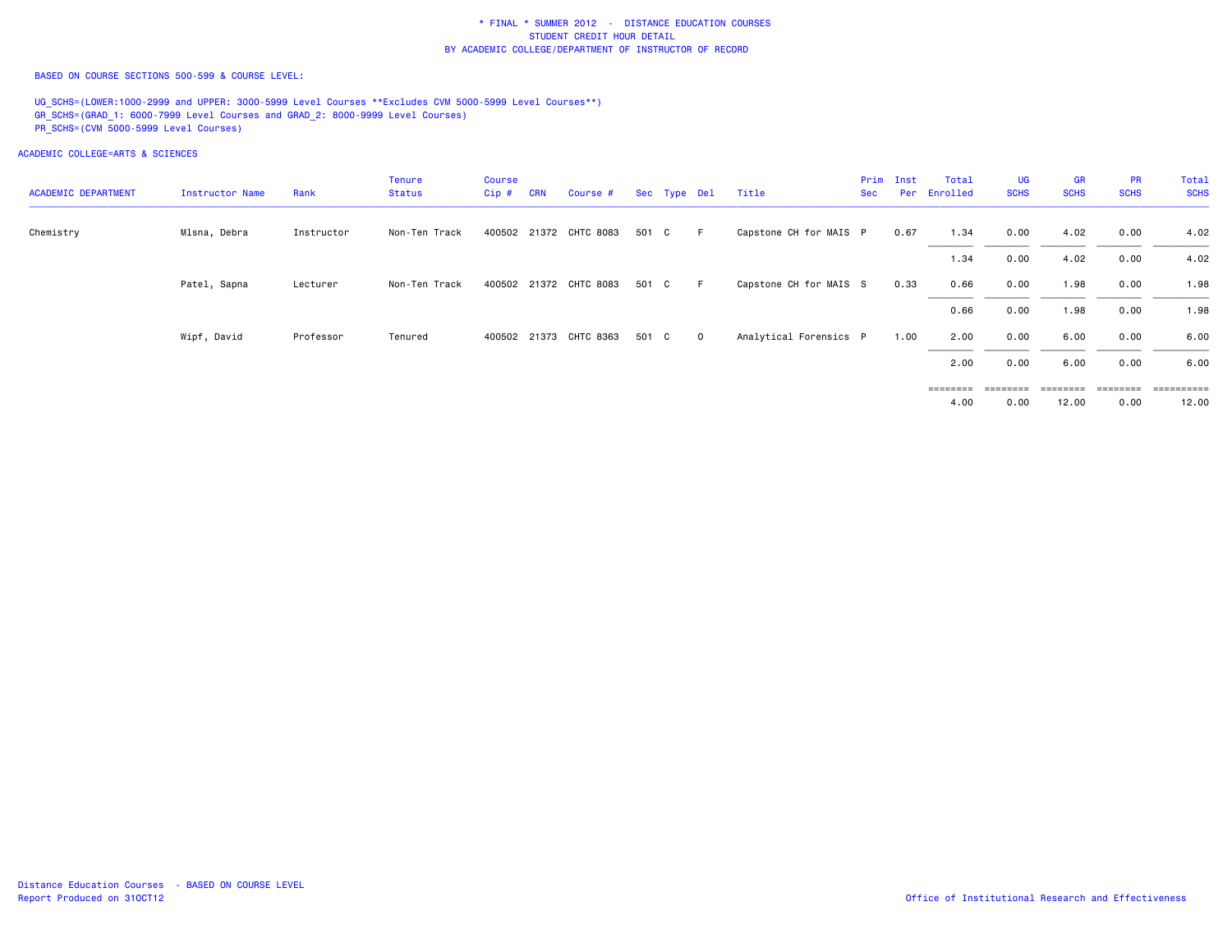BASED ON COURSE SECTIONS 500-599 & COURSE LEVEL:

UG SCHS=(LOWER:1000-2999 and UPPER: 3000-5999 Level Courses \*\*Excludes CVM 5000-5999 Level Courses\*\*) GR\_SCHS=(GRAD\_1: 6000-7999 Level Courses and GRAD\_2: 8000-9999 Level Courses) PR\_SCHS=(CVM 5000-5999 Level Courses)

ACADEMIC COLLEGE=ARTS & SCIENCES

| <b>ACADEMIC DEPARTMENT</b> | Instructor Name | Rank       | <b>Tenure</b><br>Status | <b>Course</b><br>$Cip$ # | <b>CRN</b> | Course #               |       | Sec Type Del |                | Title                  | Sec | Prim Inst | Total<br>Per Enrolled | <b>UG</b><br><b>SCHS</b> | <b>GR</b><br><b>SCHS</b> | <b>PR</b><br><b>SCHS</b> | Total<br><b>SCHS</b> |
|----------------------------|-----------------|------------|-------------------------|--------------------------|------------|------------------------|-------|--------------|----------------|------------------------|-----|-----------|-----------------------|--------------------------|--------------------------|--------------------------|----------------------|
| Chemistry                  | Mlsna, Debra    | Instructor | Non-Ten Track           |                          |            | 400502 21372 CHTC 8083 | 501 C |              | − F −          | Capstone CH for MAIS P |     | 0.67      | 1.34                  | 0.00                     | 4.02                     | 0.00                     | 4.02                 |
|                            |                 |            |                         |                          |            |                        |       |              |                |                        |     |           | 1.34                  | 0.00                     | 4.02                     | 0.00                     | 4.02                 |
|                            | Patel, Sapna    | Lecturer   | Non-Ten Track           |                          |            | 400502 21372 CHTC 8083 | 501 C |              | F              | Capstone CH for MAIS S |     | 0.33      | 0.66                  | 0.00                     | 1.98                     | 0.00                     | 1.98                 |
|                            |                 |            |                         |                          |            |                        |       |              |                |                        |     |           | 0.66                  | 0.00                     | 1.98                     | 0.00                     | 1.98                 |
|                            | Wipf, David     | Professor  | Tenured                 |                          |            | 400502 21373 CHTC 8363 | 501 C |              | $\overline{0}$ | Analytical Forensics P |     | 1.00      | 2.00                  | 0.00                     | 6.00                     | 0.00                     | 6.00                 |
|                            |                 |            |                         |                          |            |                        |       |              |                |                        |     |           | 2.00                  | 0.00                     | 6.00                     | 0.00                     | 6.00                 |
|                            |                 |            |                         |                          |            |                        |       |              |                |                        |     |           | ========              | ---------                | ========                 | ========                 | ___________          |

4.00 0.00 12.00 0.00 12.00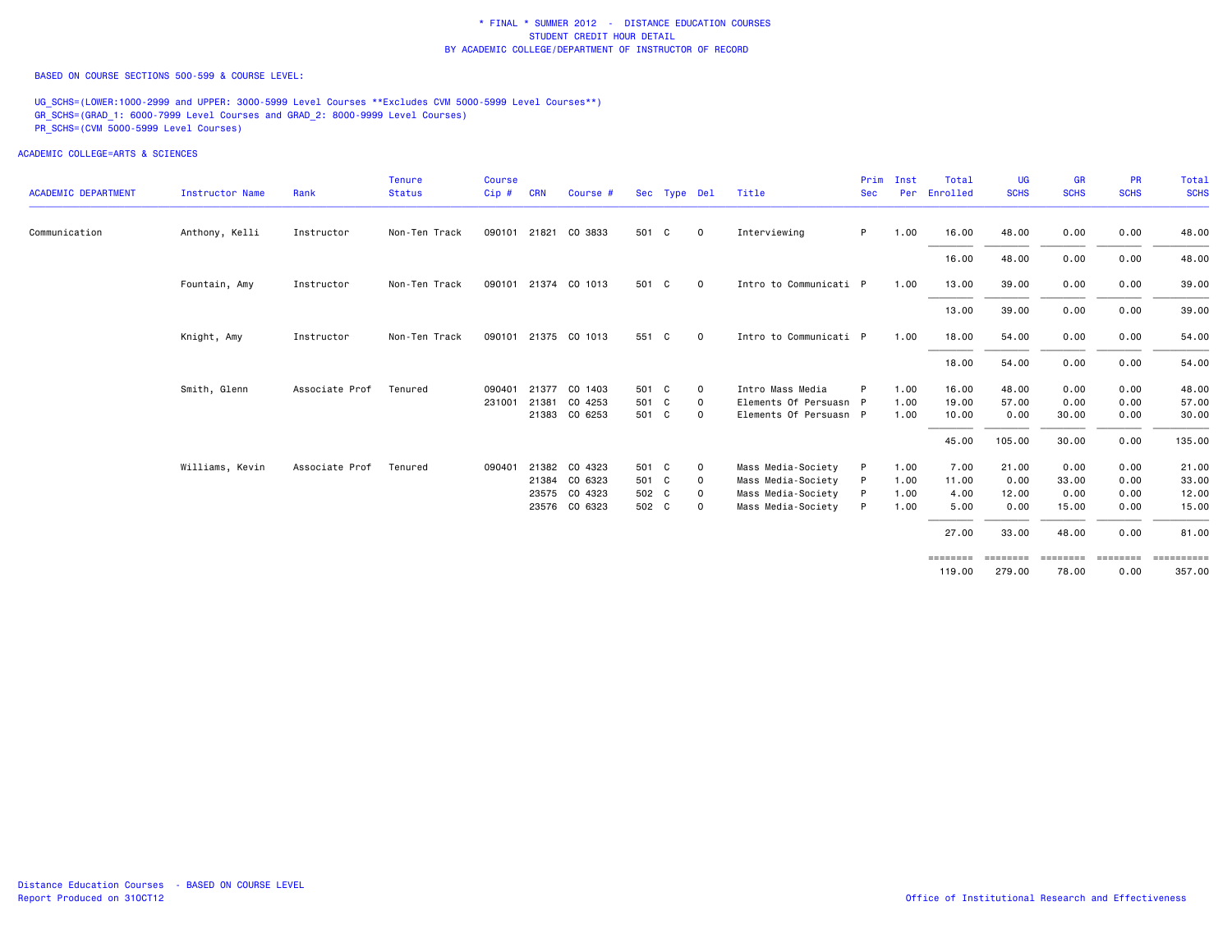BASED ON COURSE SECTIONS 500-599 & COURSE LEVEL:

UG\_SCHS=(LOWER:1000-2999 and UPPER: 3000-5999 Level Courses \*\*Excludes CVM 5000-5999 Level Courses\*\*) GR\_SCHS=(GRAD\_1: 6000-7999 Level Courses and GRAD\_2: 8000-9999 Level Courses) PR\_SCHS=(CVM 5000-5999 Level Courses)

|                            |                 |                | <b>Tenure</b> | <b>Course</b> |            |                      |       |              |              |                        | Prim       | Inst | Total        | <b>UG</b>   | <b>GR</b>   | <b>PR</b>   | Total       |
|----------------------------|-----------------|----------------|---------------|---------------|------------|----------------------|-------|--------------|--------------|------------------------|------------|------|--------------|-------------|-------------|-------------|-------------|
| <b>ACADEMIC DEPARTMENT</b> | Instructor Name | Rank           | <b>Status</b> | Cip#          | <b>CRN</b> | Course #             |       | Sec Type Del |              | Title                  | <b>Sec</b> |      | Per Enrolled | <b>SCHS</b> | <b>SCHS</b> | <b>SCHS</b> | <b>SCHS</b> |
| Communication              | Anthony, Kelli  | Instructor     | Non-Ten Track |               |            | 090101 21821 CO 3833 | 501 C |              | $\mathbf 0$  | Interviewing           | P.         | 1.00 | 16.00        | 48.00       | 0.00        | 0.00        | 48.00       |
|                            |                 |                |               |               |            |                      |       |              |              |                        |            |      | 16.00        | 48.00       | 0.00        | 0.00        | 48.00       |
|                            | Fountain, Amy   | Instructor     | Non-Ten Track |               |            | 090101 21374 CO 1013 | 501 C |              | $\mathbf 0$  | Intro to Communicati P |            | 1.00 | 13.00        | 39.00       | 0.00        | 0.00        | 39.00       |
|                            |                 |                |               |               |            |                      |       |              |              |                        |            |      | 13.00        | 39.00       | 0.00        | 0.00        | 39.00       |
|                            | Knight, Amy     | Instructor     | Non-Ten Track |               |            | 090101 21375 CO 1013 | 551 C |              | $\mathbf 0$  | Intro to Communicati P |            | 1.00 | 18.00        | 54.00       | 0.00        | 0.00        | 54.00       |
|                            |                 |                |               |               |            |                      |       |              |              |                        |            |      | 18.00        | 54.00       | 0.00        | 0.00        | 54.00       |
|                            | Smith, Glenn    | Associate Prof | Tenured       | 090401        |            | 21377 CO 1403        | 501 C |              | $\mathbf 0$  | Intro Mass Media       |            | 1.00 | 16.00        | 48.00       | 0.00        | 0.00        | 48.00       |
|                            |                 |                |               | 231001        | 21381      | CO 4253              | 501 C |              | 0            | Elements Of Persuasn P |            | 1.00 | 19,00        | 57.00       | 0.00        | 0.00        | 57.00       |
|                            |                 |                |               |               |            | 21383 CO 6253        | 501 C |              | $\mathbf 0$  | Elements Of Persuasn P |            | 1.00 | 10.00        | 0.00        | 30.00       | 0.00        | 30.00       |
|                            |                 |                |               |               |            |                      |       |              |              |                        |            |      | 45.00        | 105.00      | 30.00       | 0.00        | 135.00      |
|                            | Williams, Kevin | Associate Prof | Tenured       | 090401        |            | 21382 CO 4323        | 501 C |              | $\mathbf{o}$ | Mass Media-Society     |            | 1.00 | 7.00         | 21.00       | 0.00        | 0.00        | 21.00       |
|                            |                 |                |               |               |            | 21384 CO 6323        | 501 C |              | 0            | Mass Media-Society     |            | 1.00 | 11.00        | 0.00        | 33.00       | 0.00        | 33.00       |
|                            |                 |                |               |               |            | 23575 CO 4323        | 502 C |              | $\mathbf 0$  | Mass Media-Society     |            | 1.00 | 4.00         | 12.00       | 0.00        | 0.00        | 12.00       |
|                            |                 |                |               |               |            | 23576 CO 6323        | 502 C |              | $\circ$      | Mass Media-Society     | P          | 1.00 | 5.00         | 0.00        | 15.00       | 0.00        | 15.00       |
|                            |                 |                |               |               |            |                      |       |              |              |                        |            |      | 27.00        | 33.00       | 48.00       | 0.00        | 81.00       |
|                            |                 |                |               |               |            |                      |       |              |              |                        |            |      | ========     |             |             |             | ==========  |
|                            |                 |                |               |               |            |                      |       |              |              |                        |            |      | 119,00       | 279.00      | 78.00       | 0.00        | 357.00      |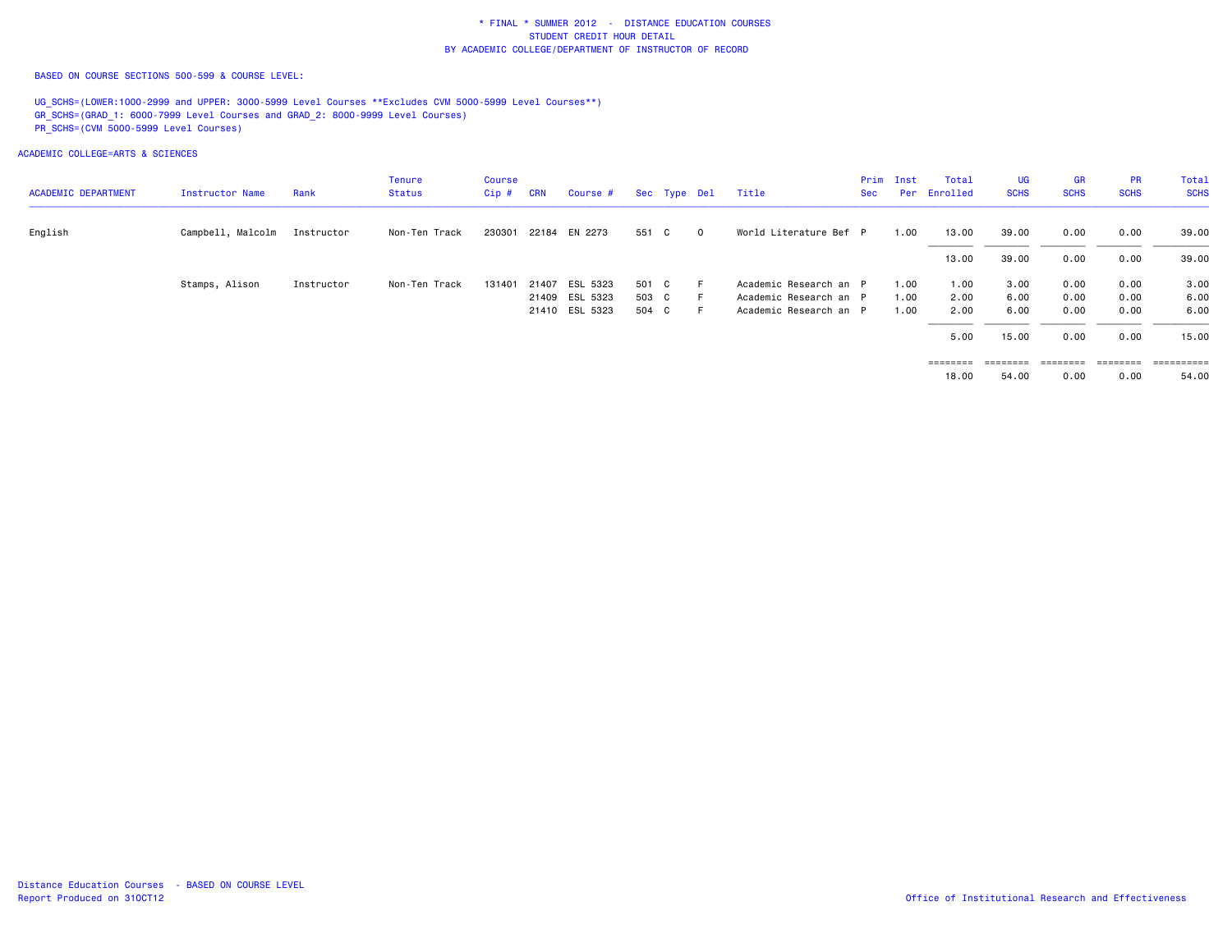BASED ON COURSE SECTIONS 500-599 & COURSE LEVEL:

UG SCHS=(LOWER:1000-2999 and UPPER: 3000-5999 Level Courses \*\*Excludes CVM 5000-5999 Level Courses\*\*) GR\_SCHS=(GRAD\_1: 6000-7999 Level Courses and GRAD\_2: 8000-9999 Level Courses) PR\_SCHS=(CVM 5000-5999 Level Courses)

ACADEMIC COLLEGE=ARTS & SCIENCES

| <b>ACADEMIC DEPARTMENT</b> | Instructor Name   | Rank       | Tenure<br>Status | Course<br>$Cip$ # | <b>CRN</b> | Course #       |       | Sec Type Del |                | Title                  | Sec | Prim Inst | Total<br>Per Enrolled | UG<br><b>SCHS</b> | <b>GR</b><br><b>SCHS</b> | <b>PR</b><br><b>SCHS</b> | Total<br><b>SCHS</b> |
|----------------------------|-------------------|------------|------------------|-------------------|------------|----------------|-------|--------------|----------------|------------------------|-----|-----------|-----------------------|-------------------|--------------------------|--------------------------|----------------------|
| English                    | Campbell, Malcolm | Instructor | Non-Ten Track    | 230301            |            | 22184 EN 2273  | 551 C |              | $\overline{0}$ | World Literature Bef P |     | 1.00      | 13.00                 | 39.00             | 0.00                     | 0.00                     | 39.00                |
|                            |                   |            |                  |                   |            |                |       |              |                |                        |     |           | 13.00                 | 39.00             | 0.00                     | 0.00                     | 39.00                |
|                            | Stamps, Alison    | Instructor | Non-Ten Track    | 131401            |            | 21407 ESL 5323 | 501 C |              |                | Academic Research an P |     | 1.00      | 1.00                  | 3.00              | 0.00                     | 0.00                     | 3.00                 |
|                            |                   |            |                  |                   |            | 21409 ESL 5323 | 503 C |              |                | Academic Research an P |     | 1.00      | 2.00                  | 6.00              | 0.00                     | 0.00                     | 6.00                 |
|                            |                   |            |                  |                   |            | 21410 ESL 5323 | 504 C |              |                | Academic Research an P |     | 1.00      | 2.00                  | 6.00              | 0.00                     | 0.00                     | 6.00                 |
|                            |                   |            |                  |                   |            |                |       |              |                |                        |     |           | 5.00                  | 15.00             | 0.00                     | 0.00                     | 15.00                |
|                            |                   |            |                  |                   |            |                |       |              |                |                        |     |           | ========              | ========          | ========                 | ========                 | ==========           |

54.00 18.00 54.00 0.00 0.00 54.00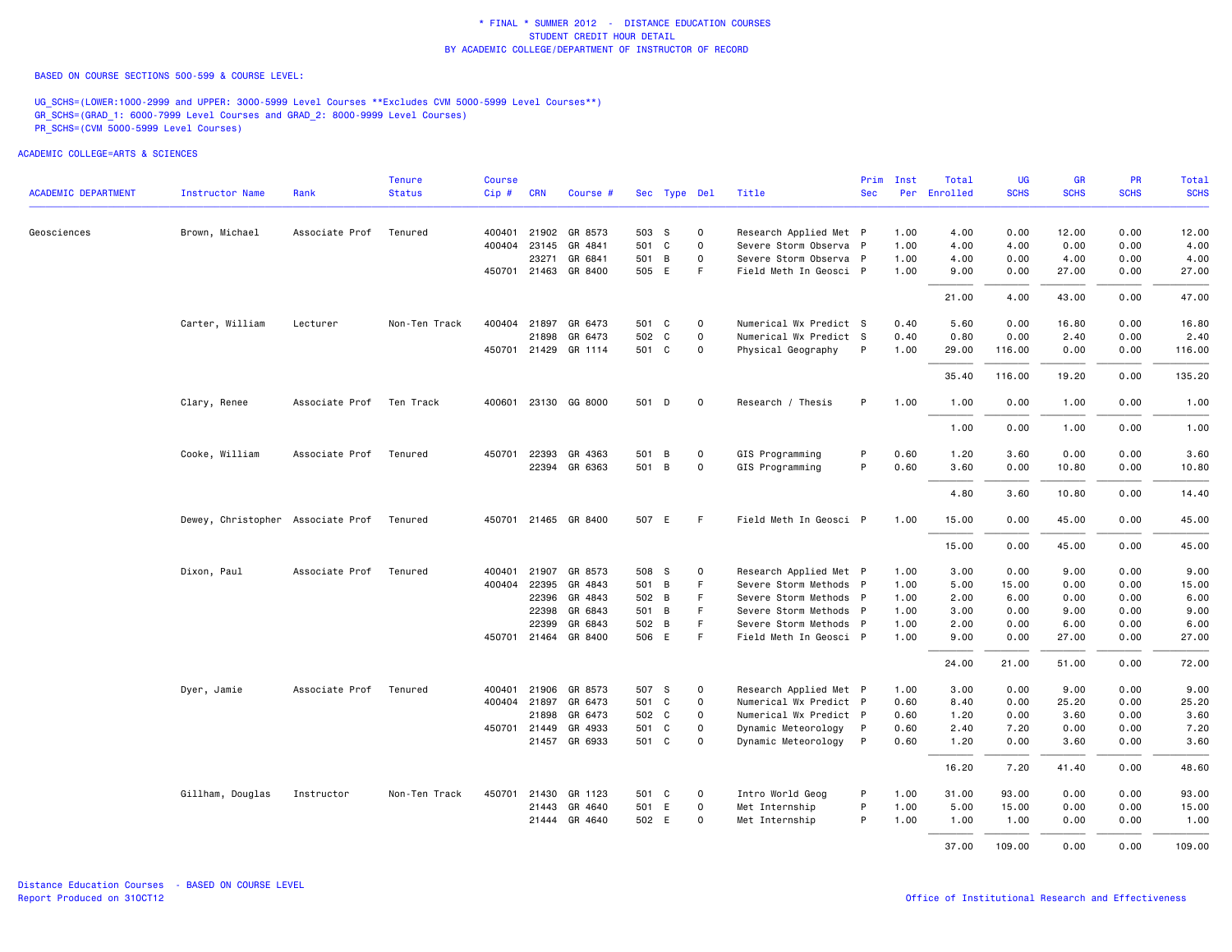BASED ON COURSE SECTIONS 500-599 & COURSE LEVEL:

UG\_SCHS=(LOWER:1000-2999 and UPPER: 3000-5999 Level Courses \*\*Excludes CVM 5000-5999 Level Courses\*\*) GR\_SCHS=(GRAD\_1: 6000-7999 Level Courses and GRAD\_2: 8000-9999 Level Courses) PR\_SCHS=(CVM 5000-5999 Level Courses)

|                            |                                   |                | <b>Tenure</b> | <b>Course</b> |              |                                 |       |              |              |                                                  | Prim         | Inst         | Total        | UG           | <b>GR</b>     | <b>PR</b>    | Total         |
|----------------------------|-----------------------------------|----------------|---------------|---------------|--------------|---------------------------------|-------|--------------|--------------|--------------------------------------------------|--------------|--------------|--------------|--------------|---------------|--------------|---------------|
| <b>ACADEMIC DEPARTMENT</b> | <b>Instructor Name</b>            | Rank           | <b>Status</b> | $Cip \#$      | <b>CRN</b>   | Course #                        |       | Sec Type Del |              | Title                                            | <b>Sec</b>   |              | Per Enrolled | <b>SCHS</b>  | <b>SCHS</b>   | <b>SCHS</b>  | <b>SCHS</b>   |
| Geosciences                | Brown, Michael                    | Associate Prof | Tenured       |               |              | 400401 21902 GR 8573            | 503 S |              | $\mathsf{o}$ | Research Applied Met P                           |              | 1.00         | 4.00         | 0.00         | 12.00         | 0.00         | 12.00         |
|                            |                                   |                |               |               | 400404 23145 | GR 4841                         | 501 C |              | $\mathsf{o}$ | Severe Storm Observa P                           |              | 1.00         | 4.00         | 4.00         | 0.00          | 0.00         | 4.00          |
|                            |                                   |                |               |               | 23271        | GR 6841                         |       | 501 B        | $\Omega$     | Severe Storm Observa P                           |              | 1.00         | 4.00         | 0.00         | 4.00          | 0.00         | 4.00          |
|                            |                                   |                |               |               |              | 450701 21463 GR 8400            |       | 505 E        | F.           | Field Meth In Geosci P                           |              | 1.00         | 9.00         | 0.00         | 27.00         | 0.00         | 27.00         |
|                            |                                   |                |               |               |              |                                 |       |              |              |                                                  |              |              | 21.00        | 4.00         | 43.00         | 0.00         | 47.00         |
|                            | Carter, William                   | Lecturer       | Non-Ten Track |               |              | 400404 21897 GR 6473            | 501 C |              | $\mathbf 0$  | Numerical Wx Predict S                           |              | 0.40         | 5.60         | 0.00         | 16.80         | 0.00         | 16.80         |
|                            |                                   |                |               |               | 21898        | GR 6473                         |       | 502 C        | $\circ$      | Numerical Wx Predict S                           |              | 0.40         | 0.80         | 0.00         | 2.40          | 0.00         | 2.40          |
|                            |                                   |                |               |               |              | 450701 21429 GR 1114            | 501 C |              | $\Omega$     | Physical Geography                               | P            | 1.00         | 29.00        | 116.00       | 0.00          | 0.00         | 116.00        |
|                            |                                   |                |               |               |              |                                 |       |              |              |                                                  |              |              | 35.40        | 116.00       | 19.20         | 0.00         | 135.20        |
|                            | Clary, Renee                      | Associate Prof | Ten Track     |               |              | 400601 23130 GG 8000            |       | 501 D        | $\mathbf 0$  | Research / Thesis                                | P            | 1.00         | 1.00         | 0.00         | 1.00          | 0.00         | 1.00          |
|                            |                                   |                |               |               |              |                                 |       |              |              |                                                  |              |              | 1.00         | 0.00         | 1.00          | 0.00         | 1.00          |
|                            | Cooke, William                    | Associate Prof | Tenured       |               | 450701 22393 | GR 4363                         |       | 501 B        | $\mathsf{O}$ | GIS Programming                                  | P            | 0.60         | 1.20         | 3.60         | 0.00          | 0.00         | 3.60          |
|                            |                                   |                |               |               |              | 22394 GR 6363                   | 501 B |              | $\mathbf 0$  | GIS Programming                                  | P            | 0.60         | 3.60         | 0.00         | 10.80         | 0.00         | 10.80         |
|                            |                                   |                |               |               |              |                                 |       |              |              |                                                  |              |              | 4.80         | 3.60         | 10.80         | 0.00         | 14.40         |
|                            | Dewey, Christopher Associate Prof |                | Tenured       |               |              | 450701 21465 GR 8400            |       | 507 E        | F.           | Field Meth In Geosci P                           |              | 1.00         | 15.00        | 0.00         | 45.00         | 0.00         | 45.00         |
|                            |                                   |                |               |               |              |                                 |       |              |              |                                                  |              |              | 15.00        | 0.00         | 45.00         | 0.00         | 45.00         |
|                            | Dixon, Paul                       | Associate Prof | Tenured       |               | 400401 21907 | GR 8573                         | 508 S |              | $\mathbf{o}$ | Research Applied Met P                           |              | 1.00         | 3.00         | 0.00         | 9.00          | 0.00         | 9.00          |
|                            |                                   |                |               |               |              | 400404 22395 GR 4843            | 501 B |              | F.           | Severe Storm Methods P                           |              | 1.00         | 5.00         | 15.00        | 0.00          | 0.00         | 15.00         |
|                            |                                   |                |               |               | 22396        | GR 4843                         | 502 B |              | F.           | Severe Storm Methods P                           |              | 1.00         | 2.00         | 6.00         | 0.00          | 0.00         | 6.00          |
|                            |                                   |                |               |               | 22398        | GR 6843                         | 501 B |              | F.           | Severe Storm Methods P                           |              | 1.00         | 3.00         | 0.00         | 9.00          | 0.00         | 9.00          |
|                            |                                   |                |               |               | 22399        | GR 6843<br>450701 21464 GR 8400 | 502 B | 506 E        | F.<br>F.     | Severe Storm Methods P<br>Field Meth In Geosci P |              | 1.00<br>1.00 | 2.00<br>9.00 | 0.00<br>0.00 | 6.00<br>27.00 | 0.00<br>0.00 | 6.00<br>27.00 |
|                            |                                   |                |               |               |              |                                 |       |              |              |                                                  |              |              |              |              |               |              |               |
|                            |                                   |                |               |               |              |                                 |       |              |              |                                                  |              |              | 24.00        | 21.00        | 51.00         | 0.00         | 72.00         |
|                            | Dyer, Jamie                       | Associate Prof | Tenured       |               | 400401 21906 | GR 8573                         | 507 S |              | $\mathbf 0$  | Research Applied Met P                           |              | 1.00         | 3.00         | 0.00         | 9.00          | 0.00         | 9.00          |
|                            |                                   |                |               |               |              | 400404 21897 GR 6473            |       | 501 C        | $\circ$      | Numerical Wx Predict P                           |              | 0.60         | 8.40         | 0.00         | 25.20         | 0.00         | 25.20         |
|                            |                                   |                |               |               | 21898        | GR 6473                         | 502 C |              | 0            | Numerical Wx Predict P                           |              | 0.60         | 1.20         | 0.00         | 3.60          | 0.00         | 3.60          |
|                            |                                   |                |               |               | 450701 21449 | GR 4933                         | 501 C |              | $\mathsf{o}$ | Dynamic Meteorology                              | P            | 0.60         | 2.40         | 7.20         | 0.00          | 0.00         | 7.20          |
|                            |                                   |                |               |               |              | 21457 GR 6933                   |       | 501 C        | $\Omega$     | Dynamic Meteorology                              | $\mathsf{P}$ | 0.60         | 1.20         | 0.00         | 3.60          | 0.00         | 3.60          |
|                            |                                   |                |               |               |              |                                 |       |              |              |                                                  |              |              | 16.20        | 7.20         | 41.40         | 0.00         | 48.60         |
|                            | Gillham, Douglas                  | Instructor     | Non-Ten Track | 450701        | 21430        | GR 1123                         |       | 501 C        | $\mathbf 0$  | Intro World Geog                                 | P            | 1.00         | 31.00        | 93.00        | 0.00          | 0.00         | 93.00         |
|                            |                                   |                |               |               | 21443        | GR 4640                         |       | 501 E        | $\mathbf 0$  | Met Internship                                   | P            | 1.00         | 5.00         | 15.00        | 0.00          | 0.00         | 15.00         |
|                            |                                   |                |               |               | 21444        | GR 4640                         | 502 E |              | $\circ$      | Met Internship                                   | P            | 1.00         | 1.00         | 1.00         | 0.00          | 0.00         | 1.00          |
|                            |                                   |                |               |               |              |                                 |       |              |              |                                                  |              |              | 37.00        | 109.00       | 0.00          | 0.00         | 109.00        |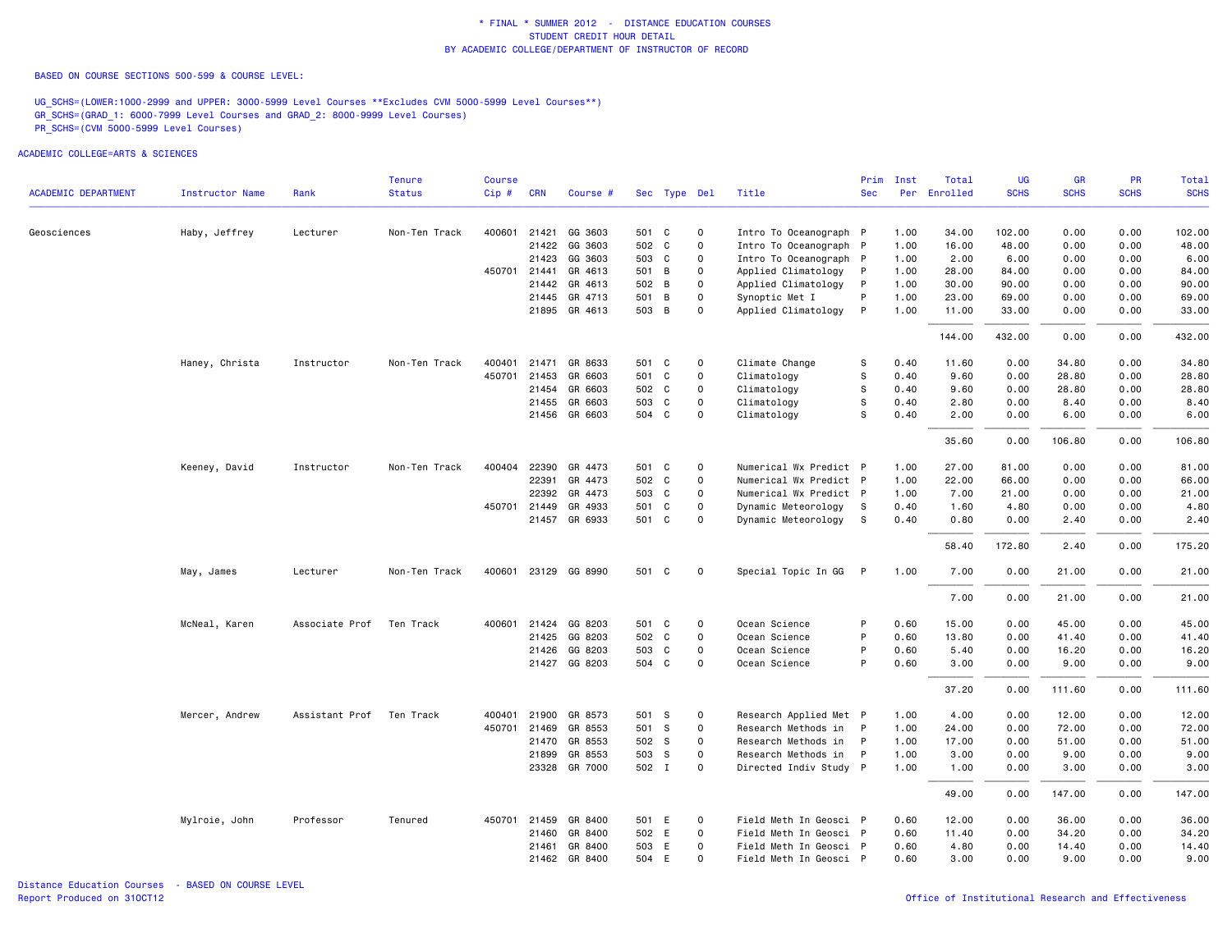BASED ON COURSE SECTIONS 500-599 & COURSE LEVEL:

UG\_SCHS=(LOWER:1000-2999 and UPPER: 3000-5999 Level Courses \*\*Excludes CVM 5000-5999 Level Courses\*\*) GR\_SCHS=(GRAD\_1: 6000-7999 Level Courses and GRAD\_2: 8000-9999 Level Courses) PR\_SCHS=(CVM 5000-5999 Level Courses)

|                            |                        |                | <b>Tenure</b> | <b>Course</b> |              |                      |              |              |                        | Prim       | Inst | Total    | UG          | <b>GR</b>   | <b>PR</b>   | Total       |
|----------------------------|------------------------|----------------|---------------|---------------|--------------|----------------------|--------------|--------------|------------------------|------------|------|----------|-------------|-------------|-------------|-------------|
| <b>ACADEMIC DEPARTMENT</b> | <b>Instructor Name</b> | Rank           | <b>Status</b> | Cip#          | <b>CRN</b>   | Course #             | Sec Type Del |              | Title                  | <b>Sec</b> | Per  | Enrolled | <b>SCHS</b> | <b>SCHS</b> | <b>SCHS</b> | <b>SCHS</b> |
| Geosciences                | Haby, Jeffrey          | Lecturer       | Non-Ten Track | 400601        | 21421        | GG 3603              | 501 C        | $\circ$      | Intro To Oceanograph P |            | 1.00 | 34.00    | 102.00      | 0.00        | 0.00        | 102.00      |
|                            |                        |                |               |               | 21422        | GG 3603              | 502 C        | $\mathbf 0$  | Intro To Oceanograph P |            | 1.00 | 16.00    | 48.00       | 0.00        | 0.00        | 48.00       |
|                            |                        |                |               |               | 21423        | GG 3603              | 503 C        | $\mathbf 0$  | Intro To Oceanograph P |            | 1.00 | 2.00     | 6.00        | 0.00        | 0.00        | 6.00        |
|                            |                        |                |               | 450701        | 21441        | GR 4613              | 501 B        | $\Omega$     | Applied Climatology    |            | 1.00 | 28,00    | 84.00       | 0.00        | 0.00        | 84.00       |
|                            |                        |                |               |               |              | 21442 GR 4613        | 502 B        | $\mathbf 0$  | Applied Climatology    | P          | 1.00 | 30.00    | 90.00       | 0.00        | 0.00        | 90.00       |
|                            |                        |                |               |               | 21445        | GR 4713              | 501 B        | $\mathbf 0$  | Synoptic Met I         | P          | 1.00 | 23.00    | 69.00       | 0.00        | 0.00        | 69.00       |
|                            |                        |                |               |               |              | 21895 GR 4613        | 503 B        | $\mathbf 0$  | Applied Climatology    | P          | 1.00 | 11.00    | 33.00       | 0.00        | 0.00        | 33.00       |
|                            |                        |                |               |               |              |                      |              |              |                        |            |      | 144.00   | 432.00      | 0.00        | 0.00        | 432.00      |
|                            | Haney, Christa         | Instructor     | Non-Ten Track | 400401        | 21471        | GR 8633              | 501 C        | 0            | Climate Change         | S          | 0.40 | 11.60    | 0.00        | 34.80       | 0.00        | 34.80       |
|                            |                        |                |               | 450701        | 21453        | GR 6603              | 501 C        | $\mathbf 0$  | Climatology            | s          | 0.40 | 9.60     | 0.00        | 28.80       | 0.00        | 28.80       |
|                            |                        |                |               |               | 21454        | GR 6603              | 502 C        | 0            | Climatology            | s          | 0.40 | 9.60     | 0.00        | 28.80       | 0.00        | 28.80       |
|                            |                        |                |               |               | 21455        | GR 6603              | 503 C        | $\circ$      | Climatology            | S          | 0.40 | 2.80     | 0.00        | 8.40        | 0.00        | 8.40        |
|                            |                        |                |               |               |              | 21456 GR 6603        | 504 C        | $\mathbf 0$  | Climatology            | s          | 0.40 | 2.00     | 0.00        | 6.00        | 0.00        | 6.00        |
|                            |                        |                |               |               |              |                      |              |              |                        |            |      | 35.60    | 0.00        | 106.80      | 0.00        | 106.80      |
|                            | Keeney, David          | Instructor     | Non-Ten Track | 400404        | 22390        | GR 4473              | 501 C        | $\mathbf 0$  | Numerical Wx Predict P |            | 1.00 | 27.00    | 81.00       | 0.00        | 0.00        | 81.00       |
|                            |                        |                |               |               |              | 22391 GR 4473        | 502 C        | $\mathbf 0$  | Numerical Wx Predict P |            | 1.00 | 22.00    | 66.00       | 0.00        | 0.00        | 66.00       |
|                            |                        |                |               |               | 22392        | GR 4473              | 503 C        | $\mathbf 0$  | Numerical Wx Predict P |            | 1.00 | 7.00     | 21.00       | 0.00        | 0.00        | 21.00       |
|                            |                        |                |               |               | 450701 21449 | GR 4933              | 501 C        | $\mathbf 0$  | Dynamic Meteorology    | s          | 0.40 | 1.60     | 4.80        | 0.00        | 0.00        | 4.80        |
|                            |                        |                |               |               |              | 21457 GR 6933        | 501 C        | $\mathbf 0$  | Dynamic Meteorology    | S          | 0.40 | 0.80     | 0.00        | 2.40        | 0.00        | 2.40        |
|                            |                        |                |               |               |              |                      |              |              |                        |            |      | 58.40    | 172.80      | 2.40        | 0.00        | 175.20      |
|                            | May, James             | Lecturer       | Non-Ten Track |               |              | 400601 23129 GG 8990 | 501 C        | $\mathbf 0$  | Special Topic In GG    | P          | 1.00 | 7.00     | 0.00        | 21.00       | 0.00        | 21.00       |
|                            |                        |                |               |               |              |                      |              |              |                        |            |      | 7.00     | 0.00        | 21.00       | 0.00        | 21.00       |
|                            | McNeal, Karen          | Associate Prof | Ten Track     | 400601        |              | 21424 GG 8203        | 501 C        | 0            | Ocean Science          | P          | 0.60 | 15.00    | 0.00        | 45.00       | 0.00        | 45.00       |
|                            |                        |                |               |               | 21425        | GG 8203              | 502 C        | $\mathbf 0$  | Ocean Science          | P          | 0.60 | 13.80    | 0.00        | 41.40       | 0.00        | 41.40       |
|                            |                        |                |               |               | 21426        | GG 8203              | 503 C        | $\mathbf 0$  | Ocean Science          | P          | 0.60 | 5.40     | 0.00        | 16.20       | 0.00        | 16.20       |
|                            |                        |                |               |               |              | 21427 GG 8203        | 504 C        | $\Omega$     | Ocean Science          | P          | 0.60 | 3.00     | 0.00        | 9.00        | 0.00        | 9.00        |
|                            |                        |                |               |               |              |                      |              |              |                        |            |      | 37.20    | 0.00        | 111.60      | 0.00        | 111.60      |
|                            | Mercer, Andrew         | Assistant Prof | Ten Track     | 400401        | 21900        | GR 8573              | 501 S        | $\mathbf 0$  | Research Applied Met P |            | 1.00 | 4.00     | 0.00        | 12.00       | 0.00        | 12.00       |
|                            |                        |                |               | 450701        | 21469        | GR 8553              | 501 S        | $\mathbf 0$  | Research Methods in    |            | 1.00 | 24.00    | 0.00        | 72.00       | 0.00        | 72.00       |
|                            |                        |                |               |               | 21470        | GR 8553              | 502 S        | $\mathbf 0$  | Research Methods in    | P          | 1.00 | 17.00    | 0.00        | 51.00       | 0.00        | 51.00       |
|                            |                        |                |               |               | 21899        | GR 8553              | 503 S        | $\mathbf 0$  | Research Methods in    | P          | 1.00 | 3.00     | 0.00        | 9.00        | 0.00        | 9.00        |
|                            |                        |                |               |               |              | 23328 GR 7000        | 502 I        | $\mathbf 0$  | Directed Indiv Study P |            | 1.00 | 1.00     | 0.00        | 3.00        | 0.00        | 3.00        |
|                            |                        |                |               |               |              |                      |              |              |                        |            |      | 49.00    | 0.00        | 147.00      | 0.00        | 147.00      |
|                            | Mylroie, John          | Professor      | Tenured       | 450701        | 21459        | GR 8400              | 501 E        | $\mathbf{o}$ | Field Meth In Geosci P |            | 0.60 | 12.00    | 0.00        | 36.00       | 0.00        | 36.00       |
|                            |                        |                |               |               | 21460        | GR 8400              | 502 E        | $\circ$      | Field Meth In Geosci P |            | 0.60 | 11.40    | 0.00        | 34.20       | 0.00        | 34.20       |
|                            |                        |                |               |               | 21461        | GR 8400              | 503 E        | $\mathbf 0$  | Field Meth In Geosci P |            | 0.60 | 4.80     | 0.00        | 14.40       | 0.00        | 14.40       |
|                            |                        |                |               |               |              | 21462 GR 8400        | 504 E        | $\mathbf 0$  | Field Meth In Geosci P |            | 0.60 | 3.00     | 0.00        | 9.00        | 0.00        | 9.00        |
|                            |                        |                |               |               |              |                      |              |              |                        |            |      |          |             |             |             |             |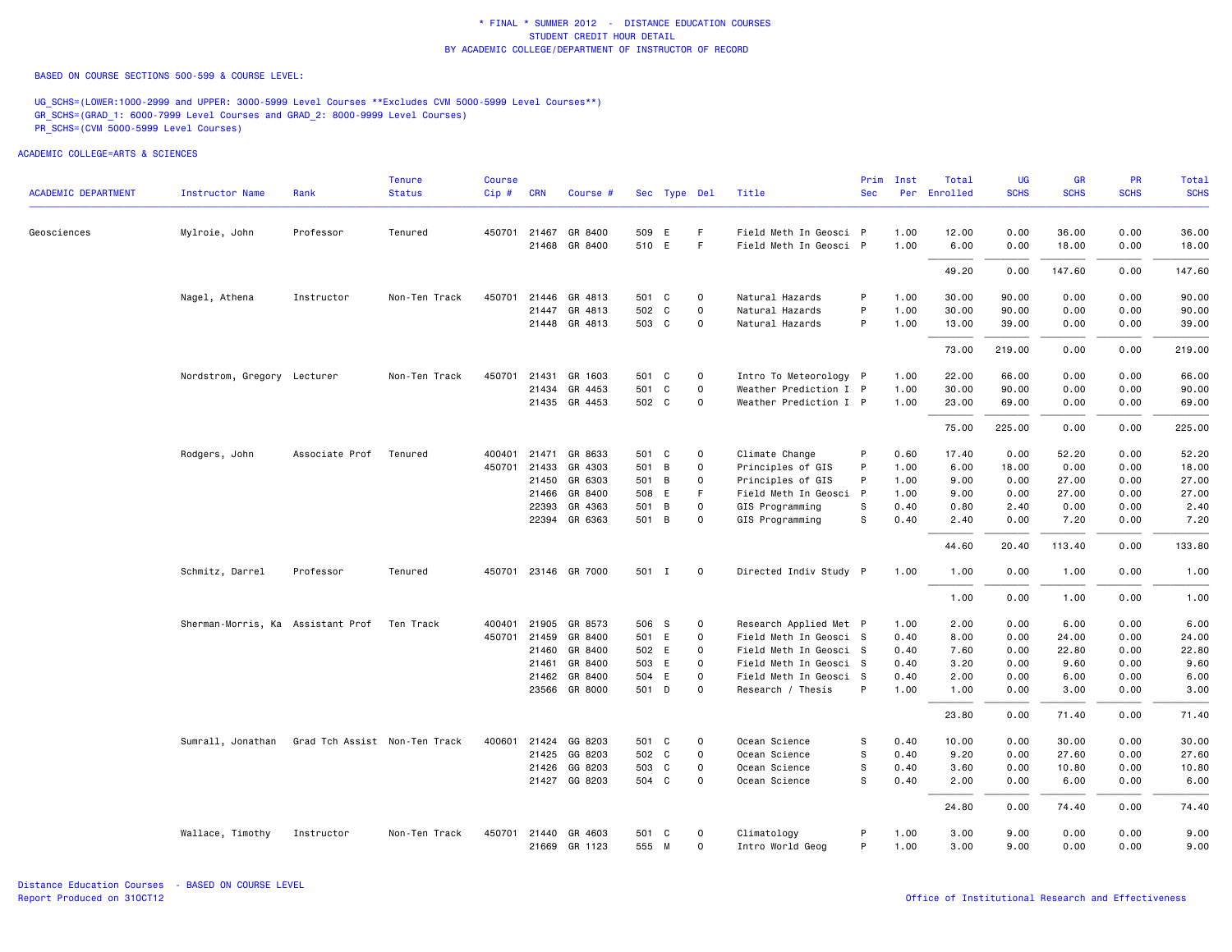BASED ON COURSE SECTIONS 500-599 & COURSE LEVEL:

UG\_SCHS=(LOWER:1000-2999 and UPPER: 3000-5999 Level Courses \*\*Excludes CVM 5000-5999 Level Courses\*\*) GR\_SCHS=(GRAD\_1: 6000-7999 Level Courses and GRAD\_2: 8000-9999 Level Courses) PR\_SCHS=(CVM 5000-5999 Level Courses)

| <b>ACADEMIC DEPARTMENT</b> | <b>Instructor Name</b>            | Rank                          | <b>Tenure</b><br><b>Status</b> | <b>Course</b><br>Cip# | <b>CRN</b>   | Course #                       |                | Sec Type Del |               | Title                                       | Prim<br><b>Sec</b> | Inst         | Total<br>Per Enrolled | UG<br><b>SCHS</b> | <b>GR</b><br><b>SCHS</b> | <b>PR</b><br><b>SCHS</b> | Total<br><b>SCHS</b> |
|----------------------------|-----------------------------------|-------------------------------|--------------------------------|-----------------------|--------------|--------------------------------|----------------|--------------|---------------|---------------------------------------------|--------------------|--------------|-----------------------|-------------------|--------------------------|--------------------------|----------------------|
|                            |                                   |                               |                                |                       |              |                                |                |              |               |                                             |                    |              |                       |                   |                          |                          |                      |
| Geosciences                | Mylroie, John                     | Professor                     | Tenured                        |                       | 450701 21467 | GR 8400                        | 509 E          |              | F.            | Field Meth In Geosci P                      |                    | 1.00         | 12.00                 | 0.00              | 36.00                    | 0.00                     | 36.00                |
|                            |                                   |                               |                                |                       | 21468        | GR 8400                        | 510 E          |              | F             | Field Meth In Geosci P                      |                    | 1.00         | 6.00                  | 0.00              | 18.00                    | 0.00                     | 18.00                |
|                            |                                   |                               |                                |                       |              |                                |                |              |               |                                             |                    |              | 49.20                 | 0.00              | 147.60                   | 0.00                     | 147.60               |
|                            | Nagel, Athena                     | Instructor                    | Non-Ten Track                  | 450701                |              | 21446 GR 4813                  |                | 501 C        | 0             | Natural Hazards                             | P                  | 1.00         | 30.00                 | 90.00             | 0.00                     | 0.00                     | 90.00                |
|                            |                                   |                               |                                |                       | 21447        | GR 4813                        | 502 C          |              | $\mathbf 0$   | Natural Hazards                             | P                  | 1.00         | 30.00                 | 90.00             | 0.00                     | 0.00                     | 90.00                |
|                            |                                   |                               |                                |                       |              | 21448 GR 4813                  | 503 C          |              | $\circ$       | Natural Hazards                             | P                  | 1.00         | 13.00                 | 39.00             | 0.00                     | 0.00                     | 39.00                |
|                            |                                   |                               |                                |                       |              |                                |                |              |               |                                             |                    |              | 73.00                 | 219.00            | 0.00                     | 0.00                     | 219.00               |
|                            | Nordstrom, Gregory Lecturer       |                               | Non-Ten Track                  |                       | 450701 21431 | GR 1603                        | 501 C          |              | $\mathbf{o}$  | Intro To Meteorology P                      |                    | 1.00         | 22.00                 | 66.00             | 0.00                     | 0.00                     | 66.00                |
|                            |                                   |                               |                                |                       | 21434        | GR 4453                        | 501            | C            | $\mathbf 0$   | Weather Prediction I P                      |                    | 1.00         | 30.00                 | 90.00             | 0.00                     | 0.00                     | 90.00                |
|                            |                                   |                               |                                |                       |              | 21435 GR 4453                  | 502 C          |              | $\mathbf 0$   | Weather Prediction I P                      |                    | 1.00         | 23.00                 | 69.00             | 0.00                     | 0.00                     | 69.00                |
|                            |                                   |                               |                                |                       |              |                                |                |              |               |                                             |                    |              | 75.00                 | 225.00            | 0.00                     | 0.00                     | 225.00               |
|                            | Rodgers, John                     | Associate Prof                | Tenured                        | 400401                |              | 21471 GR 8633                  | 501 C          |              | 0             | Climate Change                              | P                  | 0.60         | 17.40                 | 0.00              | 52.20                    | 0.00                     | 52.20                |
|                            |                                   |                               |                                |                       | 450701 21433 | GR 4303                        | 501 B          |              | $\mathbf 0$   | Principles of GIS                           | P                  | 1.00         | 6.00                  | 18.00             | 0.00                     | 0.00                     | 18.00                |
|                            |                                   |                               |                                |                       |              | 21450 GR 6303                  | 501 B          |              | $\mathbf 0$   | Principles of GIS                           | P                  | 1.00         | 9.00                  | 0.00              | 27.00                    | 0.00                     | 27.00                |
|                            |                                   |                               |                                |                       | 21466        | GR 8400                        | 508 E          |              | F             | Field Meth In Geosci P                      |                    | 1.00         | 9.00                  | 0.00              | 27.00                    | 0.00                     | 27.00                |
|                            |                                   |                               |                                |                       | 22393        | GR 4363                        | 501            | B            | $\mathbf 0$   | GIS Programming                             | S                  | 0.40         | 0.80                  | 2.40              | 0.00                     | 0.00                     | 2.40                 |
|                            |                                   |                               |                                |                       | 22394        | GR 6363                        | 501 B          |              | 0             | GIS Programming                             | s                  | 0.40         | 2.40                  | 0.00              | 7.20                     | 0.00                     | 7.20                 |
|                            |                                   |                               |                                |                       |              |                                |                |              |               |                                             |                    |              | 44.60                 | 20.40             | 113.40                   | 0.00                     | 133.80               |
|                            | Schmitz, Darrel                   | Professor                     | Tenured                        |                       |              | 450701 23146 GR 7000           | 501 I          |              | $\mathbf 0$   | Directed Indiv Study P                      |                    | 1.00         | 1.00                  | 0.00              | 1.00                     | 0.00                     | 1.00                 |
|                            |                                   |                               |                                |                       |              |                                |                |              |               |                                             |                    |              | 1.00                  | 0.00              | 1.00                     | 0.00                     | 1.00                 |
|                            | Sherman-Morris, Ka Assistant Prof |                               | Ten Track                      | 400401                |              | 21905 GR 8573                  | 506 S          |              | 0             | Research Applied Met P                      |                    | 1.00         | 2.00                  | 0.00              | 6.00                     | 0.00                     | 6.00                 |
|                            |                                   |                               |                                | 450701                | 21459        | GR 8400                        | 501 E          |              | $\mathbf 0$   | Field Meth In Geosci S                      |                    | 0.40         | 8.00                  | 0.00              | 24.00                    | 0.00                     | 24.00                |
|                            |                                   |                               |                                |                       | 21460        | GR 8400                        | 502 E          |              | 0             | Field Meth In Geosci S                      |                    | 0.40         | 7.60                  | 0.00              | 22.80                    | 0.00                     | 22.80                |
|                            |                                   |                               |                                |                       | 21461        | GR 8400                        | 503 E          |              | $\mathbf 0$   | Field Meth In Geosci S                      |                    | 0.40         | 3.20                  | 0.00              | 9.60                     | 0.00                     | 9.60                 |
|                            |                                   |                               |                                |                       |              | 21462 GR 8400<br>23566 GR 8000 | 504 E<br>501 D |              | 0<br>$\Omega$ | Field Meth In Geosci S<br>Research / Thesis | P                  | 0.40<br>1.00 | 2.00<br>1.00          | 0.00<br>0.00      | 6.00<br>3.00             | 0.00<br>0.00             | 6.00<br>3.00         |
|                            |                                   |                               |                                |                       |              |                                |                |              |               |                                             |                    |              | 23.80                 | 0.00              | 71.40                    | 0.00                     | 71.40                |
|                            |                                   |                               |                                |                       |              |                                |                |              |               |                                             |                    |              |                       |                   |                          |                          |                      |
|                            | Sumrall, Jonathan                 | Grad Tch Assist Non-Ten Track |                                |                       | 400601 21424 | GG 8203                        | 501 C          |              | 0             | Ocean Science                               | s                  | 0.40         | 10.00                 | 0.00              | 30.00                    | 0.00                     | 30.00                |
|                            |                                   |                               |                                |                       |              | 21425 GG 8203                  | 502 C          |              | $\mathbf 0$   | Ocean Science                               | s                  | 0.40         | 9.20                  | 0.00              | 27.60                    | 0.00                     | 27.60                |
|                            |                                   |                               |                                |                       |              | 21426 GG 8203                  | 503 C          |              | $\mathbf 0$   | Ocean Science                               | s                  | 0.40         | 3.60                  | 0.00              | 10.80                    | 0.00                     | 10.80                |
|                            |                                   |                               |                                |                       |              | 21427 GG 8203                  | 504 C          |              | $\mathbf 0$   | Ocean Science                               | s                  | 0.40         | 2.00                  | 0.00              | 6.00                     | 0.00                     | 6.00                 |
|                            |                                   |                               |                                |                       |              |                                |                |              |               |                                             |                    |              | 24.80                 | 0.00              | 74.40                    | 0.00                     | 74.40                |
|                            | Wallace, Timothy                  | Instructor                    | Non-Ten Track                  |                       | 450701 21440 | GR 4603                        |                | 501 C        | $\mathbf 0$   | Climatology                                 | P                  | 1.00         | 3.00                  | 9.00              | 0.00                     | 0.00                     | 9.00                 |
|                            |                                   |                               |                                |                       |              | 21669 GR 1123                  | 555 M          |              | $\mathbf 0$   | Intro World Geog                            | P                  | 1.00         | 3.00                  | 9.00              | 0.00                     | 0.00                     | 9.00                 |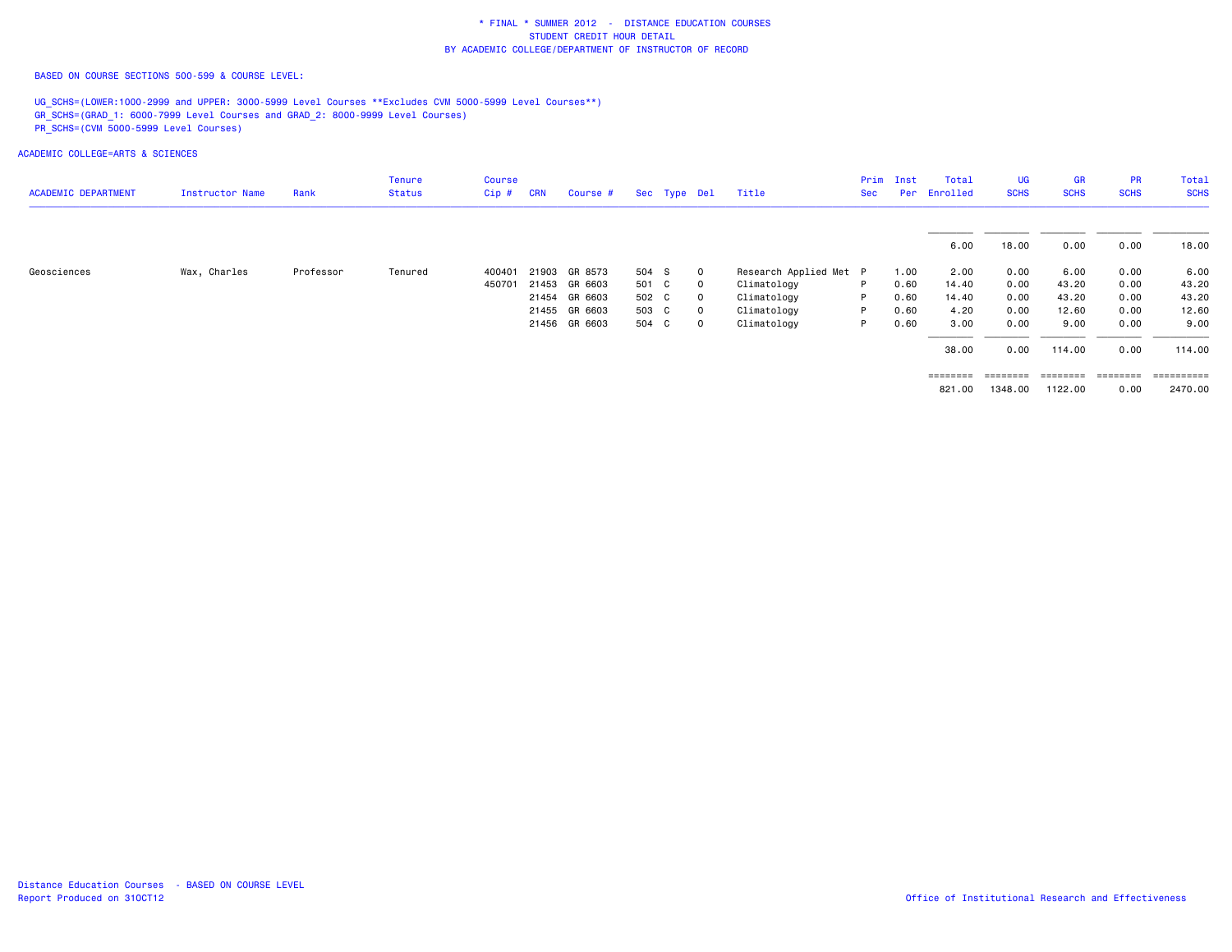BASED ON COURSE SECTIONS 500-599 & COURSE LEVEL:

UG\_SCHS=(LOWER:1000-2999 and UPPER: 3000-5999 Level Courses \*\*Excludes CVM 5000-5999 Level Courses\*\*) GR\_SCHS=(GRAD\_1: 6000-7999 Level Courses and GRAD\_2: 8000-9999 Level Courses) PR\_SCHS=(CVM 5000-5999 Level Courses)

| <b>ACADEMIC DEPARTMENT</b> | Instructor Name | Rank      | <b>Tenure</b><br><b>Status</b> | <b>Course</b><br>$Cip$ # | <b>CRN</b> | Course #      |       | Sec Type Del |             | Title                  | Prim<br>Sec | Inst<br>Per | Total<br>Enrolled | <b>UG</b><br><b>SCHS</b> | <b>GR</b><br><b>SCHS</b> | <b>PR</b><br><b>SCHS</b> | Total<br><b>SCHS</b> |
|----------------------------|-----------------|-----------|--------------------------------|--------------------------|------------|---------------|-------|--------------|-------------|------------------------|-------------|-------------|-------------------|--------------------------|--------------------------|--------------------------|----------------------|
|                            |                 |           |                                |                          |            |               |       |              |             |                        |             |             |                   |                          |                          |                          |                      |
|                            |                 |           |                                |                          |            |               |       |              |             |                        |             |             | 6.00              | 18.00                    | 0.00                     | 0.00                     | 18.00                |
| Geosciences                | Wax, Charles    | Professor | Tenured                        | 400401                   |            | 21903 GR 8573 | 504 S |              | $\mathbf 0$ | Research Applied Met P |             | 1.00        | 2.00              | 0.00                     | 6.00                     | 0.00                     | 6.00                 |
|                            |                 |           |                                | 450701                   |            | 21453 GR 6603 | 501 C |              | $\Omega$    | Climatology            | P.          | 0.60        | 14.40             | 0.00                     | 43.20                    | 0.00                     | 43.20                |
|                            |                 |           |                                |                          |            | 21454 GR 6603 | 502 C |              | $\Omega$    | Climatology            | P           | 0.60        | 14.40             | 0.00                     | 43.20                    | 0.00                     | 43.20                |
|                            |                 |           |                                |                          |            | 21455 GR 6603 | 503 C |              | $\Omega$    | Climatology            | P.          | 0.60        | 4.20              | 0.00                     | 12.60                    | 0.00                     | 12.60                |
|                            |                 |           |                                |                          |            | 21456 GR 6603 | 504 C |              | $\Omega$    | Climatology            | P           | 0.60        | 3.00              | 0.00                     | 9.00                     | 0.00                     | 9.00                 |
|                            |                 |           |                                |                          |            |               |       |              |             |                        |             |             | 38.00             | 0.00                     | 114.00                   | 0.00                     | 114.00               |
|                            |                 |           |                                |                          |            |               |       |              |             |                        |             |             | ========          |                          | --------- --------       | ---------                | ==========           |
|                            |                 |           |                                |                          |            |               |       |              |             |                        |             |             | 821.00            | 1348.00                  | 1122.00                  | 0.00                     | 2470.00              |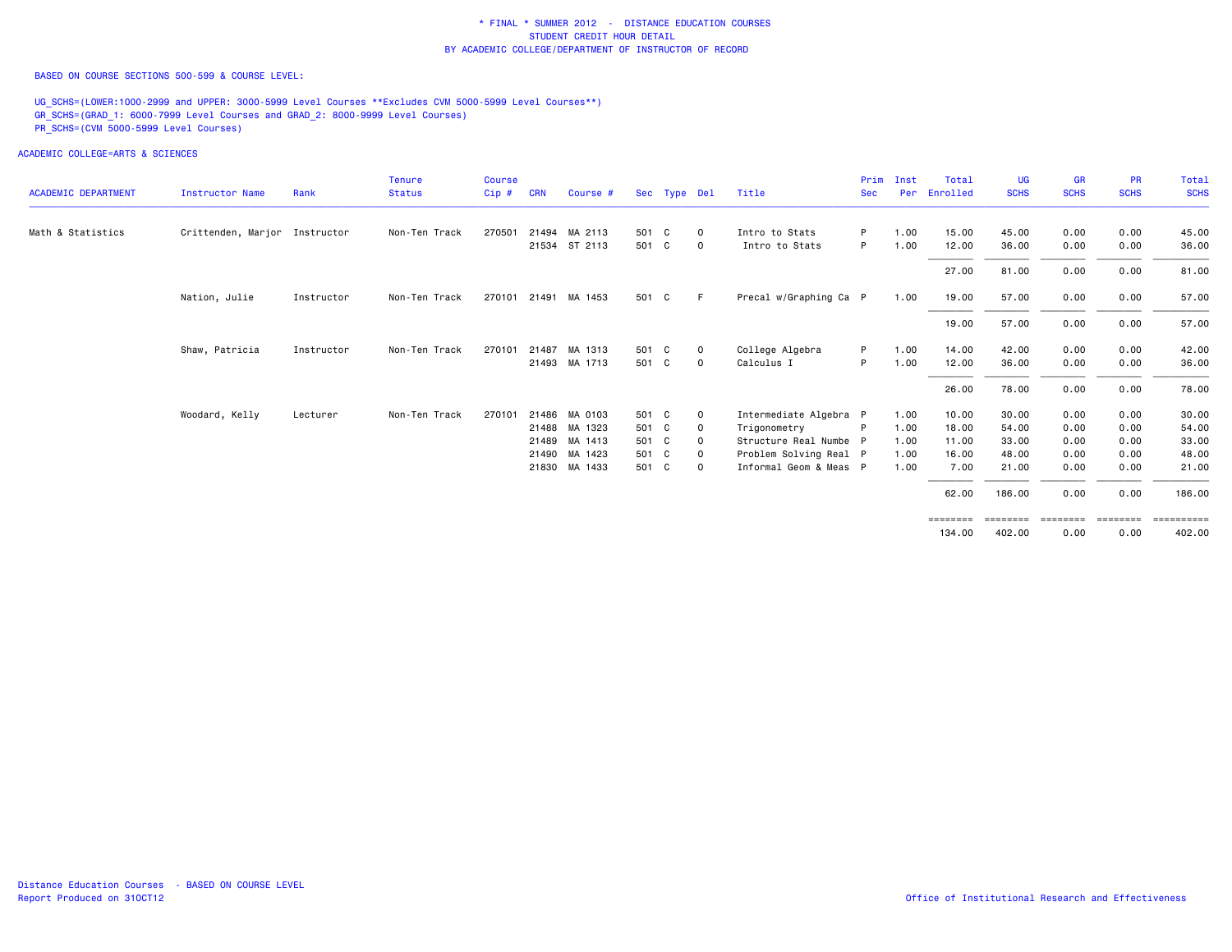BASED ON COURSE SECTIONS 500-599 & COURSE LEVEL:

UG\_SCHS=(LOWER:1000-2999 and UPPER: 3000-5999 Level Courses \*\*Excludes CVM 5000-5999 Level Courses\*\*) GR\_SCHS=(GRAD\_1: 6000-7999 Level Courses and GRAD\_2: 8000-9999 Level Courses) PR\_SCHS=(CVM 5000-5999 Level Courses)

| <b>ACADEMIC DEPARTMENT</b> | <b>Instructor Name</b>        | Rank       | <b>Tenure</b><br><b>Status</b> | <b>Course</b><br>Cip# | <b>CRN</b> | Course #      |       | Sec Type Del |              | Title                  | Prim<br><b>Sec</b> | Inst<br><b>Per</b> | Total<br>Enrolled  | <b>UG</b><br><b>SCHS</b> | <b>GR</b><br><b>SCHS</b> | <b>PR</b><br><b>SCHS</b> | Total<br><b>SCHS</b> |
|----------------------------|-------------------------------|------------|--------------------------------|-----------------------|------------|---------------|-------|--------------|--------------|------------------------|--------------------|--------------------|--------------------|--------------------------|--------------------------|--------------------------|----------------------|
| Math & Statistics          | Crittenden, Marjor Instructor |            | Non-Ten Track                  | 270501                | 21494      | MA 2113       | 501 C |              | $\mathbf 0$  | Intro to Stats         | P                  | 1.00               | 15.00              | 45.00                    | 0.00                     | 0.00                     | 45.00                |
|                            |                               |            |                                |                       |            | 21534 ST 2113 | 501 C |              | $\circ$      | Intro to Stats         | P.                 | 1.00               | 12.00              | 36.00                    | 0.00                     | 0.00                     | 36.00                |
|                            |                               |            |                                |                       |            |               |       |              |              |                        |                    |                    | 27.00              | 81.00                    | 0.00                     | 0.00                     | 81.00                |
|                            | Nation, Julie                 | Instructor | Non-Ten Track                  | 270101 21491          |            | MA 1453       | 501 C |              | F.           | Precal w/Graphing Ca P |                    | 1.00               | 19.00              | 57.00                    | 0.00                     | 0.00                     | 57.00                |
|                            |                               |            |                                |                       |            |               |       |              |              |                        |                    |                    | 19.00              | 57.00                    | 0.00                     | 0.00                     | 57.00                |
|                            | Shaw, Patricia                | Instructor | Non-Ten Track                  | 270101                | 21487      | MA 1313       | 501 C |              | $\circ$      | College Algebra        | P                  | 1.00               | 14.00              | 42.00                    | 0.00                     | 0.00                     | 42.00                |
|                            |                               |            |                                |                       |            | 21493 MA 1713 | 501 C |              | $\circ$      | Calculus I             | P                  | 1.00               | 12.00              | 36.00                    | 0.00                     | 0.00                     | 36.00                |
|                            |                               |            |                                |                       |            |               |       |              |              |                        |                    |                    | 26.00              | 78.00                    | 0.00                     | 0.00                     | 78.00                |
|                            | Woodard, Kelly                | Lecturer   | Non-Ten Track                  | 270101                | 21486      | MA 0103       | 501 C |              | $\mathbf{o}$ | Intermediate Algebra P |                    | 1.00               | 10.00              | 30.00                    | 0.00                     | 0.00                     | 30.00                |
|                            |                               |            |                                |                       |            | 21488 MA 1323 | 501 C |              | $\mathbf 0$  | Trigonometry           |                    | 1.00               | 18.00              | 54.00                    | 0.00                     | 0.00                     | 54.00                |
|                            |                               |            |                                |                       | 21489      | MA 1413       | 501 C |              | $\Omega$     | Structure Real Numbe P |                    | 1.00               | 11.00              | 33.00                    | 0.00                     | 0.00                     | 33.00                |
|                            |                               |            |                                |                       | 21490      | MA 1423       | 501 C |              | 0            | Problem Solving Real P |                    | 1.00               | 16.00              | 48.00                    | 0.00                     | 0.00                     | 48.00                |
|                            |                               |            |                                |                       |            | 21830 MA 1433 | 501 C |              | $\Omega$     | Informal Geom & Meas P |                    | 1.00               | 7.00               | 21.00                    | 0.00                     | 0.00                     | 21.00                |
|                            |                               |            |                                |                       |            |               |       |              |              |                        |                    |                    | 62.00              | 186.00                   | 0.00                     | 0.00                     | 186.00               |
|                            |                               |            |                                |                       |            |               |       |              |              |                        |                    |                    | ========<br>134,00 | ========<br>402.00       | ========<br>0.00         | ========<br>0.00         | ==========<br>402.00 |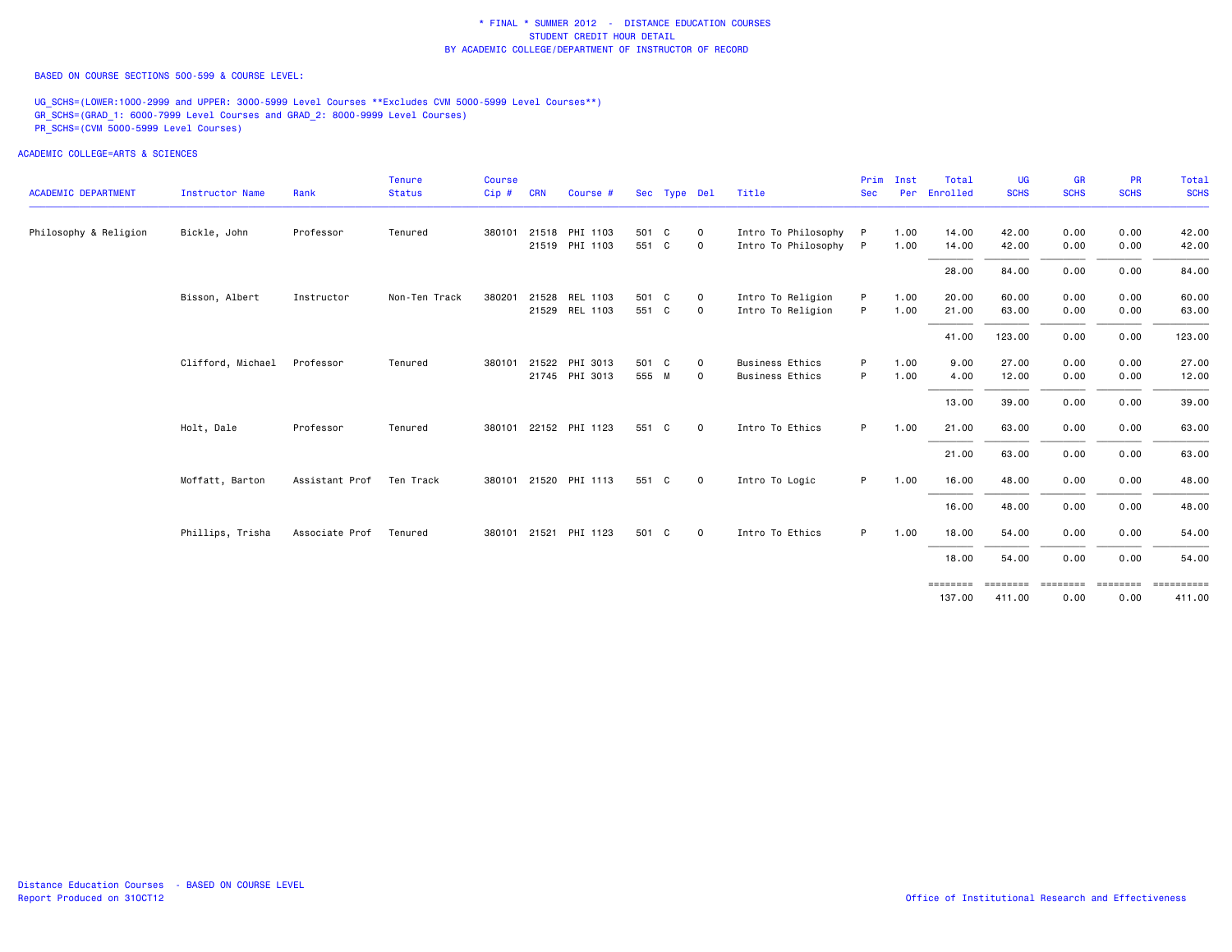BASED ON COURSE SECTIONS 500-599 & COURSE LEVEL:

UG\_SCHS=(LOWER:1000-2999 and UPPER: 3000-5999 Level Courses \*\*Excludes CVM 5000-5999 Level Courses\*\*) GR\_SCHS=(GRAD\_1: 6000-7999 Level Courses and GRAD\_2: 8000-9999 Level Courses) PR\_SCHS=(CVM 5000-5999 Level Courses)

ACADEMIC COLLEGE=ARTS & SCIENCES

|                            |                        |                | Tenure        | Course |            |                       |       |              |                |                        | Prim       | Inst | Total    | <b>UG</b>   | <b>GR</b>          | PR          | <b>Total</b> |
|----------------------------|------------------------|----------------|---------------|--------|------------|-----------------------|-------|--------------|----------------|------------------------|------------|------|----------|-------------|--------------------|-------------|--------------|
| <b>ACADEMIC DEPARTMENT</b> | <b>Instructor Name</b> | Rank           | <b>Status</b> | Cip#   | <b>CRN</b> | Course #              |       | Sec Type Del |                | Title                  | <b>Sec</b> | Per  | Enrolled | <b>SCHS</b> | <b>SCHS</b>        | <b>SCHS</b> | <b>SCHS</b>  |
| Philosophy & Religion      | Bickle, John           | Professor      | Tenured       |        |            | 380101 21518 PHI 1103 | 501 C |              | $\mathbf{O}$   | Intro To Philosophy    | <b>P</b>   | 1.00 | 14.00    | 42.00       | 0.00               | 0.00        | 42.00        |
|                            |                        |                |               |        |            | 21519 PHI 1103        | 551 C |              | $\overline{0}$ | Intro To Philosophy P  |            | 1.00 | 14.00    | 42.00       | 0.00               | 0.00        | 42.00        |
|                            |                        |                |               |        |            |                       |       |              |                |                        |            |      | 28.00    | 84.00       | 0.00               | 0.00        | 84.00        |
|                            | Bisson, Albert         | Instructor     | Non-Ten Track | 380201 |            | 21528 REL 1103        | 501 C |              | $\mathbf{0}$   | Intro To Religion      |            | 1.00 | 20.00    | 60.00       | 0.00               | 0.00        | 60.00        |
|                            |                        |                |               |        |            | 21529 REL 1103        | 551 C |              | $\mathbf{O}$   | Intro To Religion      | P          | 1.00 | 21.00    | 63.00       | 0.00               | 0.00        | 63.00        |
|                            |                        |                |               |        |            |                       |       |              |                |                        |            |      | 41.00    | 123.00      | 0.00               | 0.00        | 123.00       |
|                            | Clifford, Michael      | Professor      | Tenured       | 380101 |            | 21522 PHI 3013        | 501 C |              | $\mathbf{O}$   | <b>Business Ethics</b> | P          | 1.00 | 9.00     | 27.00       | 0.00               | 0.00        | 27.00        |
|                            |                        |                |               |        |            | 21745 PHI 3013        | 555 M |              | $\mathbf{O}$   | <b>Business Ethics</b> | P          | 1.00 | 4.00     | 12.00       | 0.00               | 0.00        | 12.00        |
|                            |                        |                |               |        |            |                       |       |              |                |                        |            |      | 13.00    | 39.00       | 0.00               | 0.00        | 39.00        |
|                            | Holt, Dale             | Professor      | Tenured       |        |            | 380101 22152 PHI 1123 | 551   | C C          | $\mathbf{O}$   | Intro To Ethics        | P.         | 1.00 | 21.00    | 63.00       | 0.00               | 0.00        | 63.00        |
|                            |                        |                |               |        |            |                       |       |              |                |                        |            |      | 21.00    | 63.00       | 0.00               | 0.00        | 63.00        |
|                            | Moffatt, Barton        | Assistant Prof | Ten Track     |        |            | 380101 21520 PHI 1113 | 551 C |              | $\mathbf 0$    | Intro To Logic         | P.         | 1.00 | 16.00    | 48.00       | 0.00               | 0.00        | 48.00        |
|                            |                        |                |               |        |            |                       |       |              |                |                        |            |      | 16.00    | 48.00       | 0.00               | 0.00        | 48.00        |
|                            | Phillips, Trisha       | Associate Prof | Tenured       |        |            | 380101 21521 PHI 1123 | 501 C |              | $\overline{0}$ | Intro To Ethics        | P.         | 1.00 | 18.00    | 54.00       | 0.00               | 0.00        | 54.00        |
|                            |                        |                |               |        |            |                       |       |              |                |                        |            |      | 18.00    | 54.00       | 0.00               | 0.00        | 54.00        |
|                            |                        |                |               |        |            |                       |       |              |                |                        |            |      | ======== | ========    | --------- -------- |             | ==========   |

137.00 411.00 0.00 0.00 411.00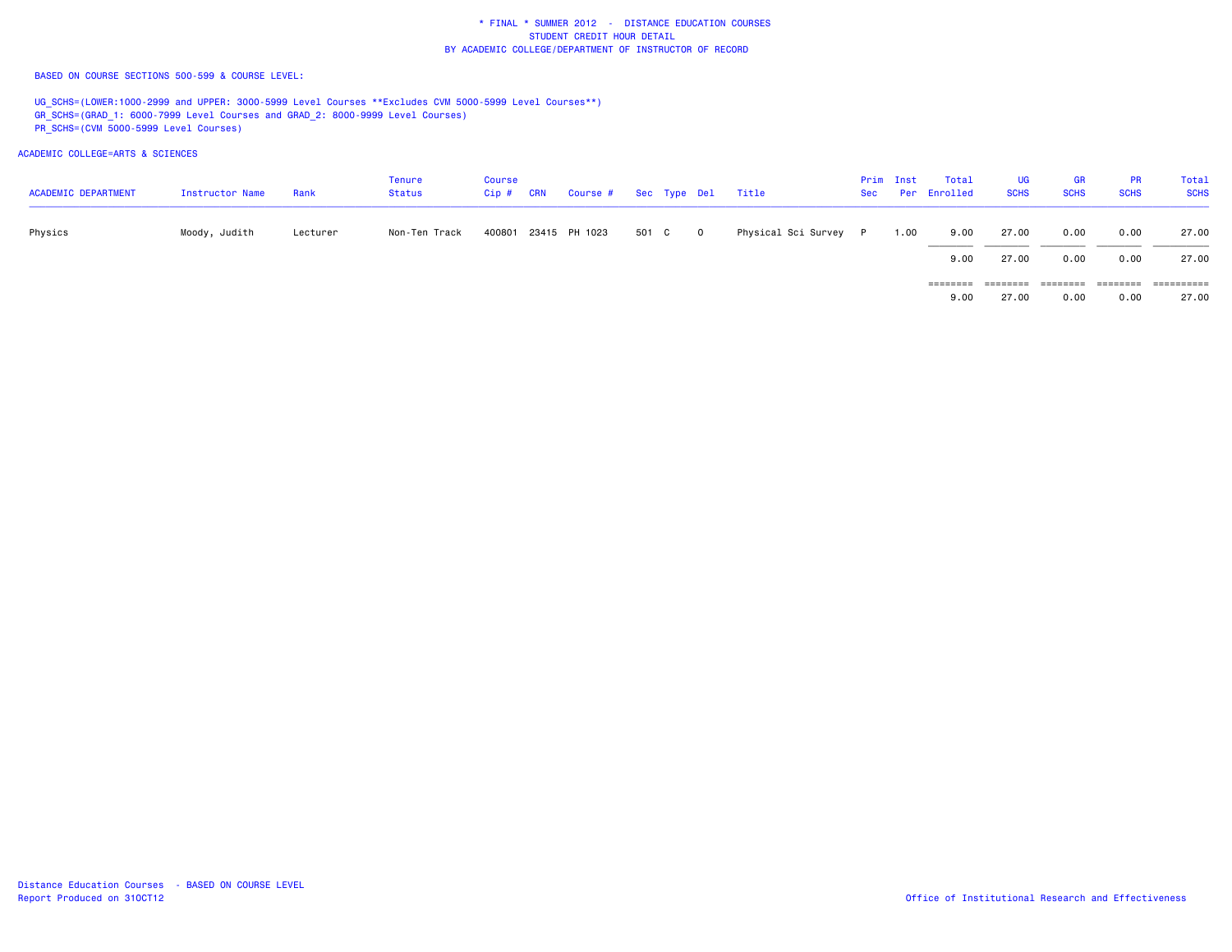BASED ON COURSE SECTIONS 500-599 & COURSE LEVEL:

UG\_SCHS=(LOWER:1000-2999 and UPPER: 3000-5999 Level Courses \*\*Excludes CVM 5000-5999 Level Courses\*\*) GR\_SCHS=(GRAD\_1: 6000-7999 Level Courses and GRAD\_2: 8000-9999 Level Courses) PR\_SCHS=(CVM 5000-5999 Level Courses)

ACADEMIC COLLEGE=ARTS & SCIENCES

| <b>ACADEMIC DEPARTMENT</b> | Instructor Name | Rank     | Tenure<br>Status | <b>Course</b><br>$Cip$ # | <b>CRN</b> | Course # Sec Type Del Title |         |                       | Prim Inst | Total<br>Sec Per Enrolled | UG<br><b>SCHS</b> | <b>GR</b><br><b>SCHS</b> | <b>PR</b><br><b>SCHS</b> | Total<br><b>SCHS</b> |
|----------------------------|-----------------|----------|------------------|--------------------------|------------|-----------------------------|---------|-----------------------|-----------|---------------------------|-------------------|--------------------------|--------------------------|----------------------|
| Physics                    | Moody, Judith   | Lecturer | Non-Ten Track    |                          |            | 400801 23415 PH 1023        | 501 C 0 | Physical Sci Survey P | 1.00      | 9.00                      | 27.00             | 0.00                     | 0.00                     | 27.00                |
|                            |                 |          |                  |                          |            |                             |         |                       |           | 9.00<br>========          | 27.00<br>======== | 0.00<br>========         | 0.00<br>========         | 27.00                |

27.00 9.00 27.00 0.00 0.00 27.00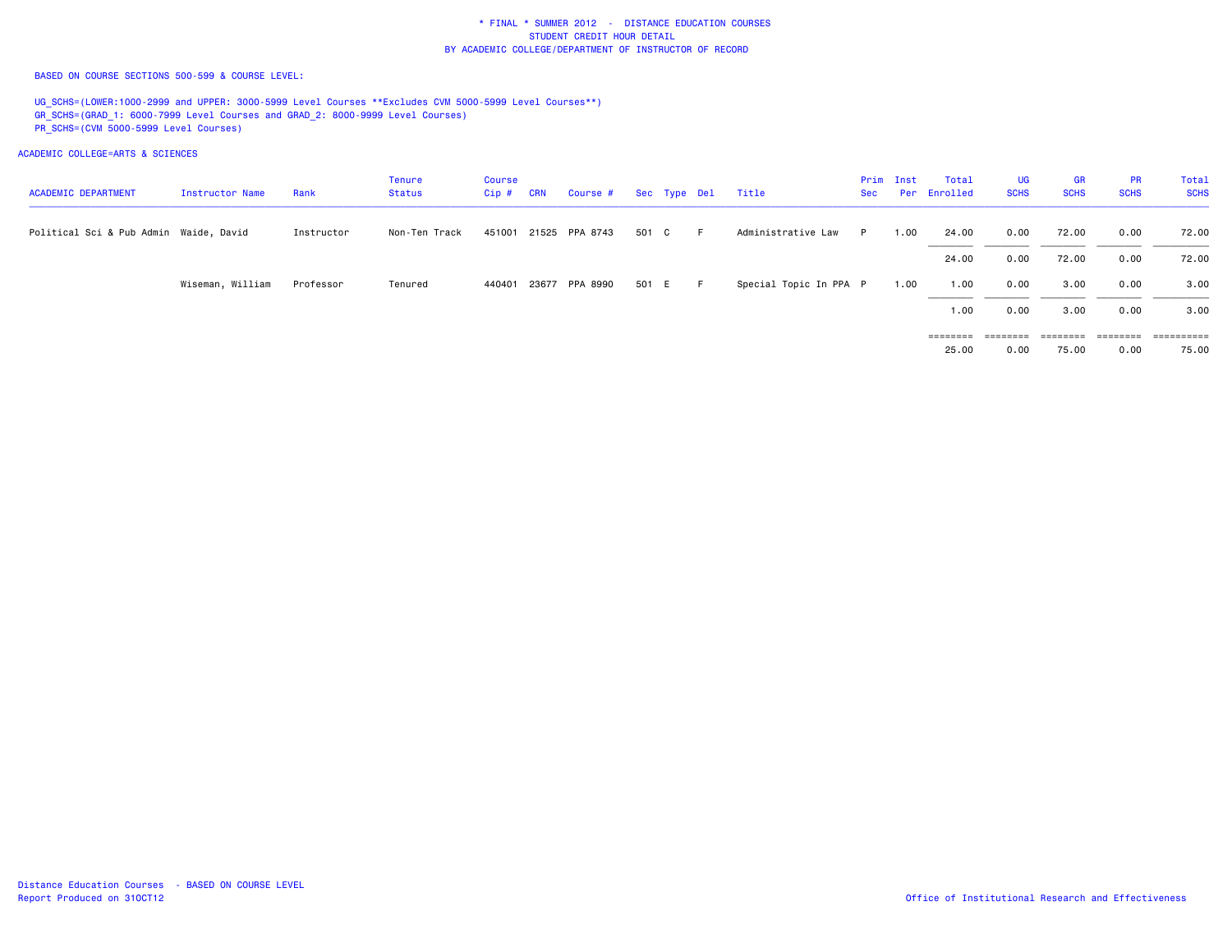BASED ON COURSE SECTIONS 500-599 & COURSE LEVEL:

UG\_SCHS=(LOWER:1000-2999 and UPPER: 3000-5999 Level Courses \*\*Excludes CVM 5000-5999 Level Courses\*\*) GR\_SCHS=(GRAD\_1: 6000-7999 Level Courses and GRAD\_2: 8000-9999 Level Courses) PR\_SCHS=(CVM 5000-5999 Level Courses)

| <b>ACADEMIC DEPARTMENT</b>             | Instructor Name  | Rank       | Tenure<br>Status | Course<br>$Cip$ # | <b>CRN</b> | Course #              |       | Sec Type Del | Title                  | Sec | Prim Inst | Total<br>Per Enrolled | UG<br><b>SCHS</b> | <b>GR</b><br><b>SCHS</b> | <b>PR</b><br><b>SCHS</b> | Total<br><b>SCHS</b> |
|----------------------------------------|------------------|------------|------------------|-------------------|------------|-----------------------|-------|--------------|------------------------|-----|-----------|-----------------------|-------------------|--------------------------|--------------------------|----------------------|
| Political Sci & Pub Admin Waide, David |                  | Instructor | Non-Ten Track    |                   |            | 451001 21525 PPA 8743 | 501 C | - F          | Administrative Law     | P.  | 1.00      | 24.00                 | 0.00              | 72.00                    | 0.00                     | 72.00                |
|                                        |                  |            |                  |                   |            |                       |       |              |                        |     |           | 24.00                 | 0.00              | 72.00                    | 0.00                     | 72.00                |
|                                        | Wiseman, William | Professor  | Tenured          | 440401            |            | 23677 PPA 8990        | 501 E | E.           | Special Topic In PPA P |     | 1.00      | 1.00                  | 0.00              | 3.00                     | 0.00                     | 3.00                 |
|                                        |                  |            |                  |                   |            |                       |       |              |                        |     |           | 1.00                  | 0.00              | 3.00                     | 0.00                     | 3.00                 |
|                                        |                  |            |                  |                   |            |                       |       |              |                        |     |           | ========<br>25.00     | ========<br>0.00  | ========<br>75.00        | ========<br>0.00         | =======<br>75.00     |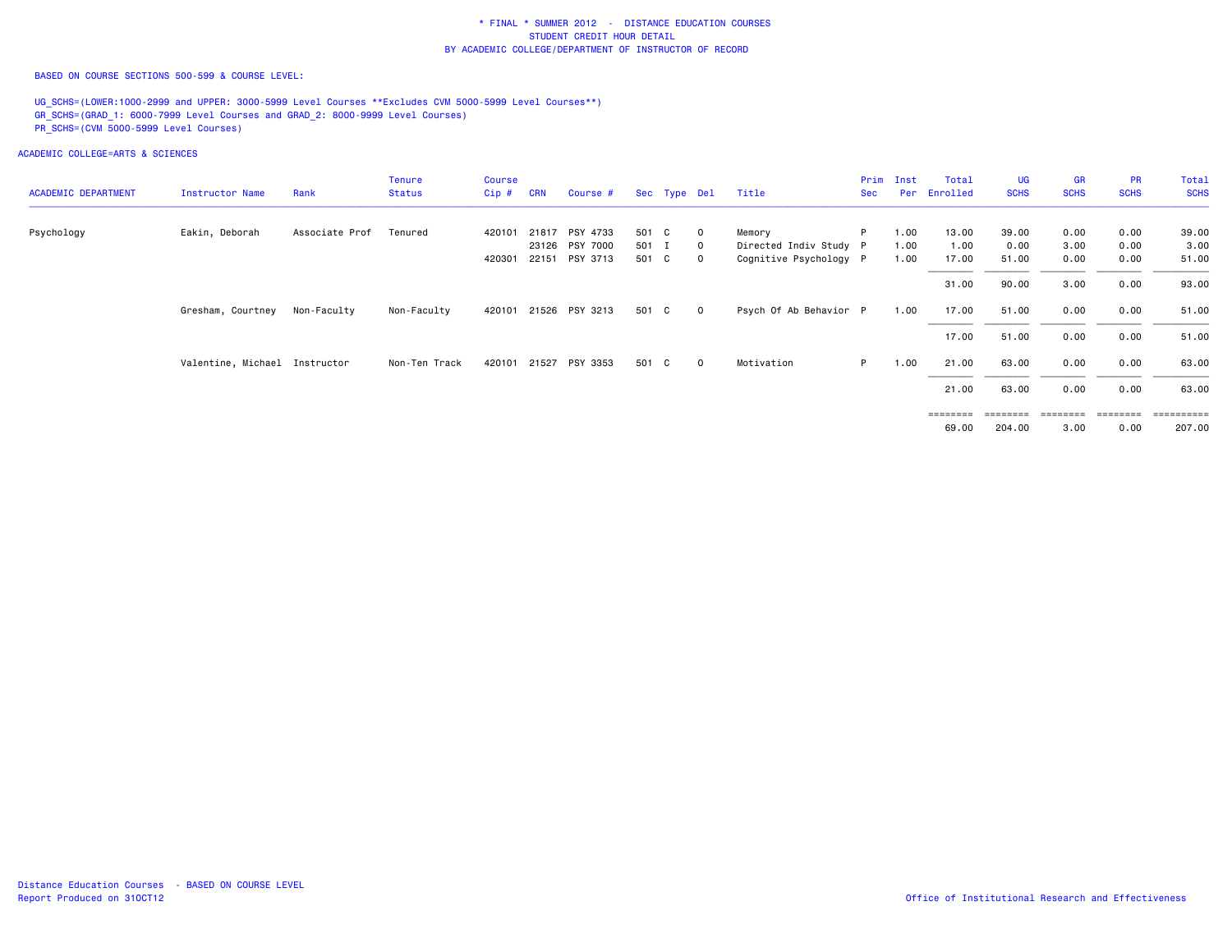BASED ON COURSE SECTIONS 500-599 & COURSE LEVEL:

UG\_SCHS=(LOWER:1000-2999 and UPPER: 3000-5999 Level Courses \*\*Excludes CVM 5000-5999 Level Courses\*\*) GR\_SCHS=(GRAD\_1: 6000-7999 Level Courses and GRAD\_2: 8000-9999 Level Courses) PR\_SCHS=(CVM 5000-5999 Level Courses)

|                   |                | <b>Tenure</b>                                   | Course  |            |          |                                                                                        |                                           |                         | Prim       | Inst                                                                            | Total        | UG                            | <b>GR</b>                           | <b>PR</b>                        | Total                            |
|-------------------|----------------|-------------------------------------------------|---------|------------|----------|----------------------------------------------------------------------------------------|-------------------------------------------|-------------------------|------------|---------------------------------------------------------------------------------|--------------|-------------------------------|-------------------------------------|----------------------------------|----------------------------------|
| Instructor Name   | Rank           | <b>Status</b>                                   | $Cip$ # | <b>CRN</b> | Course # |                                                                                        |                                           | Title                   | <b>Sec</b> |                                                                                 | Enrolled     | <b>SCHS</b>                   | <b>SCHS</b>                         | <b>SCHS</b>                      | <b>SCHS</b>                      |
|                   |                |                                                 |         |            |          |                                                                                        |                                           |                         |            |                                                                                 |              |                               |                                     |                                  | 39.00                            |
|                   |                |                                                 |         |            |          |                                                                                        | $\mathbf{O}$                              |                         |            |                                                                                 |              |                               |                                     |                                  | 3.00                             |
|                   |                |                                                 | 420301  |            |          |                                                                                        | $\overline{0}$                            |                         |            | 1.00                                                                            | 17.00        | 51.00                         | 0.00                                | 0.00                             | 51.00                            |
|                   |                |                                                 |         |            |          |                                                                                        |                                           |                         |            |                                                                                 | 31.00        | 90.00                         | 3.00                                | 0.00                             | 93.00                            |
| Gresham, Courtney | Non-Faculty    | Non-Faculty                                     | 420101  |            |          |                                                                                        | $\overline{0}$                            |                         |            | 1.00                                                                            | 17.00        | 51.00                         | 0.00                                | 0.00                             | 51.00                            |
|                   |                |                                                 |         |            |          |                                                                                        |                                           |                         |            |                                                                                 | 17.00        | 51.00                         | 0.00                                | 0.00                             | 51.00                            |
|                   |                | Non-Ten Track                                   |         |            |          |                                                                                        | $\overline{0}$                            | Motivation              | P.         | 1.00                                                                            | 21.00        | 63.00                         | 0.00                                | 0.00                             | 63.00                            |
|                   |                |                                                 |         |            |          |                                                                                        |                                           |                         |            |                                                                                 | 21.00        | 63.00                         | 0.00                                | 0.00                             | 63.00                            |
|                   |                |                                                 |         |            |          |                                                                                        |                                           |                         |            |                                                                                 |              |                               |                                     |                                  | 207.00                           |
|                   | Eakin, Deborah | Associate Prof<br>Valentine, Michael Instructor | Tenured | 420101     | 420101   | 21817 PSY 4733<br>23126 PSY 7000<br>22151 PSY 3713<br>21526 PSY 3213<br>21527 PSY 3353 | 501 C<br>501 I<br>501 C<br>501 C<br>501 C | Sec Type Del<br>$\circ$ | Memory     | P<br>Directed Indiv Study P<br>Cognitive Psychology P<br>Psych Of Ab Behavior P | 1.00<br>1.00 | Per<br>13.00<br>1.00<br>69.00 | 39.00<br>0.00<br>========<br>204.00 | 0.00<br>3.00<br>========<br>3.00 | 0.00<br>0.00<br>========<br>0.00 |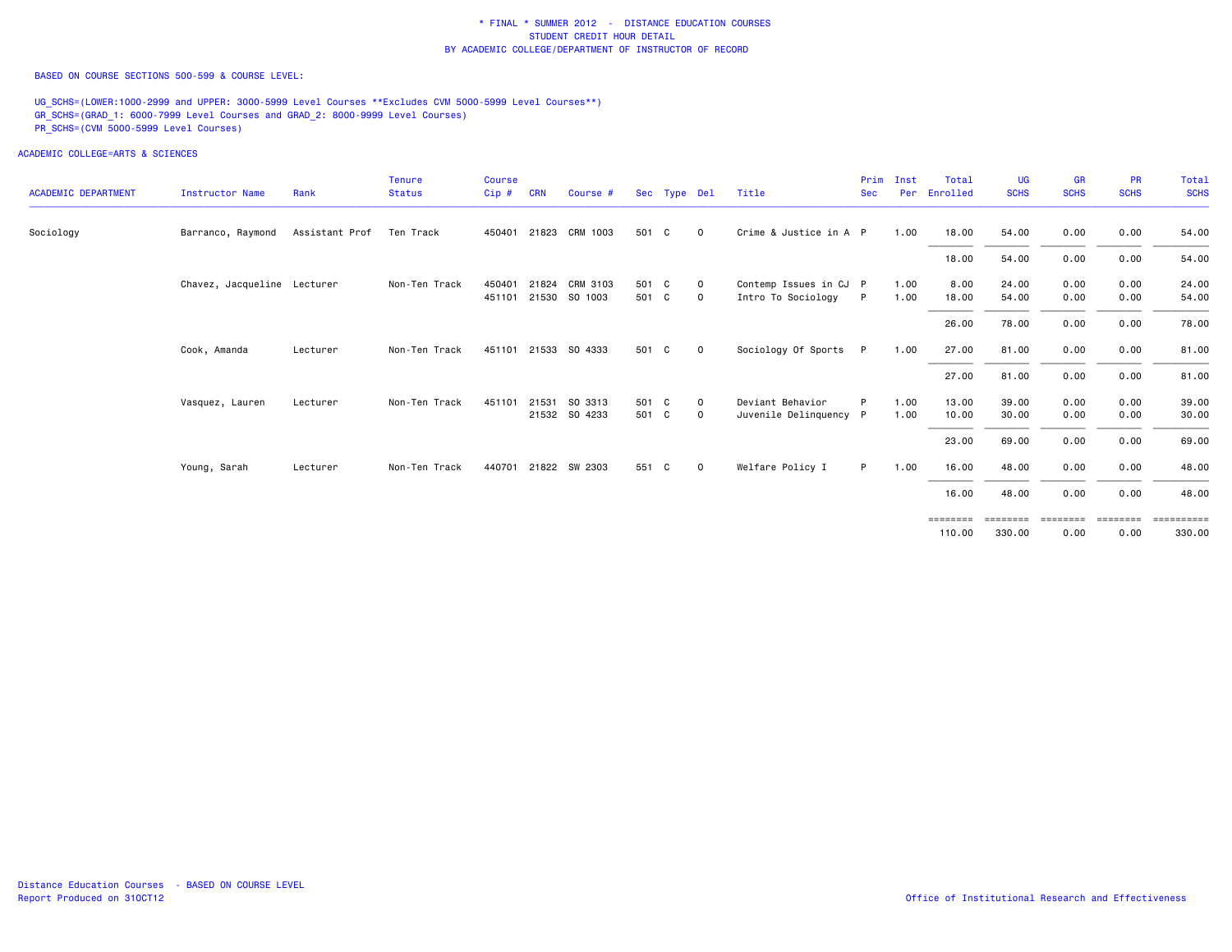BASED ON COURSE SECTIONS 500-599 & COURSE LEVEL:

UG SCHS=(LOWER:1000-2999 and UPPER: 3000-5999 Level Courses \*\*Excludes CVM 5000-5999 Level Courses\*\*) GR\_SCHS=(GRAD\_1: 6000-7999 Level Courses and GRAD\_2: 8000-9999 Level Courses) PR\_SCHS=(CVM 5000-5999 Level Courses)

ACADEMIC COLLEGE=ARTS & SCIENCES

| <b>ACADEMIC DEPARTMENT</b> | <b>Instructor Name</b>      | Rank           | <b>Tenure</b><br><b>Status</b> | <b>Course</b><br>Cip# | <b>CRN</b> | Course #                  |                | Sec Type Del |                     | Title                                        | Prim<br><b>Sec</b> | Inst<br>Per  | Total<br>Enrolled | <b>UG</b><br><b>SCHS</b> | <b>GR</b><br><b>SCHS</b> | <b>PR</b><br><b>SCHS</b> | Total<br><b>SCHS</b>                  |
|----------------------------|-----------------------------|----------------|--------------------------------|-----------------------|------------|---------------------------|----------------|--------------|---------------------|----------------------------------------------|--------------------|--------------|-------------------|--------------------------|--------------------------|--------------------------|---------------------------------------|
|                            |                             |                |                                |                       |            |                           |                |              |                     |                                              |                    |              |                   |                          |                          |                          |                                       |
| Sociology                  | Barranco, Raymond           | Assistant Prof | Ten Track                      | 450401                |            | 21823 CRM 1003            | 501 C          |              | $\mathbf 0$         | Crime & Justice in A P                       |                    | 1.00         | 18.00             | 54.00                    | 0.00                     | 0.00                     | 54.00                                 |
|                            |                             |                |                                |                       |            |                           |                |              |                     |                                              |                    |              | 18.00             | 54.00                    | 0.00                     | 0.00                     | 54.00                                 |
|                            | Chavez, Jacqueline Lecturer |                | Non-Ten Track                  | 450401<br>451101      | 21824      | CRM 3103<br>21530 SO 1003 | 501 C<br>501 C |              | $\Omega$<br>$\circ$ | Contemp Issues in CJ P<br>Intro To Sociology | P                  | 1.00<br>1.00 | 8,00<br>18.00     | 24.00<br>54.00           | 0.00<br>0.00             | 0.00<br>0.00             | 24.00<br>54.00                        |
|                            |                             |                |                                |                       |            |                           |                |              |                     |                                              |                    |              | 26.00             | 78.00                    | 0.00                     | 0.00                     | 78.00                                 |
|                            | Cook, Amanda                | Lecturer       | Non-Ten Track                  | 451101                |            | 21533 SO 4333             | 501 C          |              | $\mathbf 0$         | Sociology Of Sports                          | P.                 | 1.00         | 27.00             | 81.00                    | 0.00                     | 0.00                     | 81.00                                 |
|                            |                             |                |                                |                       |            |                           |                |              |                     |                                              |                    |              | 27.00             | 81.00                    | 0.00                     | 0.00                     | 81.00                                 |
|                            | Vasquez, Lauren             | Lecturer       | Non-Ten Track                  | 451101                |            | 21531 SO 3313             | 501 C          |              | $\mathbf 0$         | Deviant Behavior                             | P                  | 1.00         | 13.00             | 39.00                    | 0.00                     | 0.00                     | 39.00                                 |
|                            |                             |                |                                |                       |            | 21532 SO 4233             | 501 C          |              | $\mathbf 0$         | Juvenile Delinquency P                       |                    | 1.00         | 10.00             | 30.00                    | 0.00                     | 0.00                     | 30.00                                 |
|                            |                             |                |                                |                       |            |                           |                |              |                     |                                              |                    |              | 23.00             | 69.00                    | 0.00                     | 0.00                     | 69.00                                 |
|                            | Young, Sarah                | Lecturer       | Non-Ten Track                  | 440701                |            | 21822 SW 2303             | 551 C          |              | $\Omega$            | Welfare Policy I                             | P.                 | 1.00         | 16.00             | 48.00                    | 0.00                     | 0.00                     | 48.00                                 |
|                            |                             |                |                                |                       |            |                           |                |              |                     |                                              |                    |              | 16.00             | 48.00                    | 0.00                     | 0.00                     | 48.00                                 |
|                            |                             |                |                                |                       |            |                           |                |              |                     |                                              |                    |              | ========          |                          |                          |                          | ======== ======== ======== ========== |

 110.00 330.00 0.00 0.00 330.00330.00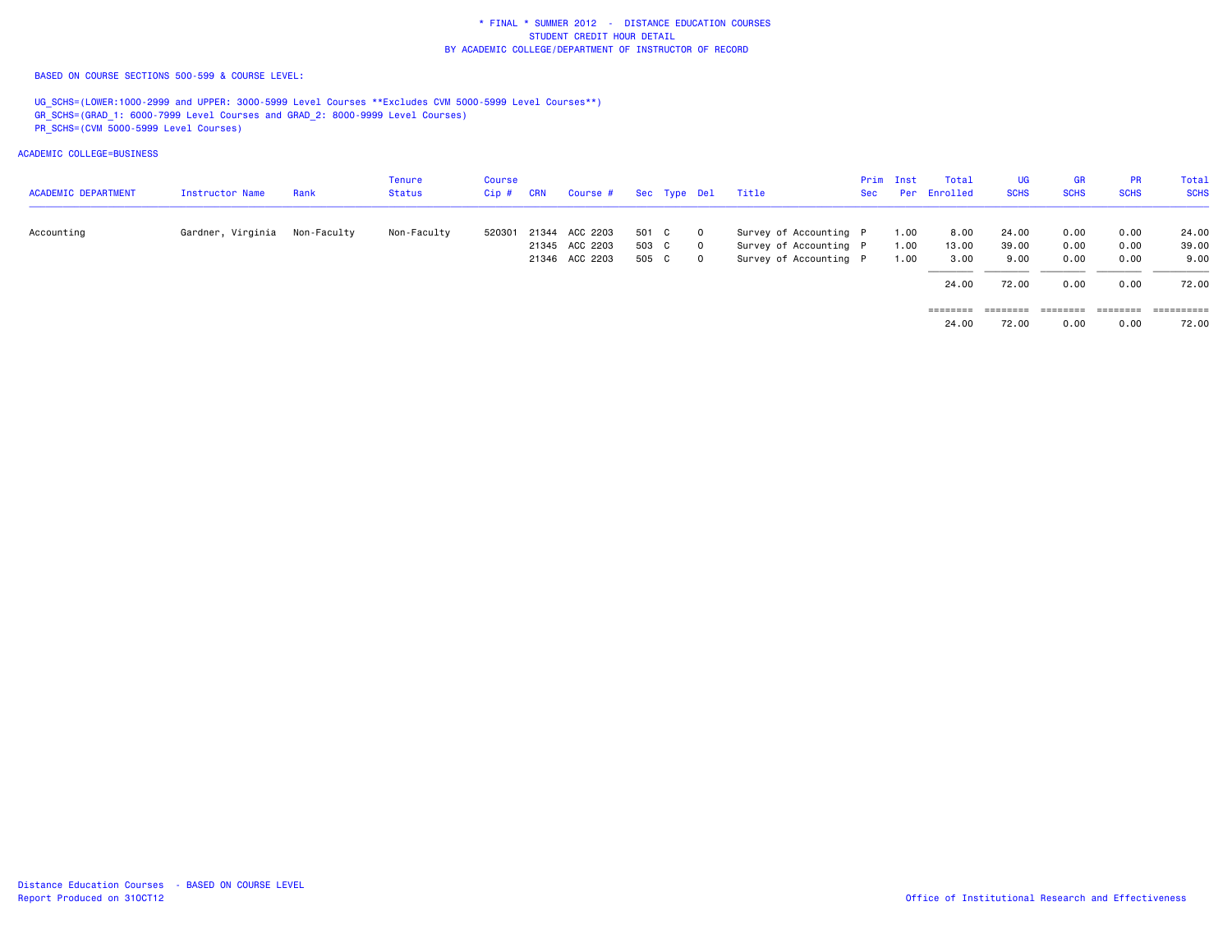BASED ON COURSE SECTIONS 500-599 & COURSE LEVEL:

UG\_SCHS=(LOWER:1000-2999 and UPPER: 3000-5999 Level Courses \*\*Excludes CVM 5000-5999 Level Courses\*\*) GR\_SCHS=(GRAD\_1: 6000-7999 Level Courses and GRAD\_2: 8000-9999 Level Courses) PR\_SCHS=(CVM 5000-5999 Level Courses)

| <b>ACADEMIC DEPARTMENT</b> | Instructor Name   | Rank        | Tenure<br>Status | Course<br>$Cip$ # | <b>CRN</b> | Course #       |       | Sec Type Del |             | Title                  | Sec | Prim Inst | Total<br>Per Enrolled | <b>UG</b><br><b>SCHS</b> | <b>GR</b><br><b>SCHS</b> | <b>PR</b><br><b>SCHS</b> | Total<br><b>SCHS</b> |
|----------------------------|-------------------|-------------|------------------|-------------------|------------|----------------|-------|--------------|-------------|------------------------|-----|-----------|-----------------------|--------------------------|--------------------------|--------------------------|----------------------|
| Accounting                 | Gardner, Virginia | Non-Faculty | Non-Faculty      | 520301            |            | 21344 ACC 2203 | 501 C |              | $\mathbf 0$ | Survey of Accounting P |     | 1.00      | 8.00                  | 24.00                    | 0.00                     | 0.00                     | 24.00                |
|                            |                   |             |                  |                   |            | 21345 ACC 2203 | 503 C |              | $\mathbf 0$ | Survey of Accounting P |     | 1.00      | 13.00                 | 39.00                    | 0.00                     | 0.00                     | 39.00                |
|                            |                   |             |                  |                   |            | 21346 ACC 2203 | 505 C |              | $\mathbf 0$ | Survey of Accounting P |     | 1.00      | 3.00                  | 9.00                     | 0.00                     | 0.00                     | 9.00                 |
|                            |                   |             |                  |                   |            |                |       |              |             |                        |     |           | 24.00                 | 72.00                    | 0.00                     | 0.00                     | 72.00                |
|                            |                   |             |                  |                   |            |                |       |              |             |                        |     |           | ========              | ========                 | --------                 | --------                 | ==========           |
|                            |                   |             |                  |                   |            |                |       |              |             |                        |     |           | 24.00                 | 72.00                    | 0.00                     | 0.00                     | 72.00                |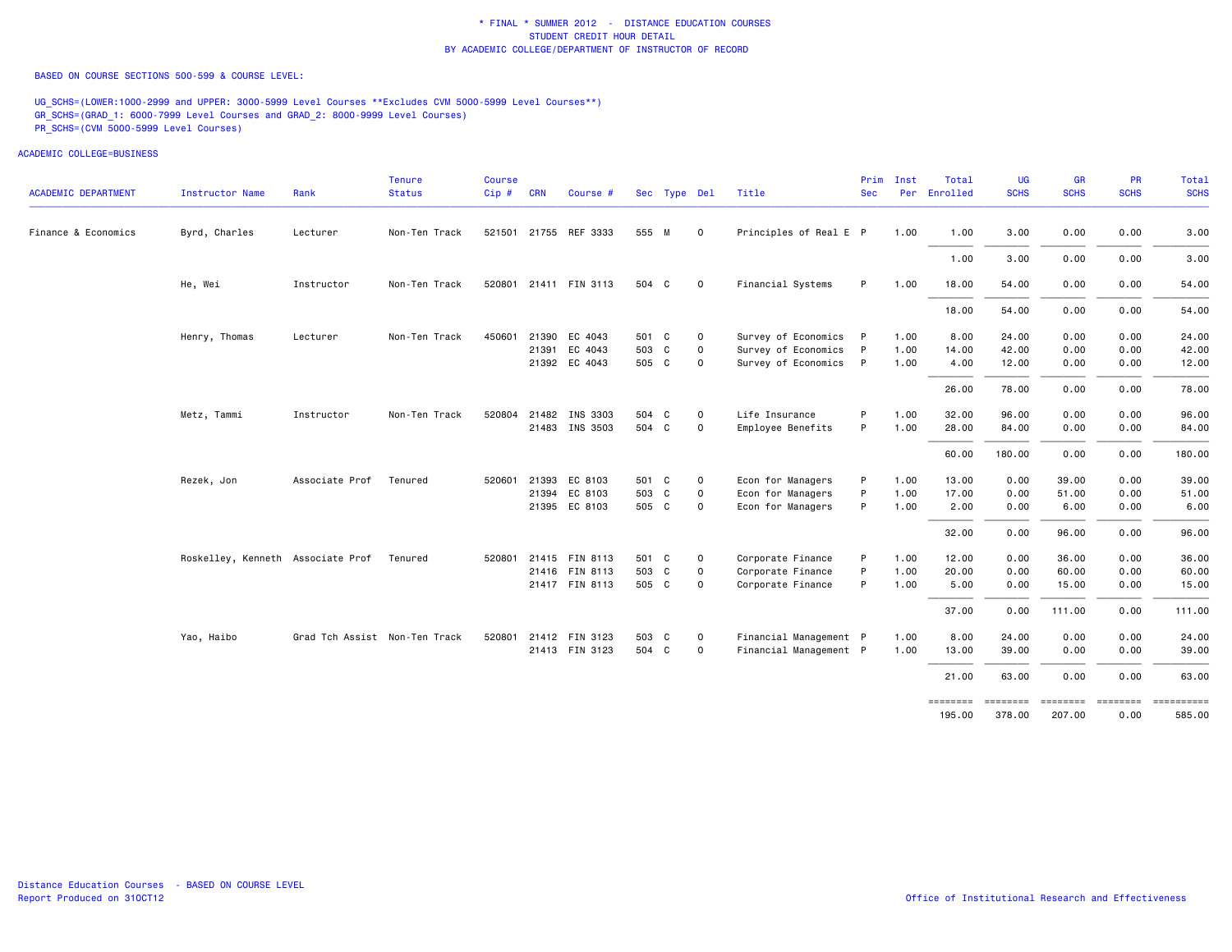BASED ON COURSE SECTIONS 500-599 & COURSE LEVEL:

UG\_SCHS=(LOWER:1000-2999 and UPPER: 3000-5999 Level Courses \*\*Excludes CVM 5000-5999 Level Courses\*\*) GR\_SCHS=(GRAD\_1: 6000-7999 Level Courses and GRAD\_2: 8000-9999 Level Courses) PR\_SCHS=(CVM 5000-5999 Level Courses)

| <b>ACADEMIC DEPARTMENT</b> | <b>Instructor Name</b>            | Rank                          | Tenure<br><b>Status</b> | Course<br>$Cip$ # | <b>CRN</b> | Course #              |       | Sec Type Del |             | Title                  | Prim<br><b>Sec</b> | Inst<br>Per | Total<br>Enrolled  | <b>UG</b><br><b>SCHS</b> | <b>GR</b><br><b>SCHS</b>  | PR<br><b>SCHS</b>       | Total<br><b>SCHS</b> |
|----------------------------|-----------------------------------|-------------------------------|-------------------------|-------------------|------------|-----------------------|-------|--------------|-------------|------------------------|--------------------|-------------|--------------------|--------------------------|---------------------------|-------------------------|----------------------|
|                            |                                   |                               |                         |                   |            |                       |       |              |             |                        |                    |             |                    |                          |                           |                         |                      |
| Finance & Economics        | Byrd, Charles                     | Lecturer                      | Non-Ten Track           |                   |            | 521501 21755 REF 3333 | 555 M |              | $\mathbf 0$ | Principles of Real E P |                    | 1.00        | 1.00               | 3.00                     | 0.00                      | 0.00                    | 3.00                 |
|                            |                                   |                               |                         |                   |            |                       |       |              |             |                        |                    |             | 1.00               | 3.00                     | 0.00                      | 0.00                    | 3.00                 |
|                            | He, Wei                           | Instructor                    | Non-Ten Track           |                   |            | 520801 21411 FIN 3113 | 504 C |              | $\circ$     | Financial Systems      | P                  | 1.00        | 18.00              | 54.00                    | 0.00                      | 0.00                    | 54.00                |
|                            |                                   |                               |                         |                   |            |                       |       |              |             |                        |                    |             | 18.00              | 54.00                    | 0.00                      | 0.00                    | 54.00                |
|                            | Henry, Thomas                     | Lecturer                      | Non-Ten Track           | 450601            |            | 21390 EC 4043         | 501 C |              | $\mathbf 0$ | Survey of Economics P  |                    | 1.00        | 8.00               | 24.00                    | 0.00                      | 0.00                    | 24.00                |
|                            |                                   |                               |                         |                   |            | 21391 EC 4043         | 503 C |              | $\circ$     | Survey of Economics P  |                    | 1.00        | 14.00              | 42.00                    | 0.00                      | 0.00                    | 42.00                |
|                            |                                   |                               |                         |                   |            | 21392 EC 4043         | 505 C |              | $\mathbf 0$ | Survey of Economics P  |                    | 1.00        | 4.00               | 12.00                    | 0.00                      | 0.00                    | 12.00                |
|                            |                                   |                               |                         |                   |            |                       |       |              |             |                        |                    |             | 26.00              | 78.00                    | 0.00                      | 0.00                    | 78.00                |
|                            | Metz, Tammi                       | Instructor                    | Non-Ten Track           |                   |            | 520804 21482 INS 3303 | 504 C |              | $\mathbf 0$ | Life Insurance         | P                  | 1.00        | 32.00              | 96.00                    | 0.00                      | 0.00                    | 96.00                |
|                            |                                   |                               |                         |                   |            | 21483 INS 3503        | 504 C |              | $\circ$     | Employee Benefits      | P                  | 1.00        | 28.00              | 84.00                    | 0.00                      | 0.00                    | 84.00                |
|                            |                                   |                               |                         |                   |            |                       |       |              |             |                        |                    |             | 60.00              | 180.00                   | 0.00                      | 0.00                    | 180.00               |
|                            | Rezek, Jon                        | Associate Prof                | Tenured                 | 520601            |            | 21393 EC 8103         | 501 C |              | $\mathbf 0$ | Econ for Managers      | P                  | 1.00        | 13.00              | 0.00                     | 39.00                     | 0.00                    | 39.00                |
|                            |                                   |                               |                         |                   |            | 21394 EC 8103         | 503 C |              | $\mathbf 0$ | Econ for Managers      | P                  | 1.00        | 17.00              | 0.00                     | 51.00                     | 0.00                    | 51.00                |
|                            |                                   |                               |                         |                   |            | 21395 EC 8103         | 505 C |              | $\mathbf 0$ | Econ for Managers      | P                  | 1.00        | 2.00               | 0.00                     | 6.00                      | 0.00                    | 6.00                 |
|                            |                                   |                               |                         |                   |            |                       |       |              |             |                        |                    |             | 32.00              | 0.00                     | 96.00                     | 0.00                    | 96.00                |
|                            | Roskelley, Kenneth Associate Prof |                               | Tenured                 |                   |            | 520801 21415 FIN 8113 | 501 C |              | $\mathbf 0$ | Corporate Finance      | P                  | 1.00        | 12.00              | 0.00                     | 36.00                     | 0.00                    | 36.00                |
|                            |                                   |                               |                         |                   |            | 21416 FIN 8113        | 503 C |              | $\mathbf 0$ | Corporate Finance      | P                  | 1.00        | 20.00              | 0.00                     | 60.00                     | 0.00                    | 60.00                |
|                            |                                   |                               |                         |                   |            | 21417 FIN 8113        | 505 C |              | $\circ$     | Corporate Finance      | P                  | 1.00        | 5.00               | 0.00                     | 15.00                     | 0.00                    | 15.00                |
|                            |                                   |                               |                         |                   |            |                       |       |              |             |                        |                    |             | 37.00              | 0.00                     | 111.00                    | 0.00                    | 111.00               |
|                            | Yao, Haibo                        | Grad Tch Assist Non-Ten Track |                         | 520801            |            | 21412 FIN 3123        | 503 C |              | $\mathbf 0$ | Financial Management P |                    | 1.00        | 8.00               | 24.00                    | 0.00                      | 0.00                    | 24.00                |
|                            |                                   |                               |                         |                   |            | 21413 FIN 3123        | 504 C |              | $\mathbf 0$ | Financial Management P |                    | 1.00        | 13.00              | 39.00                    | 0.00                      | 0.00                    | 39.00                |
|                            |                                   |                               |                         |                   |            |                       |       |              |             |                        |                    |             | 21.00              | 63.00                    | 0.00                      | 0.00                    | 63.00                |
|                            |                                   |                               |                         |                   |            |                       |       |              |             |                        |                    |             | ========<br>195.00 | ========<br>378.00       | <b>EEEEEEEE</b><br>207.00 | <b>ESSESSES</b><br>0.00 | ==========<br>585.00 |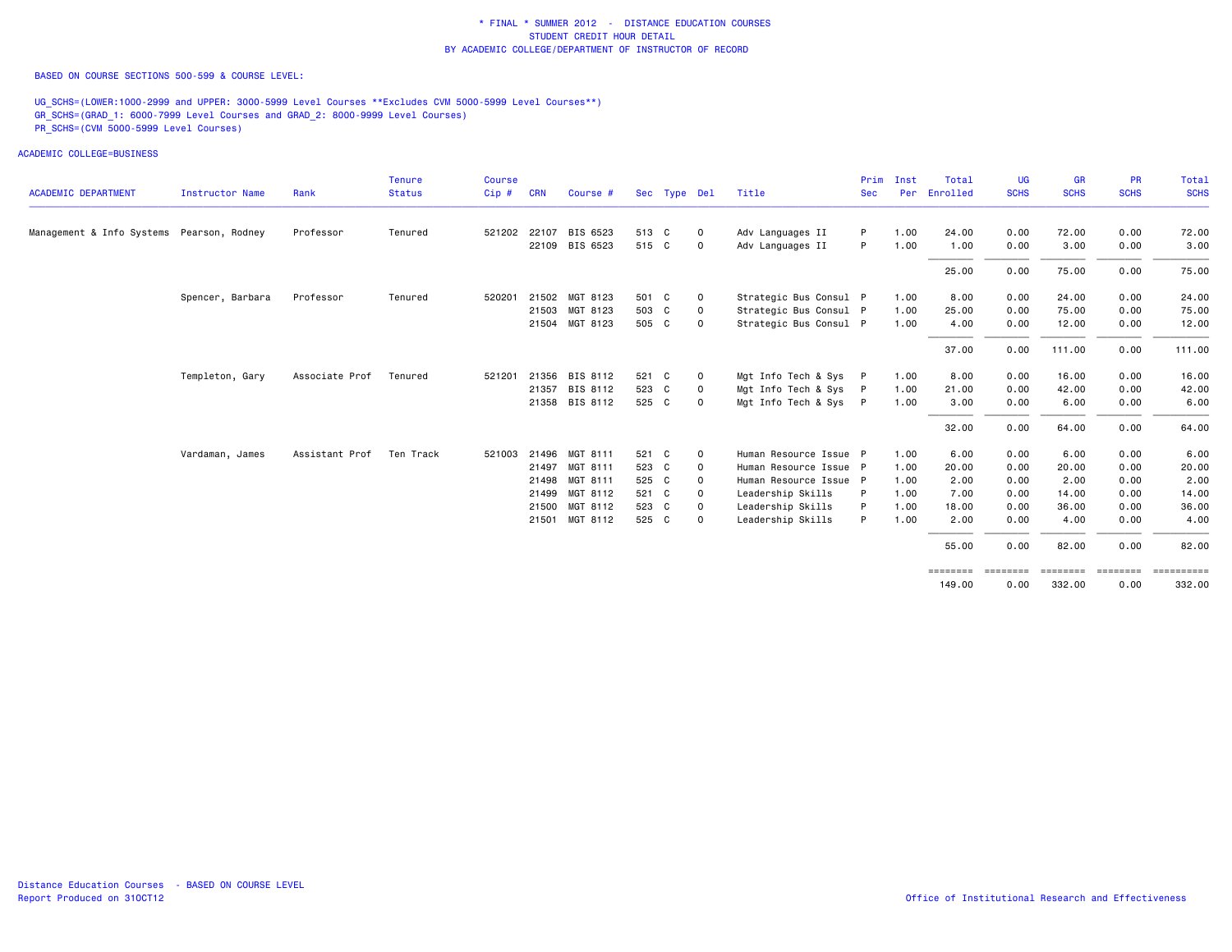BASED ON COURSE SECTIONS 500-599 & COURSE LEVEL:

UG\_SCHS=(LOWER:1000-2999 and UPPER: 3000-5999 Level Courses \*\*Excludes CVM 5000-5999 Level Courses\*\*) GR\_SCHS=(GRAD\_1: 6000-7999 Level Courses and GRAD\_2: 8000-9999 Level Courses) PR\_SCHS=(CVM 5000-5999 Level Courses)

|                                           |                        |                | <b>Tenure</b> | <b>Course</b> |            |                |       |              |             |                        | Prim       | Inst | Total              | UG            | <b>GR</b>          | <b>PR</b>        | <b>Total</b>                    |
|-------------------------------------------|------------------------|----------------|---------------|---------------|------------|----------------|-------|--------------|-------------|------------------------|------------|------|--------------------|---------------|--------------------|------------------|---------------------------------|
| <b>ACADEMIC DEPARTMENT</b>                | <b>Instructor Name</b> | Rank           | <b>Status</b> | Cip#          | <b>CRN</b> | Course #       |       | Sec Type Del |             | Title                  | <b>Sec</b> | Per  | Enrolled           | <b>SCHS</b>   | <b>SCHS</b>        | <b>SCHS</b>      | <b>SCHS</b>                     |
| Management & Info Systems Pearson, Rodney |                        | Professor      | Tenured       | 521202        | 22107      | BIS 6523       | 513 C |              | $\mathbf 0$ | Adv Languages II       | P          | 1.00 | 24.00              | 0.00          | 72.00              | 0.00             | 72.00                           |
|                                           |                        |                |               |               |            | 22109 BIS 6523 | 515 C |              | $\mathbf 0$ | Adv Languages II       | P          | 1.00 | 1.00               | 0.00          | 3.00               | 0.00             | 3.00                            |
|                                           |                        |                |               |               |            |                |       |              |             |                        |            |      | 25.00              | 0.00          | 75.00              | 0.00             | 75.00                           |
|                                           | Spencer, Barbara       | Professor      | Tenured       | 520201        |            | 21502 MGT 8123 | 501 C |              | $\mathbf 0$ | Strategic Bus Consul P |            | 1.00 | 8.00               | 0.00          | 24.00              | 0.00             | 24.00                           |
|                                           |                        |                |               |               | 21503      | MGT 8123       | 503 C |              | $\mathbf 0$ | Strategic Bus Consul P |            | 1.00 | 25.00              | 0.00          | 75.00              | 0.00             | 75.00                           |
|                                           |                        |                |               |               |            | 21504 MGT 8123 | 505 C |              | $\mathbf 0$ | Strategic Bus Consul P |            | 1.00 | 4.00               | 0.00          | 12.00              | 0.00             | 12.00                           |
|                                           |                        |                |               |               |            |                |       |              |             |                        |            |      | 37.00              | 0.00          | 111.00             | 0.00             | 111.00                          |
|                                           | Templeton, Gary        | Associate Prof | Tenured       | 521201        |            | 21356 BIS 8112 | 521 C |              | $\mathbf 0$ | Mgt Info Tech & Sys P  |            | 1.00 | 8.00               | 0.00          | 16.00              | 0.00             | 16.00                           |
|                                           |                        |                |               |               | 21357      | BIS 8112       | 523 C |              | $\mathbf 0$ | Mgt Info Tech & Sys P  |            | 1.00 | 21.00              | 0.00          | 42.00              | 0.00             | 42.00                           |
|                                           |                        |                |               |               | 21358      | BIS 8112       | 525 C |              | $\mathbf 0$ | Mgt Info Tech & Sys P  |            | 1.00 | 3.00               | 0.00          | 6.00               | 0.00             | 6.00                            |
|                                           |                        |                |               |               |            |                |       |              |             |                        |            |      | 32.00              | 0.00          | 64.00              | 0.00             | 64.00                           |
|                                           | Vardaman, James        | Assistant Prof | Ten Track     | 521003        | 21496      | MGT 8111       | 521 C |              | $\mathbf 0$ | Human Resource Issue P |            | 1.00 | 6.00               | 0.00          | 6.00               | 0.00             | 6.00                            |
|                                           |                        |                |               |               | 21497      | MGT 8111       | 523 C |              | 0           | Human Resource Issue P |            | 1.00 | 20.00              | 0.00          | 20.00              | 0.00             | 20.00                           |
|                                           |                        |                |               |               | 21498      | MGT 8111       | 525 C |              | 0           | Human Resource Issue P |            | 1.00 | 2.00               | 0.00          | 2.00               | 0.00             | 2.00                            |
|                                           |                        |                |               |               | 21499      | MGT 8112       | 521 C |              | $\mathbf 0$ | Leadership Skills      |            | 1.00 | 7.00               | 0.00          | 14.00              | 0.00             | 14.00                           |
|                                           |                        |                |               |               | 21500      | MGT 8112       | 523 C |              | $\mathbf 0$ | Leadership Skills      | P          | 1.00 | 18,00              | 0.00          | 36.00              | 0.00             | 36.00                           |
|                                           |                        |                |               |               | 21501      | MGT 8112       | 525 C |              | $\Omega$    | Leadership Skills      | P          | 1.00 | 2.00               | 0.00          | 4.00               | 0.00             | 4.00                            |
|                                           |                        |                |               |               |            |                |       |              |             |                        |            |      | 55.00              | 0.00          | 82.00              | 0.00             | 82.00                           |
|                                           |                        |                |               |               |            |                |       |              |             |                        |            |      | ========<br>149.00 | -----<br>0.00 | ========<br>332.00 | ========<br>0.00 | $=$ = = = = = = = = =<br>332.00 |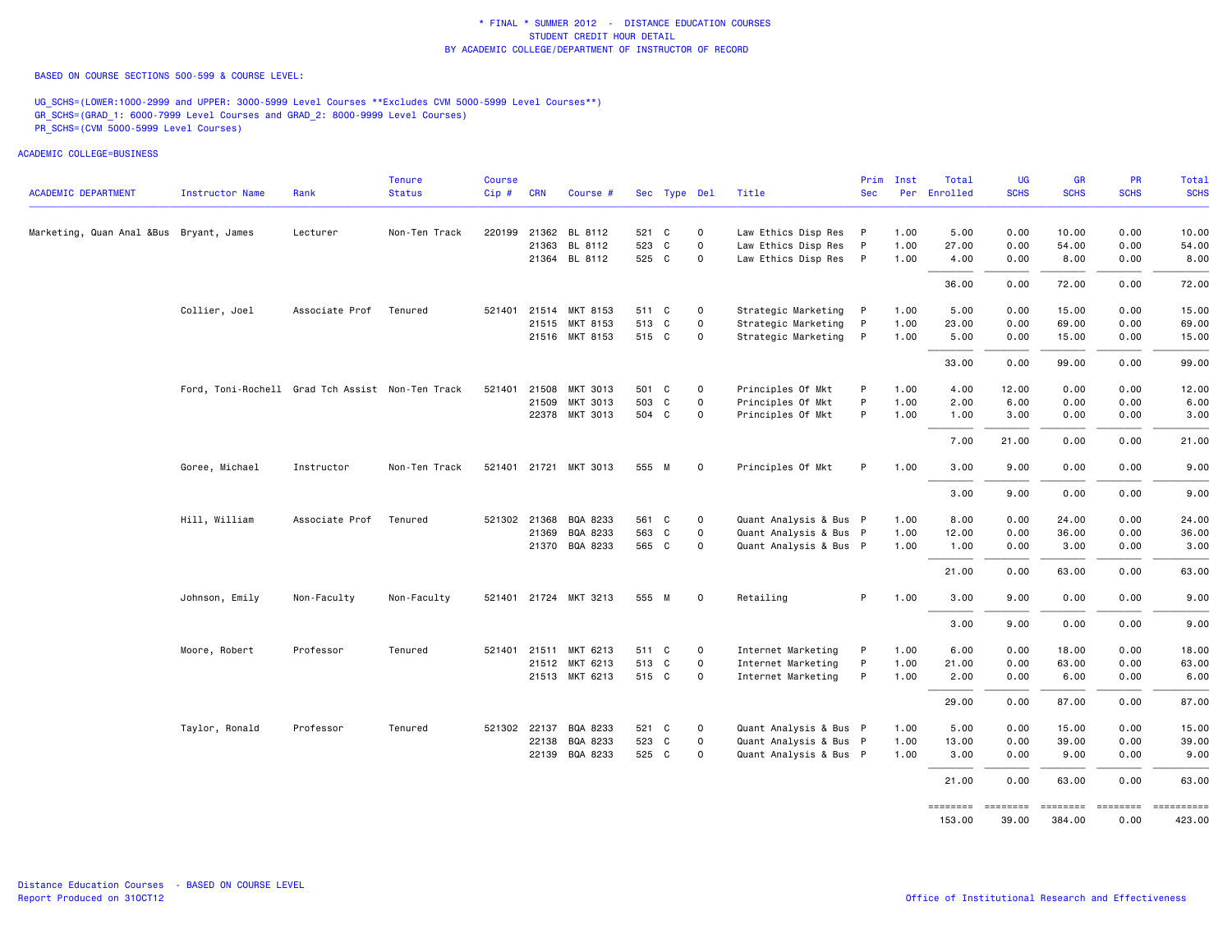BASED ON COURSE SECTIONS 500-599 & COURSE LEVEL:

UG\_SCHS=(LOWER:1000-2999 and UPPER: 3000-5999 Level Courses \*\*Excludes CVM 5000-5999 Level Courses\*\*) GR\_SCHS=(GRAD\_1: 6000-7999 Level Courses and GRAD\_2: 8000-9999 Level Courses) PR\_SCHS=(CVM 5000-5999 Level Courses)

|                                         |                                                  |                | <b>Tenure</b> | <b>Course</b> |              |                       |       |              |             |                        | Prim         | Inst | Total        | <b>UG</b>   | <b>GR</b>   | PR          | Total                                                                                                                                                                                                                                                                                                                                                                                                                                                                                  |
|-----------------------------------------|--------------------------------------------------|----------------|---------------|---------------|--------------|-----------------------|-------|--------------|-------------|------------------------|--------------|------|--------------|-------------|-------------|-------------|----------------------------------------------------------------------------------------------------------------------------------------------------------------------------------------------------------------------------------------------------------------------------------------------------------------------------------------------------------------------------------------------------------------------------------------------------------------------------------------|
| <b>ACADEMIC DEPARTMENT</b>              | <b>Instructor Name</b>                           | Rank           | <b>Status</b> | Cip#          | <b>CRN</b>   | Course #              |       | Sec Type Del |             | Title                  | <b>Sec</b>   |      | Per Enrolled | <b>SCHS</b> | <b>SCHS</b> | <b>SCHS</b> | <b>SCHS</b>                                                                                                                                                                                                                                                                                                                                                                                                                                                                            |
| Marketing, Quan Anal &Bus Bryant, James |                                                  | Lecturer       | Non-Ten Track | 220199        |              | 21362 BL 8112         | 521 C |              | $\mathbf 0$ | Law Ethics Disp Res P  |              | 1.00 | 5.00         | 0.00        | 10.00       | 0.00        | 10.00                                                                                                                                                                                                                                                                                                                                                                                                                                                                                  |
|                                         |                                                  |                |               |               |              | 21363 BL 8112         | 523   | C            | $\circ$     | Law Ethics Disp Res    | $\mathsf{P}$ | 1.00 | 27.00        | 0.00        | 54.00       | 0.00        | 54.00                                                                                                                                                                                                                                                                                                                                                                                                                                                                                  |
|                                         |                                                  |                |               |               |              | 21364 BL 8112         | 525 C |              | $\mathbf 0$ | Law Ethics Disp Res P  |              | 1.00 | 4.00         | 0.00        | 8.00        | 0.00        | 8.00                                                                                                                                                                                                                                                                                                                                                                                                                                                                                   |
|                                         |                                                  |                |               |               |              |                       |       |              |             |                        |              |      | 36.00        | 0.00        | 72.00       | 0.00        | 72.00                                                                                                                                                                                                                                                                                                                                                                                                                                                                                  |
|                                         | Collier, Joel                                    | Associate Prof | Tenured       |               |              | 521401 21514 MKT 8153 | 511 C |              | $\mathbf 0$ | Strategic Marketing P  |              | 1.00 | 5.00         | 0.00        | 15.00       | 0.00        | 15.00                                                                                                                                                                                                                                                                                                                                                                                                                                                                                  |
|                                         |                                                  |                |               |               |              | 21515 MKT 8153        | 513 C |              | $\mathbf 0$ | Strategic Marketing    | P            | 1.00 | 23.00        | 0.00        | 69.00       | 0.00        | 69.00                                                                                                                                                                                                                                                                                                                                                                                                                                                                                  |
|                                         |                                                  |                |               |               |              | 21516 MKT 8153        | 515 C |              | $\mathbf 0$ | Strategic Marketing    | $\mathsf{P}$ | 1.00 | 5.00         | 0.00        | 15.00       | 0.00        | 15.00                                                                                                                                                                                                                                                                                                                                                                                                                                                                                  |
|                                         |                                                  |                |               |               |              |                       |       |              |             |                        |              |      | 33.00        | 0.00        | 99.00       | 0.00        | 99.00                                                                                                                                                                                                                                                                                                                                                                                                                                                                                  |
|                                         | Ford, Toni-Rochell Grad Tch Assist Non-Ten Track |                |               | 521401        | 21508        | MKT 3013              | 501 C |              | $\mathbf 0$ | Principles Of Mkt      | P            | 1.00 | 4.00         | 12.00       | 0.00        | 0.00        | 12.00                                                                                                                                                                                                                                                                                                                                                                                                                                                                                  |
|                                         |                                                  |                |               |               | 21509        | MKT 3013              | 503 C |              | 0           | Principles Of Mkt      | P            | 1.00 | 2.00         | 6.00        | 0.00        | 0.00        | 6.00                                                                                                                                                                                                                                                                                                                                                                                                                                                                                   |
|                                         |                                                  |                |               |               | 22378        | MKT 3013              | 504 C |              | $\mathbf 0$ | Principles Of Mkt      | P            | 1.00 | 1.00         | 3.00        | 0.00        | 0.00        | 3.00                                                                                                                                                                                                                                                                                                                                                                                                                                                                                   |
|                                         |                                                  |                |               |               |              |                       |       |              |             |                        |              |      | 7.00         | 21.00       | 0.00        | 0.00        | 21.00                                                                                                                                                                                                                                                                                                                                                                                                                                                                                  |
|                                         | Goree, Michael                                   | Instructor     | Non-Ten Track |               |              | 521401 21721 MKT 3013 | 555 M |              | $\mathbf 0$ | Principles Of Mkt      | P            | 1.00 | 3.00         | 9.00        | 0.00        | 0.00        | 9.00                                                                                                                                                                                                                                                                                                                                                                                                                                                                                   |
|                                         |                                                  |                |               |               |              |                       |       |              |             |                        |              |      | 3.00         | 9.00        | 0.00        | 0.00        | 9.00                                                                                                                                                                                                                                                                                                                                                                                                                                                                                   |
|                                         | Hill, William                                    | Associate Prof | Tenured       |               | 521302 21368 | BQA 8233              | 561 C |              | $\mathsf 0$ | Quant Analysis & Bus P |              | 1.00 | 8.00         | 0.00        | 24.00       | 0.00        | 24.00                                                                                                                                                                                                                                                                                                                                                                                                                                                                                  |
|                                         |                                                  |                |               |               | 21369        | BQA 8233              | 563 C |              | $\mathbf 0$ | Quant Analysis & Bus P |              | 1.00 | 12.00        | 0.00        | 36.00       | 0.00        | 36.00                                                                                                                                                                                                                                                                                                                                                                                                                                                                                  |
|                                         |                                                  |                |               |               |              | 21370 BQA 8233        | 565 C |              | $\mathbf 0$ | Quant Analysis & Bus P |              | 1.00 | 1.00         | 0.00        | 3.00        | 0.00        | 3.00                                                                                                                                                                                                                                                                                                                                                                                                                                                                                   |
|                                         |                                                  |                |               |               |              |                       |       |              |             |                        |              |      | 21.00        | 0.00        | 63.00       | 0.00        | 63.00                                                                                                                                                                                                                                                                                                                                                                                                                                                                                  |
|                                         | Johnson, Emily                                   | Non-Faculty    | Non-Faculty   |               |              | 521401 21724 MKT 3213 | 555 M |              | $\mathbf 0$ | Retailing              | P            | 1.00 | 3.00         | 9.00        | 0.00        | 0.00        | 9.00                                                                                                                                                                                                                                                                                                                                                                                                                                                                                   |
|                                         |                                                  |                |               |               |              |                       |       |              |             |                        |              |      | 3.00         | 9.00        | 0.00        | 0.00        | 9.00                                                                                                                                                                                                                                                                                                                                                                                                                                                                                   |
|                                         | Moore, Robert                                    | Professor      | Tenured       | 521401        |              | 21511 MKT 6213        | 511 C |              | $\mathsf 0$ | Internet Marketing     | P            | 1.00 | 6.00         | 0.00        | 18.00       | 0.00        | 18.00                                                                                                                                                                                                                                                                                                                                                                                                                                                                                  |
|                                         |                                                  |                |               |               |              | 21512 MKT 6213        | 513 C |              | $\mathbf 0$ | Internet Marketing     | P            | 1.00 | 21.00        | 0.00        | 63.00       | 0.00        | 63.00                                                                                                                                                                                                                                                                                                                                                                                                                                                                                  |
|                                         |                                                  |                |               |               |              | 21513 MKT 6213        | 515 C |              | $\mathsf 0$ | Internet Marketing     | P            | 1.00 | 2.00         | 0.00        | 6.00        | 0.00        | 6.00                                                                                                                                                                                                                                                                                                                                                                                                                                                                                   |
|                                         |                                                  |                |               |               |              |                       |       |              |             |                        |              |      | 29.00        | 0.00        | 87.00       | 0.00        | 87.00                                                                                                                                                                                                                                                                                                                                                                                                                                                                                  |
|                                         | Taylor, Ronald                                   | Professor      | Tenured       |               | 521302 22137 | BQA 8233              | 521 C |              | $\circ$     | Quant Analysis & Bus P |              | 1.00 | 5.00         | 0.00        | 15.00       | 0.00        | 15.00                                                                                                                                                                                                                                                                                                                                                                                                                                                                                  |
|                                         |                                                  |                |               |               | 22138        | BQA 8233              | 523 C |              | $\mathbf 0$ | Quant Analysis & Bus P |              | 1.00 | 13.00        | 0.00        | 39.00       | 0.00        | 39.00                                                                                                                                                                                                                                                                                                                                                                                                                                                                                  |
|                                         |                                                  |                |               |               |              | 22139 BQA 8233        | 525 C |              | $\mathbf 0$ | Quant Analysis & Bus P |              | 1.00 | 3.00         | 0.00        | 9.00        | 0.00        | 9.00                                                                                                                                                                                                                                                                                                                                                                                                                                                                                   |
|                                         |                                                  |                |               |               |              |                       |       |              |             |                        |              |      | 21.00        | 0.00        | 63.00       | 0.00        | 63.00                                                                                                                                                                                                                                                                                                                                                                                                                                                                                  |
|                                         |                                                  |                |               |               |              |                       |       |              |             |                        |              |      | ========     | ========    |             |             | $\begin{array}{cccccccccc} \multicolumn{2}{c}{} & \multicolumn{2}{c}{} & \multicolumn{2}{c}{} & \multicolumn{2}{c}{} & \multicolumn{2}{c}{} & \multicolumn{2}{c}{} & \multicolumn{2}{c}{} & \multicolumn{2}{c}{} & \multicolumn{2}{c}{} & \multicolumn{2}{c}{} & \multicolumn{2}{c}{} & \multicolumn{2}{c}{} & \multicolumn{2}{c}{} & \multicolumn{2}{c}{} & \multicolumn{2}{c}{} & \multicolumn{2}{c}{} & \multicolumn{2}{c}{} & \multicolumn{2}{c}{} & \multicolumn{2}{c}{} & \mult$ |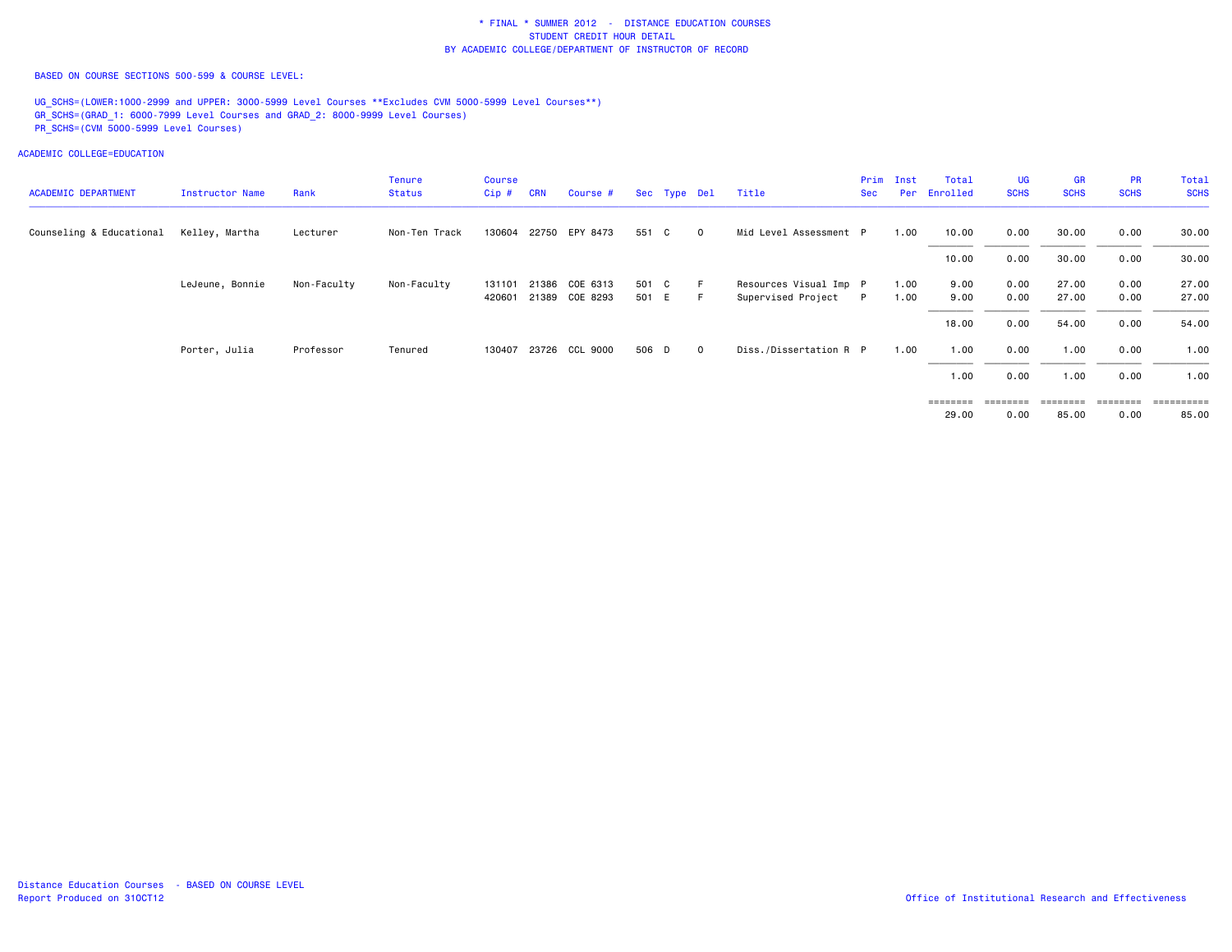BASED ON COURSE SECTIONS 500-599 & COURSE LEVEL:

UG\_SCHS=(LOWER:1000-2999 and UPPER: 3000-5999 Level Courses \*\*Excludes CVM 5000-5999 Level Courses\*\*) GR\_SCHS=(GRAD\_1: 6000-7999 Level Courses and GRAD\_2: 8000-9999 Level Courses) PR\_SCHS=(CVM 5000-5999 Level Courses)

| <b>ACADEMIC DEPARTMENT</b> | Instructor Name | Rank        | <b>Tenure</b><br><b>Status</b> | <b>Course</b><br>$Cip$ # | <b>CRN</b> | Course #              |       | Sec Type Del |         | Title                  | Prim<br><b>Sec</b> | Inst<br>Per | Total<br>Enrolled | <b>UG</b><br><b>SCHS</b> | <b>GR</b><br><b>SCHS</b> | <b>PR</b><br><b>SCHS</b> | Total<br><b>SCHS</b> |
|----------------------------|-----------------|-------------|--------------------------------|--------------------------|------------|-----------------------|-------|--------------|---------|------------------------|--------------------|-------------|-------------------|--------------------------|--------------------------|--------------------------|----------------------|
| Counseling & Educational   | Kelley, Martha  | Lecturer    | Non-Ten Track                  |                          |            | 130604 22750 EPY 8473 | 551 C |              | $\circ$ | Mid Level Assessment P |                    | 1.00        | 10.00             | 0.00                     | 30.00                    | 0.00                     | 30.00                |
|                            |                 |             |                                |                          |            |                       |       |              |         |                        |                    |             | 10.00             | 0.00                     | 30.00                    | 0.00                     | 30.00                |
|                            | LeJeune, Bonnie | Non-Faculty | Non-Faculty                    | 131101                   | 21386      | COE 6313              | 501 C |              | - F     | Resources Visual Imp P |                    | 1.00        | 9.00              | 0.00                     | 27.00                    | 0.00                     | 27.00                |
|                            |                 |             |                                | 420601                   |            | 21389 COE 8293        | 501 E |              | -F.     | Supervised Project     | P                  | 1.00        | 9.00              | 0.00                     | 27.00                    | 0.00                     | 27.00                |
|                            |                 |             |                                |                          |            |                       |       |              |         |                        |                    |             | 18.00             | 0.00                     | 54.00                    | 0.00                     | 54.00                |
|                            | Porter, Julia   | Professor   | Tenured                        |                          |            | 130407 23726 CCL 9000 | 506 D |              | $\circ$ | Diss./Dissertation R P |                    | 1.00        | 1.00              | 0.00                     | 1.00                     | 0.00                     | 1.00                 |
|                            |                 |             |                                |                          |            |                       |       |              |         |                        |                    |             | 1.00              | 0.00                     | 1.00                     | 0.00                     | 1.00                 |
|                            |                 |             |                                |                          |            |                       |       |              |         |                        |                    |             | $=$ = = = = = = = | ========                 | ========                 | ========                 |                      |
|                            |                 |             |                                |                          |            |                       |       |              |         |                        |                    |             | 29.00             | 0.00                     | 85.00                    | 0.00                     | 85.00                |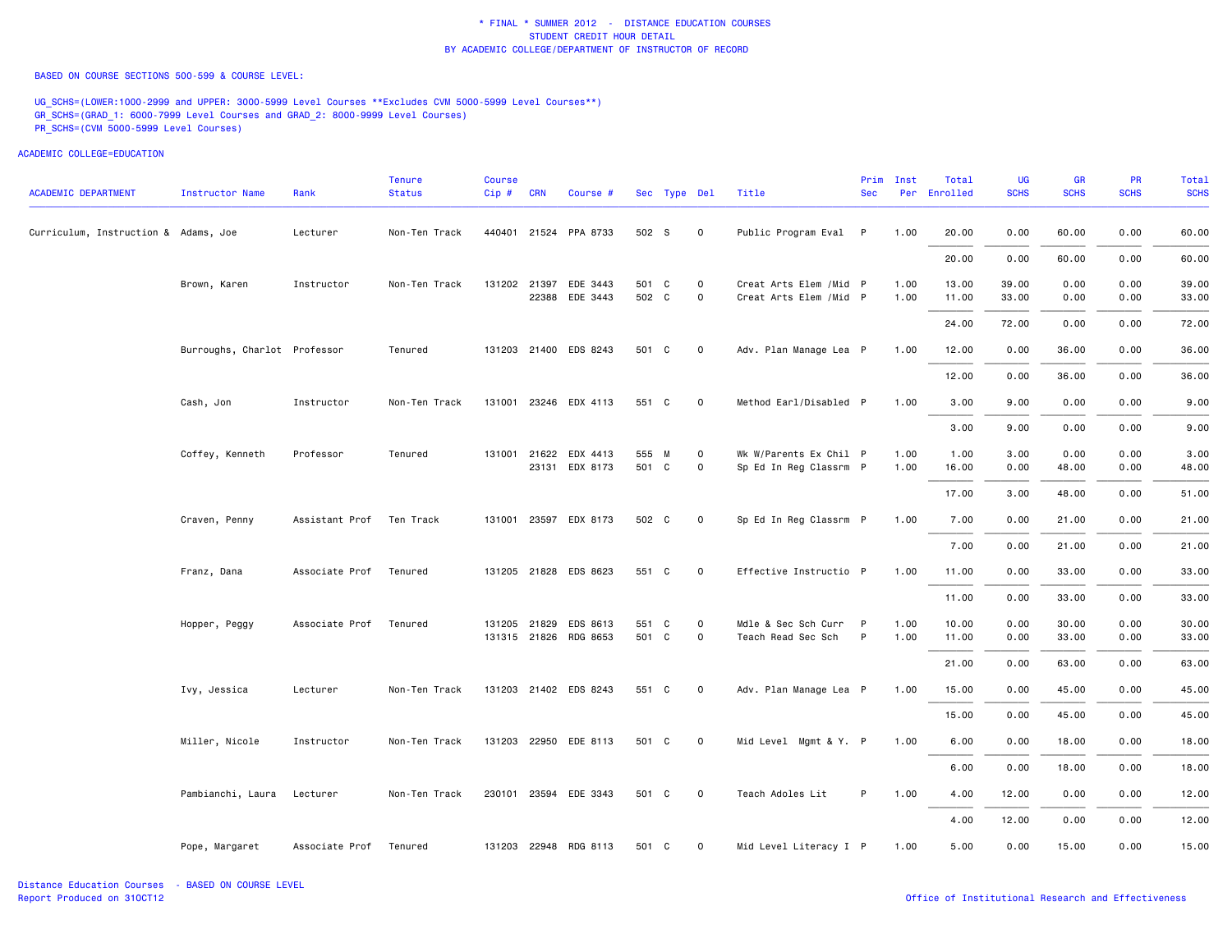BASED ON COURSE SECTIONS 500-599 & COURSE LEVEL:

UG\_SCHS=(LOWER:1000-2999 and UPPER: 3000-5999 Level Courses \*\*Excludes CVM 5000-5999 Level Courses\*\*) GR\_SCHS=(GRAD\_1: 6000-7999 Level Courses and GRAD\_2: 8000-9999 Level Courses) PR\_SCHS=(CVM 5000-5999 Level Courses)

| <b>ACADEMIC DEPARTMENT</b>           | <b>Instructor Name</b>       | Rank                   | <b>Tenure</b><br><b>Status</b> | <b>Course</b><br>Cip # CRN |              | Course #                                |                | Sec Type Del |                             | Title                                              | Prim<br><b>Sec</b> | Inst         | Total<br>Per Enrolled | <b>UG</b><br><b>SCHS</b> | GR<br><b>SCHS</b> | <b>PR</b><br><b>SCHS</b> | Total<br><b>SCHS</b> |
|--------------------------------------|------------------------------|------------------------|--------------------------------|----------------------------|--------------|-----------------------------------------|----------------|--------------|-----------------------------|----------------------------------------------------|--------------------|--------------|-----------------------|--------------------------|-------------------|--------------------------|----------------------|
| Curriculum, Instruction & Adams, Joe |                              | Lecturer               | Non-Ten Track                  |                            |              | 440401 21524 PPA 8733                   | 502 S          |              | $\mathbf 0$                 | Public Program Eval P                              |                    | 1.00         | 20.00                 | 0.00                     | 60.00             | 0.00                     | 60.00                |
|                                      |                              |                        |                                |                            |              |                                         |                |              |                             |                                                    |                    |              | 20.00                 | 0.00                     | 60.00             | 0.00                     | 60.00                |
|                                      | Brown, Karen                 | Instructor             | Non-Ten Track                  |                            |              | 131202 21397 EDE 3443<br>22388 EDE 3443 | 501 C<br>502 C |              | $\mathbf 0$<br>$\mathsf{o}$ | Creat Arts Elem / Mid P<br>Creat Arts Elem / Mid P |                    | 1.00<br>1.00 | 13.00<br>11.00        | 39.00<br>33.00           | 0.00<br>0.00      | 0.00<br>0.00             | 39.00<br>33.00       |
|                                      |                              |                        |                                |                            |              |                                         |                |              |                             |                                                    |                    |              | 24.00                 | 72.00                    | 0.00              | 0.00                     | 72.00                |
|                                      | Burroughs, Charlot Professor |                        | Tenured                        |                            |              | 131203 21400 EDS 8243                   | 501 C          |              | $\mathbf 0$                 | Adv. Plan Manage Lea P                             |                    | 1.00         | 12.00                 | 0.00                     | 36.00             | 0.00                     | 36.00                |
|                                      |                              |                        |                                |                            |              |                                         |                |              |                             |                                                    |                    |              | 12.00                 | 0.00                     | 36.00             | 0.00                     | 36.00                |
|                                      | Cash, Jon                    | Instructor             | Non-Ten Track                  |                            |              | 131001 23246 EDX 4113                   | 551 C          |              | $\mathbf 0$                 | Method Earl/Disabled P                             |                    | 1.00         | 3.00                  | 9.00                     | 0.00              | 0.00                     | 9.00                 |
|                                      |                              |                        |                                |                            |              |                                         |                |              |                             |                                                    |                    |              | 3.00                  | 9.00                     | 0.00              | 0.00                     | 9.00                 |
|                                      | Coffey, Kenneth              | Professor              | Tenured                        |                            | 131001 21622 | EDX 4413                                | 555 M          |              | $\mathsf{o}$                | Wk W/Parents Ex Chil P                             |                    | 1.00         | 1.00                  | 3.00                     | 0.00              | 0.00                     | 3.00                 |
|                                      |                              |                        |                                |                            |              | 23131 EDX 8173                          | 501 C          |              | $\mathbf 0$                 | Sp Ed In Reg Classrm P                             |                    | 1.00         | 16.00                 | 0.00                     | 48.00             | 0.00                     | 48.00                |
|                                      |                              |                        |                                |                            |              |                                         |                |              |                             |                                                    |                    |              | 17.00                 | 3.00                     | 48.00             | 0.00                     | 51.00                |
|                                      | Craven, Penny                | Assistant Prof         | Ten Track                      |                            |              | 131001 23597 EDX 8173                   | 502 C          |              | $\mathbf 0$                 | Sp Ed In Reg Classrm P                             |                    | 1.00         | 7.00                  | 0.00                     | 21.00             | 0.00                     | 21.00                |
|                                      |                              |                        |                                |                            |              |                                         |                |              |                             |                                                    |                    |              | 7.00                  | 0.00                     | 21.00             | 0.00                     | 21.00                |
|                                      | Franz, Dana                  | Associate Prof Tenured |                                |                            |              | 131205 21828 EDS 8623                   | 551 C          |              | $\mathbf 0$                 | Effective Instructio P                             |                    | 1.00         | 11.00                 | 0.00                     | 33.00             | 0.00                     | 33.00                |
|                                      |                              |                        |                                |                            |              |                                         |                |              |                             |                                                    |                    |              | 11.00                 | 0.00                     | 33.00             | 0.00                     | 33.00                |
|                                      | Hopper, Peggy                | Associate Prof         | Tenured                        |                            | 131205 21829 | EDS 8613                                | 551 C          |              | $\mathbf 0$                 | Mdle & Sec Sch Curr P                              |                    | 1.00         | 10.00                 | 0.00                     | 30.00             | 0.00                     | 30.00                |
|                                      |                              |                        |                                |                            |              | 131315 21826 RDG 8653                   | 501 C          |              | $\mathbf 0$                 | Teach Read Sec Sch                                 | $\mathsf{P}$       | 1.00         | 11.00                 | 0.00                     | 33.00             | 0.00                     | 33.00                |
|                                      |                              |                        |                                |                            |              |                                         |                |              |                             |                                                    |                    |              | 21.00                 | 0.00                     | 63.00             | 0.00                     | 63.00                |
|                                      | Ivy, Jessica                 | Lecturer               | Non-Ten Track                  |                            |              | 131203 21402 EDS 8243                   | 551 C          |              | $\mathbf 0$                 | Adv. Plan Manage Lea P                             |                    | 1.00         | 15.00                 | 0.00                     | 45.00             | 0.00                     | 45.00                |
|                                      |                              |                        |                                |                            |              |                                         |                |              |                             |                                                    |                    |              | 15.00                 | 0.00                     | 45.00             | 0.00                     | 45.00                |
|                                      | Miller, Nicole               | Instructor             | Non-Ten Track                  |                            |              | 131203 22950 EDE 8113                   | 501 C          |              | $\mathbf 0$                 | Mid Level Mgmt & Y. P                              |                    | 1.00         | 6.00                  | 0.00                     | 18.00             | 0.00                     | 18.00                |
|                                      |                              |                        |                                |                            |              |                                         |                |              |                             |                                                    |                    |              | 6.00                  | 0.00                     | 18.00             | 0.00                     | 18.00                |
|                                      | Pambianchi, Laura            | Lecturer               | Non-Ten Track                  |                            |              | 230101 23594 EDE 3343                   | 501 C          |              | $\mathbf 0$                 | Teach Adoles Lit                                   | P                  | 1.00         | 4.00                  | 12.00                    | 0.00              | 0.00                     | 12.00                |
|                                      |                              |                        |                                |                            |              |                                         |                |              |                             |                                                    |                    |              | 4.00                  | 12.00                    | 0.00              | 0.00                     | 12.00                |
|                                      | Pope, Margaret               | Associate Prof Tenured |                                |                            |              | 131203 22948 RDG 8113                   | 501 C          |              | $\mathbf 0$                 | Mid Level Literacy I P                             |                    | 1.00         | 5.00                  | 0.00                     | 15.00             | 0.00                     | 15.00                |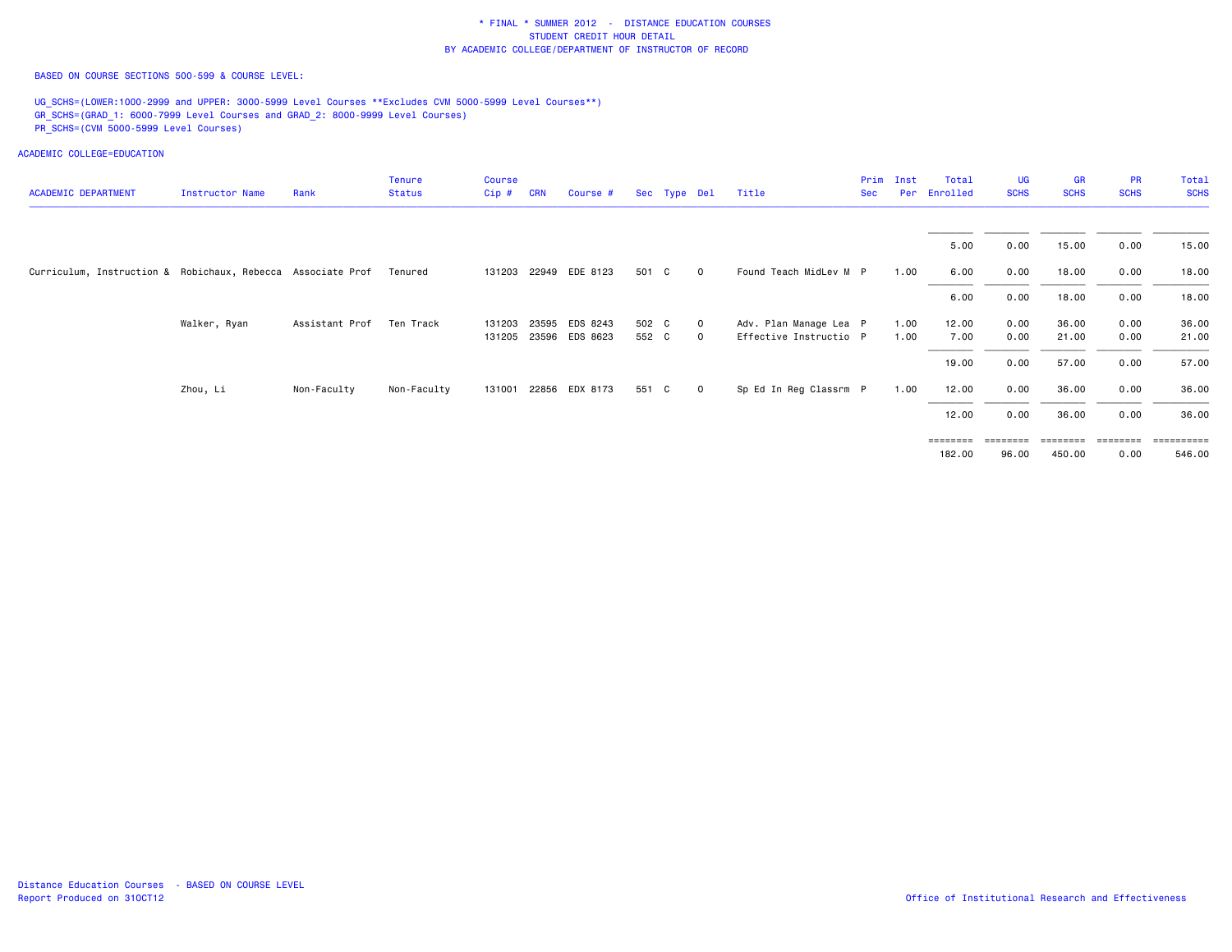BASED ON COURSE SECTIONS 500-599 & COURSE LEVEL:

UG\_SCHS=(LOWER:1000-2999 and UPPER: 3000-5999 Level Courses \*\*Excludes CVM 5000-5999 Level Courses\*\*) GR\_SCHS=(GRAD\_1: 6000-7999 Level Courses and GRAD\_2: 8000-9999 Level Courses) PR\_SCHS=(CVM 5000-5999 Level Courses)

| <b>ACADEMIC DEPARTMENT</b>                                  | Instructor Name | Rank           | <b>Tenure</b><br><b>Status</b> | <b>Course</b><br>Cip# | <b>CRN</b> | Course #              |       | Sec Type Del |                | Title                  | Prim<br><b>Sec</b> | Inst<br>Per | Total<br>Enrolled                   | <b>UG</b><br><b>SCHS</b> | <b>GR</b><br><b>SCHS</b> | <b>PR</b><br><b>SCHS</b> | Total<br><b>SCHS</b>                                                                                                                                                                                                                                                                                                                                                                                                                                                                   |
|-------------------------------------------------------------|-----------------|----------------|--------------------------------|-----------------------|------------|-----------------------|-------|--------------|----------------|------------------------|--------------------|-------------|-------------------------------------|--------------------------|--------------------------|--------------------------|----------------------------------------------------------------------------------------------------------------------------------------------------------------------------------------------------------------------------------------------------------------------------------------------------------------------------------------------------------------------------------------------------------------------------------------------------------------------------------------|
|                                                             |                 |                |                                |                       |            |                       |       |              |                |                        |                    |             | 5.00                                | 0.00                     | 15.00                    | 0.00                     | 15.00                                                                                                                                                                                                                                                                                                                                                                                                                                                                                  |
| Curriculum, Instruction & Robichaux, Rebecca Associate Prof |                 |                | Tenured                        |                       |            | 131203 22949 EDE 8123 | 501 C |              | $\mathbf 0$    | Found Teach MidLev M P |                    | 1.00        | 6.00                                | 0.00                     | 18.00                    | 0.00                     | 18.00                                                                                                                                                                                                                                                                                                                                                                                                                                                                                  |
|                                                             |                 |                |                                |                       |            |                       |       |              |                |                        |                    |             | 6.00                                | 0.00                     | 18.00                    | 0.00                     | 18.00                                                                                                                                                                                                                                                                                                                                                                                                                                                                                  |
|                                                             | Walker, Ryan    | Assistant Prof | Ten Track                      |                       |            | 131203 23595 EDS 8243 | 502 C |              | $\mathbf{0}$   | Adv. Plan Manage Lea P |                    | 1.00        | 12.00                               | 0.00                     | 36.00                    | 0.00                     | 36.00                                                                                                                                                                                                                                                                                                                                                                                                                                                                                  |
|                                                             |                 |                |                                | 131205 23596          |            | EDS 8623              | 552 C |              | $\mathbf 0$    | Effective Instructio P |                    | 1.00        | 7.00                                | 0.00                     | 21.00                    | 0.00                     | 21.00                                                                                                                                                                                                                                                                                                                                                                                                                                                                                  |
|                                                             |                 |                |                                |                       |            |                       |       |              |                |                        |                    |             | 19.00                               | 0.00                     | 57.00                    | 0.00                     | 57.00                                                                                                                                                                                                                                                                                                                                                                                                                                                                                  |
|                                                             | Zhou, Li        | Non-Faculty    | Non-Faculty                    |                       |            | 131001 22856 EDX 8173 | 551 C |              | $\overline{O}$ | Sp Ed In Reg Classrm P |                    | 1.00        | 12.00                               | 0.00                     | 36.00                    | 0.00                     | 36.00                                                                                                                                                                                                                                                                                                                                                                                                                                                                                  |
|                                                             |                 |                |                                |                       |            |                       |       |              |                |                        |                    |             | 12.00                               | 0.00                     | 36.00                    | 0.00                     | 36.00                                                                                                                                                                                                                                                                                                                                                                                                                                                                                  |
|                                                             |                 |                |                                |                       |            |                       |       |              |                |                        |                    |             | $=$ $=$ $=$ $=$ $=$ $=$ $=$ $=$ $=$ | $=$ = = = = = = =        |                          | ========                 | $\begin{array}{cccccccccc} \multicolumn{2}{c}{} & \multicolumn{2}{c}{} & \multicolumn{2}{c}{} & \multicolumn{2}{c}{} & \multicolumn{2}{c}{} & \multicolumn{2}{c}{} & \multicolumn{2}{c}{} & \multicolumn{2}{c}{} & \multicolumn{2}{c}{} & \multicolumn{2}{c}{} & \multicolumn{2}{c}{} & \multicolumn{2}{c}{} & \multicolumn{2}{c}{} & \multicolumn{2}{c}{} & \multicolumn{2}{c}{} & \multicolumn{2}{c}{} & \multicolumn{2}{c}{} & \multicolumn{2}{c}{} & \multicolumn{2}{c}{} & \mult$ |
|                                                             |                 |                |                                |                       |            |                       |       |              |                |                        |                    |             | 182.00                              | 96.00                    | 450.00                   | 0.00                     | 546.00                                                                                                                                                                                                                                                                                                                                                                                                                                                                                 |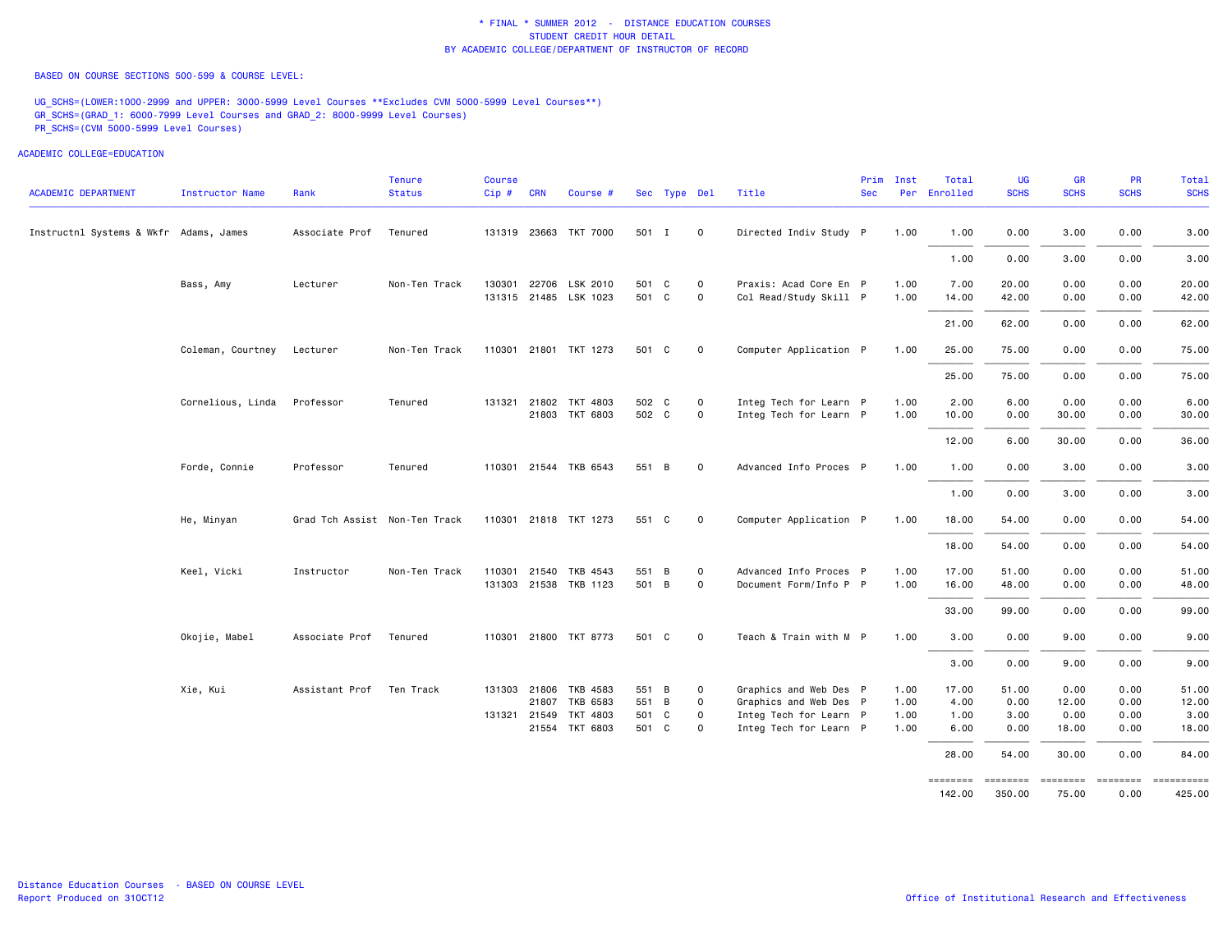BASED ON COURSE SECTIONS 500-599 & COURSE LEVEL:

UG SCHS=(LOWER:1000-2999 and UPPER: 3000-5999 Level Courses \*\*Excludes CVM 5000-5999 Level Courses\*\*) GR\_SCHS=(GRAD\_1: 6000-7999 Level Courses and GRAD\_2: 8000-9999 Level Courses) PR\_SCHS=(CVM 5000-5999 Level Courses)

ACADEMIC COLLEGE=EDUCATION

| <b>ACADEMIC DEPARTMENT</b>             | Instructor Name   | Rank                          | <b>Tenure</b><br><b>Status</b> | Course<br>Cip# | <b>CRN</b>   | Course #                                       |                | Sec Type Del |                  | Title                                            | Prim<br><b>Sec</b> | Inst         | Total<br>Per Enrolled | UG<br><b>SCHS</b> | <b>GR</b><br><b>SCHS</b> | PR<br><b>SCHS</b> | Total<br><b>SCHS</b> |
|----------------------------------------|-------------------|-------------------------------|--------------------------------|----------------|--------------|------------------------------------------------|----------------|--------------|------------------|--------------------------------------------------|--------------------|--------------|-----------------------|-------------------|--------------------------|-------------------|----------------------|
| Instructnl Systems & Wkfr Adams, James |                   | Associate Prof                | Tenured                        |                |              | 131319 23663 TKT 7000                          | 501 I          |              | $\mathbf 0$      | Directed Indiv Study P                           |                    | 1.00         | 1.00                  | 0.00              | 3.00                     | 0.00              | 3.00                 |
|                                        |                   |                               |                                |                |              |                                                |                |              |                  |                                                  |                    |              | 1.00                  | 0.00              | 3.00                     | 0.00              | 3.00                 |
|                                        |                   |                               |                                |                |              |                                                |                |              |                  |                                                  |                    |              |                       |                   |                          |                   |                      |
|                                        | Bass, Amy         | Lecturer                      | Non-Ten Track                  |                |              | 130301 22706 LSK 2010<br>131315 21485 LSK 1023 | 501 C<br>501 C |              | 0<br>$\mathbf 0$ | Praxis: Acad Core En P<br>Col Read/Study Skill P |                    | 1.00<br>1.00 | 7.00                  | 20.00<br>42.00    | 0.00<br>0.00             | 0.00<br>0.00      | 20.00<br>42.00       |
|                                        |                   |                               |                                |                |              |                                                |                |              |                  |                                                  |                    |              | 14.00                 |                   |                          |                   |                      |
|                                        |                   |                               |                                |                |              |                                                |                |              |                  |                                                  |                    |              | 21.00                 | 62.00             | 0.00                     | 0.00              | 62.00                |
|                                        | Coleman, Courtney | Lecturer                      | Non-Ten Track                  |                |              | 110301 21801 TKT 1273                          | 501 C          |              | $\mathbf 0$      | Computer Application P                           |                    | 1.00         | 25.00                 | 75.00             | 0.00                     | 0.00              | 75.00                |
|                                        |                   |                               |                                |                |              |                                                |                |              |                  |                                                  |                    |              | 25.00                 | 75.00             | 0.00                     | 0.00              | 75.00                |
|                                        | Cornelious, Linda | Professor                     | Tenured                        |                |              | 131321 21802 TKT 4803                          | 502 C          |              | $\mathbf 0$      | Integ Tech for Learn P                           |                    | 1.00         | 2.00                  | 6.00              | 0.00                     | 0.00              | 6.00                 |
|                                        |                   |                               |                                |                |              | 21803 TKT 6803                                 | 502 C          |              | $\mathbf 0$      | Integ Tech for Learn P                           |                    | 1.00         | 10.00                 | 0.00              | 30.00                    | 0.00              | 30.00                |
|                                        |                   |                               |                                |                |              |                                                |                |              |                  |                                                  |                    |              | 12.00                 | 6.00              | 30.00                    | 0.00              | 36.00                |
|                                        | Forde, Connie     | Professor                     | Tenured                        |                |              | 110301 21544 TKB 6543                          | 551 B          |              | $\mathbf 0$      | Advanced Info Proces P                           |                    | 1.00         | 1.00                  | 0.00              | 3.00                     | 0.00              | 3.00                 |
|                                        |                   |                               |                                |                |              |                                                |                |              |                  |                                                  |                    |              | 1.00                  | 0.00              | 3.00                     | 0.00              | 3.00                 |
|                                        | He, Minyan        | Grad Tch Assist Non-Ten Track |                                |                |              | 110301 21818 TKT 1273                          | 551 C          |              | $\mathbf 0$      | Computer Application P                           |                    | 1.00         | 18.00                 | 54.00             | 0.00                     | 0.00              | 54.00                |
|                                        |                   |                               |                                |                |              |                                                |                |              |                  |                                                  |                    |              | 18.00                 | 54.00             | 0.00                     | 0.00              | 54.00                |
|                                        | Keel, Vicki       | Instructor                    | Non-Ten Track                  |                | 110301 21540 | TKB 4543                                       | 551 B          |              | $\mathbf 0$      | Advanced Info Proces P                           |                    | 1.00         | 17.00                 | 51.00             | 0.00                     | 0.00              | 51.00                |
|                                        |                   |                               |                                |                |              | 131303 21538 TKB 1123                          | 501 B          |              | $\mathbf 0$      | Document Form/Info P P                           |                    | 1.00         | 16.00                 | 48.00             | 0.00                     | 0.00              | 48.00                |
|                                        |                   |                               |                                |                |              |                                                |                |              |                  |                                                  |                    |              | 33.00                 | 99.00             | 0.00                     | 0.00              | 99.00                |
|                                        | Okojie, Mabel     | Associate Prof                | Tenured                        |                |              | 110301 21800 TKT 8773                          | 501 C          |              | $\mathbf 0$      | Teach & Train with M P                           |                    | 1.00         | 3.00                  | 0.00              | 9.00                     | 0.00              | 9.00                 |
|                                        |                   |                               |                                |                |              |                                                |                |              |                  |                                                  |                    |              | 3.00                  | 0.00              | 9.00                     | 0.00              | 9.00                 |
|                                        | Xie, Kui          | Assistant Prof                | Ten Track                      |                |              | 131303 21806 TKB 4583                          | 551 B          |              | $\overline{0}$   | Graphics and Web Des P                           |                    | 1.00         | 17.00                 | 51.00             | 0.00                     | 0.00              | 51.00                |
|                                        |                   |                               |                                |                |              | 21807 TKB 6583                                 | 551 B          |              | $\mathbf 0$      | Graphics and Web Des P                           |                    | 1.00         | 4.00                  | 0.00              | 12.00                    | 0.00              | 12.00                |
|                                        |                   |                               |                                |                | 131321 21549 | TKT 4803                                       | 501 C          |              | $\mathbf 0$      | Integ Tech for Learn P                           |                    | 1.00         | 1.00                  | 3.00              | 0.00                     | 0.00              | 3.00                 |
|                                        |                   |                               |                                |                |              | 21554 TKT 6803                                 | 501 C          |              | 0                | Integ Tech for Learn P                           |                    | 1.00         | 6.00                  | 0.00              | 18.00                    | 0.00              | 18.00                |
|                                        |                   |                               |                                |                |              |                                                |                |              |                  |                                                  |                    |              | 28.00                 | 54.00             | 30.00                    | 0.00              | 84.00                |
|                                        |                   |                               |                                |                |              |                                                |                |              |                  |                                                  |                    |              |                       |                   |                          |                   |                      |

425.00 142.00 350.00 75.00 0.00 425.00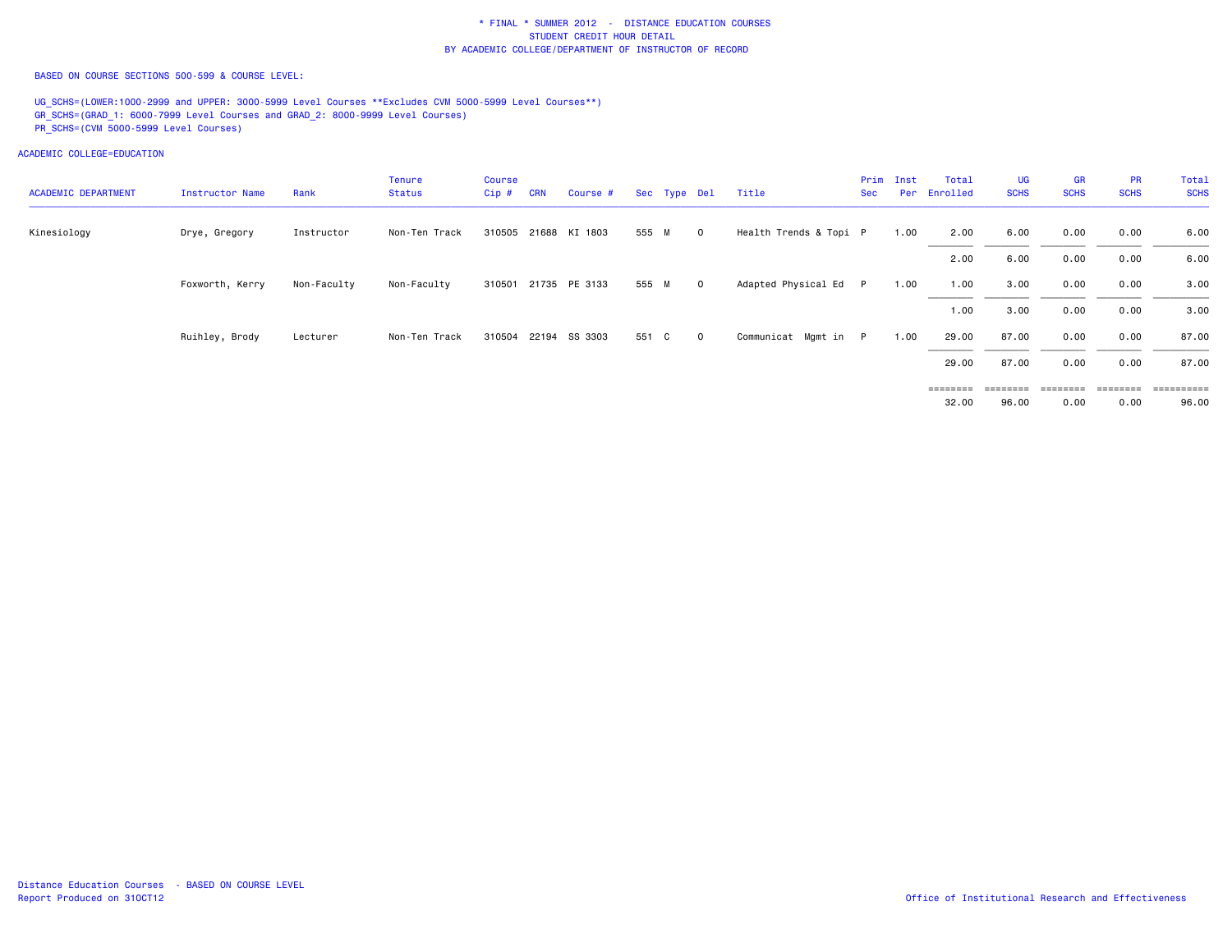BASED ON COURSE SECTIONS 500-599 & COURSE LEVEL:

UG\_SCHS=(LOWER:1000-2999 and UPPER: 3000-5999 Level Courses \*\*Excludes CVM 5000-5999 Level Courses\*\*) GR\_SCHS=(GRAD\_1: 6000-7999 Level Courses and GRAD\_2: 8000-9999 Level Courses) PR\_SCHS=(CVM 5000-5999 Level Courses)

| <b>ACADEMIC DEPARTMENT</b> | Instructor Name | Rank        | Tenure<br>Status | Course<br>Cip# | <b>CRN</b> | Course #             |       | Sec Type Del | Title                  | Sec | Prim Inst<br>Per | Total<br>Enrolled | <b>UG</b><br><b>SCHS</b> | <b>GR</b><br><b>SCHS</b> | <b>PR</b><br><b>SCHS</b> | Total<br><b>SCHS</b> |
|----------------------------|-----------------|-------------|------------------|----------------|------------|----------------------|-------|--------------|------------------------|-----|------------------|-------------------|--------------------------|--------------------------|--------------------------|----------------------|
| Kinesiology                | Drye, Gregory   | Instructor  | Non-Ten Track    |                |            | 310505 21688 KI 1803 | 555 M | $\circ$      | Health Trends & Topi P |     | 1.00             | 2.00              | 6.00                     | 0.00                     | 0.00                     | 6.00                 |
|                            |                 |             |                  |                |            |                      |       |              |                        |     |                  | 2.00              | 6.00                     | 0.00                     | 0.00                     | 6.00                 |
|                            | Foxworth, Kerry | Non-Faculty | Non-Faculty      |                |            | 310501 21735 PE 3133 | 555 M | $\mathbf{0}$ | Adapted Physical Ed P  |     | 1.00             | 1.00              | 3.00                     | 0.00                     | 0.00                     | 3.00                 |
|                            |                 |             |                  |                |            |                      |       |              |                        |     |                  | 1.00              | 3.00                     | 0.00                     | 0.00                     | 3.00                 |
|                            | Ruihley, Brody  | Lecturer    | Non-Ten Track    |                |            | 310504 22194 SS 3303 | 551 C | $\mathbf{0}$ | Communicat Mgmt in P   |     | 1.00             | 29.00             | 87.00                    | 0.00                     | 0.00                     | 87.00                |
|                            |                 |             |                  |                |            |                      |       |              |                        |     |                  | 29.00             | 87.00                    | 0.00                     | 0.00                     | 87.00                |
|                            |                 |             |                  |                |            |                      |       |              |                        |     |                  | ========          |                          | ========                 | ========                 |                      |
|                            |                 |             |                  |                |            |                      |       |              |                        |     |                  | 32.00             | 96.00                    | 0.00                     | 0.00                     | 96.00                |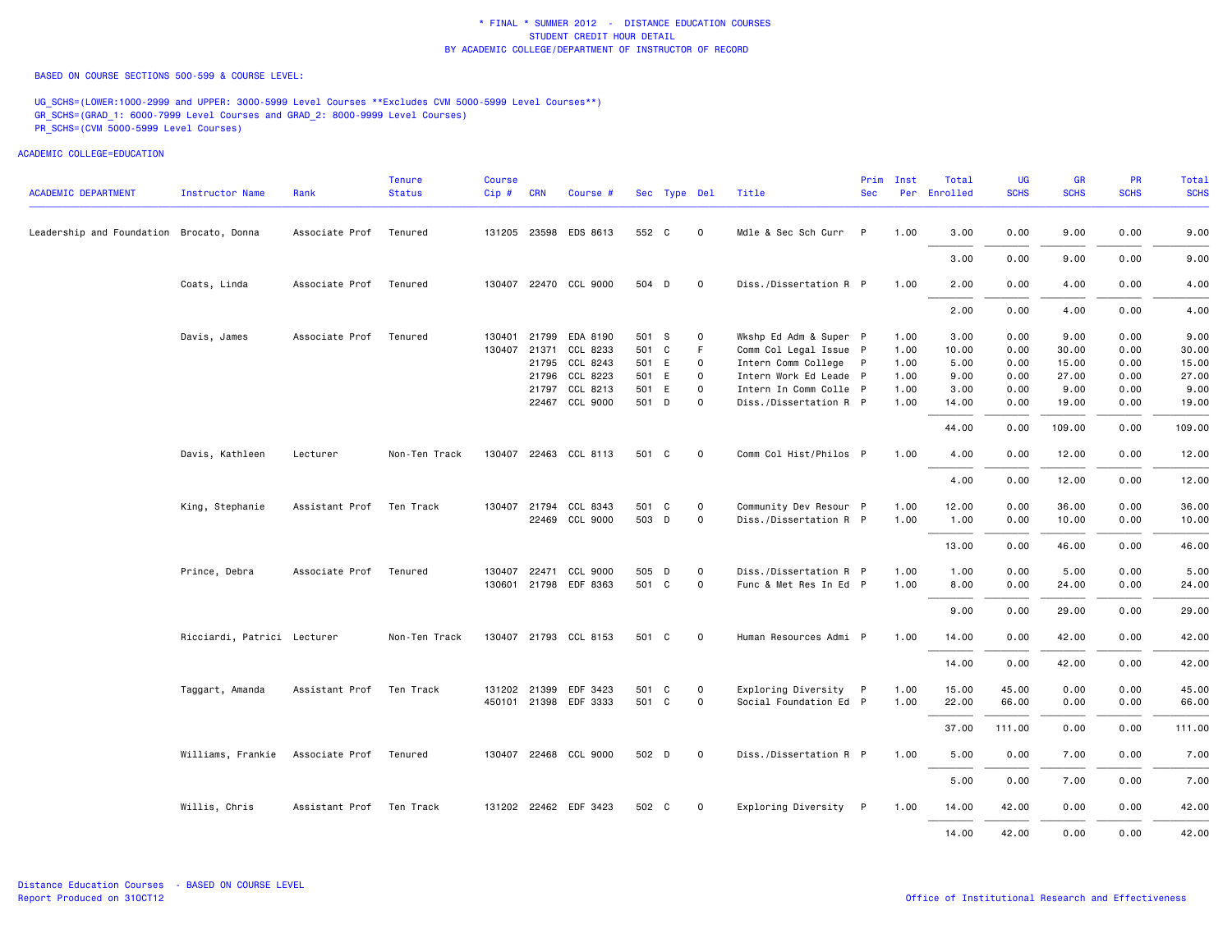BASED ON COURSE SECTIONS 500-599 & COURSE LEVEL:

UG\_SCHS=(LOWER:1000-2999 and UPPER: 3000-5999 Level Courses \*\*Excludes CVM 5000-5999 Level Courses\*\*) GR\_SCHS=(GRAD\_1: 6000-7999 Level Courses and GRAD\_2: 8000-9999 Level Courses) PR\_SCHS=(CVM 5000-5999 Level Courses)

| <b>ACADEMIC DEPARTMENT</b>               | <b>Instructor Name</b>      | Rank                     | <b>Tenure</b><br><b>Status</b> | <b>Course</b><br>$Cip \#$ | <b>CRN</b>   | Course #              |       | Sec Type Del |             | Title                  | Prim<br><b>Sec</b> | Inst | Total<br>Per Enrolled | <b>UG</b><br><b>SCHS</b> | <b>GR</b><br><b>SCHS</b> | <b>PR</b><br><b>SCHS</b> | Total<br><b>SCHS</b> |
|------------------------------------------|-----------------------------|--------------------------|--------------------------------|---------------------------|--------------|-----------------------|-------|--------------|-------------|------------------------|--------------------|------|-----------------------|--------------------------|--------------------------|--------------------------|----------------------|
| Leadership and Foundation Brocato, Donna |                             | Associate Prof           | Tenured                        |                           |              | 131205 23598 EDS 8613 | 552 C |              | $\mathbf 0$ | Mdle & Sec Sch Curr    | P                  | 1.00 | 3.00                  | 0.00                     | 9.00                     | 0.00                     | 9.00                 |
|                                          |                             |                          |                                |                           |              |                       |       |              |             |                        |                    |      | 3.00                  | 0.00                     | 9.00                     | 0.00                     | 9.00                 |
|                                          | Coats, Linda                | Associate Prof           | Tenured                        |                           |              | 130407 22470 CCL 9000 | 504 D |              | $\circ$     | Diss./Dissertation R P |                    | 1.00 | 2.00                  | 0.00                     | 4.00                     | 0.00                     | 4.00                 |
|                                          |                             |                          |                                |                           |              |                       |       |              |             |                        |                    |      | 2.00                  | 0.00                     | 4.00                     | 0.00                     | 4.00                 |
|                                          | Davis, James                | Associate Prof           | Tenured                        | 130401                    | 21799        | EDA 8190              | 501 S |              | $\circ$     | Wkshp Ed Adm & Super P |                    | 1.00 | 3.00                  | 0.00                     | 9.00                     | 0.00                     | 9.00                 |
|                                          |                             |                          |                                | 130407                    | 21371        | CCL 8233              | 501 C |              | F           | Comm Col Legal Issue P |                    | 1.00 | 10.00                 | 0.00                     | 30.00                    | 0.00                     | 30.00                |
|                                          |                             |                          |                                |                           |              | 21795 CCL 8243        | 501 E |              | $\circ$     | Intern Comm College P  |                    | 1.00 | 5.00                  | 0.00                     | 15.00                    | 0.00                     | 15.00                |
|                                          |                             |                          |                                |                           |              | 21796 CCL 8223        | 501 E |              | $\mathbf 0$ | Intern Work Ed Leade P |                    | 1.00 | 9.00                  | 0.00                     | 27.00                    | 0.00                     | 27.00                |
|                                          |                             |                          |                                |                           |              | 21797 CCL 8213        | 501 E |              | $\mathbf 0$ | Intern In Comm Colle P |                    | 1.00 | 3.00                  | 0.00                     | 9.00                     | 0.00                     | 9.00                 |
|                                          |                             |                          |                                |                           |              | 22467 CCL 9000        | 501 D |              | $\mathbf 0$ | Diss./Dissertation R P |                    | 1.00 | 14.00                 | 0.00                     | 19.00                    | 0.00                     | 19.00                |
|                                          |                             |                          |                                |                           |              |                       |       |              |             |                        |                    |      | 44.00                 | 0.00                     | 109.00                   | 0.00                     | 109.00               |
|                                          | Davis, Kathleen             | Lecturer                 | Non-Ten Track                  |                           |              | 130407 22463 CCL 8113 | 501 C |              | $\circ$     | Comm Col Hist/Philos P |                    | 1.00 | 4.00                  | 0.00                     | 12.00                    | 0.00                     | 12.00                |
|                                          |                             |                          |                                |                           |              |                       |       |              |             |                        |                    |      | 4.00                  | 0.00                     | 12.00                    | 0.00                     | 12.00                |
|                                          | King, Stephanie             | Assistant Prof Ten Track |                                |                           |              | 130407 21794 CCL 8343 | 501 C |              | $\mathbf 0$ | Community Dev Resour P |                    | 1.00 | 12.00                 | 0.00                     | 36.00                    | 0.00                     | 36.00                |
|                                          |                             |                          |                                |                           |              | 22469 CCL 9000        | 503 D |              | $\mathbf 0$ | Diss./Dissertation R P |                    | 1.00 | 1.00                  | 0.00                     | 10.00                    | 0.00                     | 10.00                |
|                                          |                             |                          |                                |                           |              |                       |       |              |             |                        |                    |      | 13.00                 | 0.00                     | 46.00                    | 0.00                     | 46.00                |
|                                          | Prince, Debra               | Associate Prof           | Tenured                        | 130407                    | 22471        | CCL 9000              | 505 D |              | $\mathbf 0$ | Diss./Dissertation R P |                    | 1.00 | 1.00                  | 0.00                     | 5.00                     | 0.00                     | 5.00                 |
|                                          |                             |                          |                                |                           |              | 130601 21798 EDF 8363 | 501 C |              | $\mathbf 0$ | Func & Met Res In Ed P |                    | 1.00 | 8.00                  | 0.00                     | 24.00                    | 0.00                     | 24.00                |
|                                          |                             |                          |                                |                           |              |                       |       |              |             |                        |                    |      | 9.00                  | 0.00                     | 29.00                    | 0.00                     | 29.00                |
|                                          | Ricciardi, Patrici Lecturer |                          | Non-Ten Track                  |                           |              | 130407 21793 CCL 8153 | 501 C |              | $\Omega$    | Human Resources Admi P |                    | 1.00 | 14.00                 | 0.00                     | 42.00                    | 0.00                     | 42.00                |
|                                          |                             |                          |                                |                           |              |                       |       |              |             |                        |                    |      | 14.00                 | 0.00                     | 42.00                    | 0.00                     | 42.00                |
|                                          | Taggart, Amanda             | Assistant Prof           | Ten Track                      |                           | 131202 21399 | EDF 3423              | 501 C |              | $\mathbf 0$ | Exploring Diversity P  |                    | 1.00 | 15.00                 | 45.00                    | 0.00                     | 0.00                     | 45.00                |
|                                          |                             |                          |                                |                           |              | 450101 21398 EDF 3333 | 501 C |              | $\mathbf 0$ | Social Foundation Ed P |                    | 1.00 | 22.00                 | 66.00                    | 0.00                     | 0.00                     | 66.00                |
|                                          |                             |                          |                                |                           |              |                       |       |              |             |                        |                    |      |                       |                          |                          |                          |                      |
|                                          |                             |                          |                                |                           |              |                       |       |              |             |                        |                    |      | 37.00                 | 111.00                   | 0.00                     | 0.00                     | 111.00               |
|                                          | Williams, Frankie           | Associate Prof           | Tenured                        |                           |              | 130407 22468 CCL 9000 | 502 D |              | $\mathbf 0$ | Diss./Dissertation R P |                    | 1.00 | 5.00                  | 0.00                     | 7.00                     | 0.00                     | 7.00                 |
|                                          |                             |                          |                                |                           |              |                       |       |              |             |                        |                    |      | 5.00                  | 0.00                     | 7.00                     | 0.00                     | 7.00                 |
|                                          | Willis, Chris               | Assistant Prof Ten Track |                                |                           |              | 131202 22462 EDF 3423 | 502 C |              | $\circ$     | Exploring Diversity P  |                    | 1.00 | 14.00                 | 42.00                    | 0.00                     | 0.00                     | 42.00                |
|                                          |                             |                          |                                |                           |              |                       |       |              |             |                        |                    |      | 14.00                 | 42.00                    | 0.00                     | 0.00                     | 42.00                |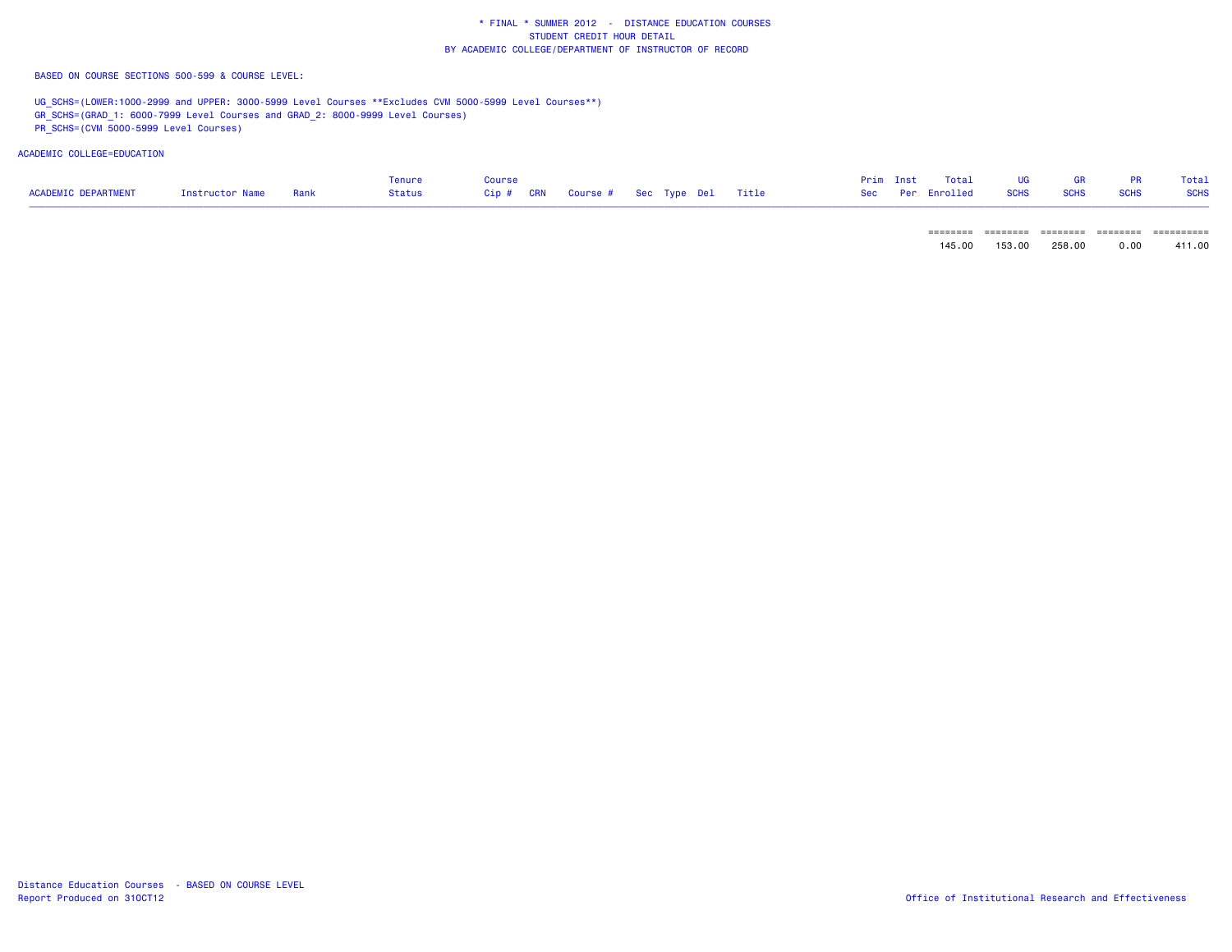BASED ON COURSE SECTIONS 500-599 & COURSE LEVEL:

UG\_SCHS=(LOWER:1000-2999 and UPPER: 3000-5999 Level Courses \*\*Excludes CVM 5000-5999 Level Courses\*\*) GR\_SCHS=(GRAD\_1: 6000-7999 Level Courses and GRAD\_2: 8000-9999 Level Courses)

PR\_SCHS=(CVM 5000-5999 Level Courses)

|                                                        |  | Tenure | Course |  |  |  |  | Prim Inst Total UG GR PR Total       |  |  |
|--------------------------------------------------------|--|--------|--------|--|--|--|--|--------------------------------------|--|--|
| ACADEMIC DEPARTMENT         Instructor Name       Rank |  |        |        |  |  |  |  | Sec Per Enrolled SCHS SCHS SCHS SCHS |  |  |

| ________<br>-------- | ________<br>-------- | _________<br>-------- | ________<br>--------- | __________<br>-------- |
|----------------------|----------------------|-----------------------|-----------------------|------------------------|
| nr                   | nr                   | Ωſ                    | oo                    | nn                     |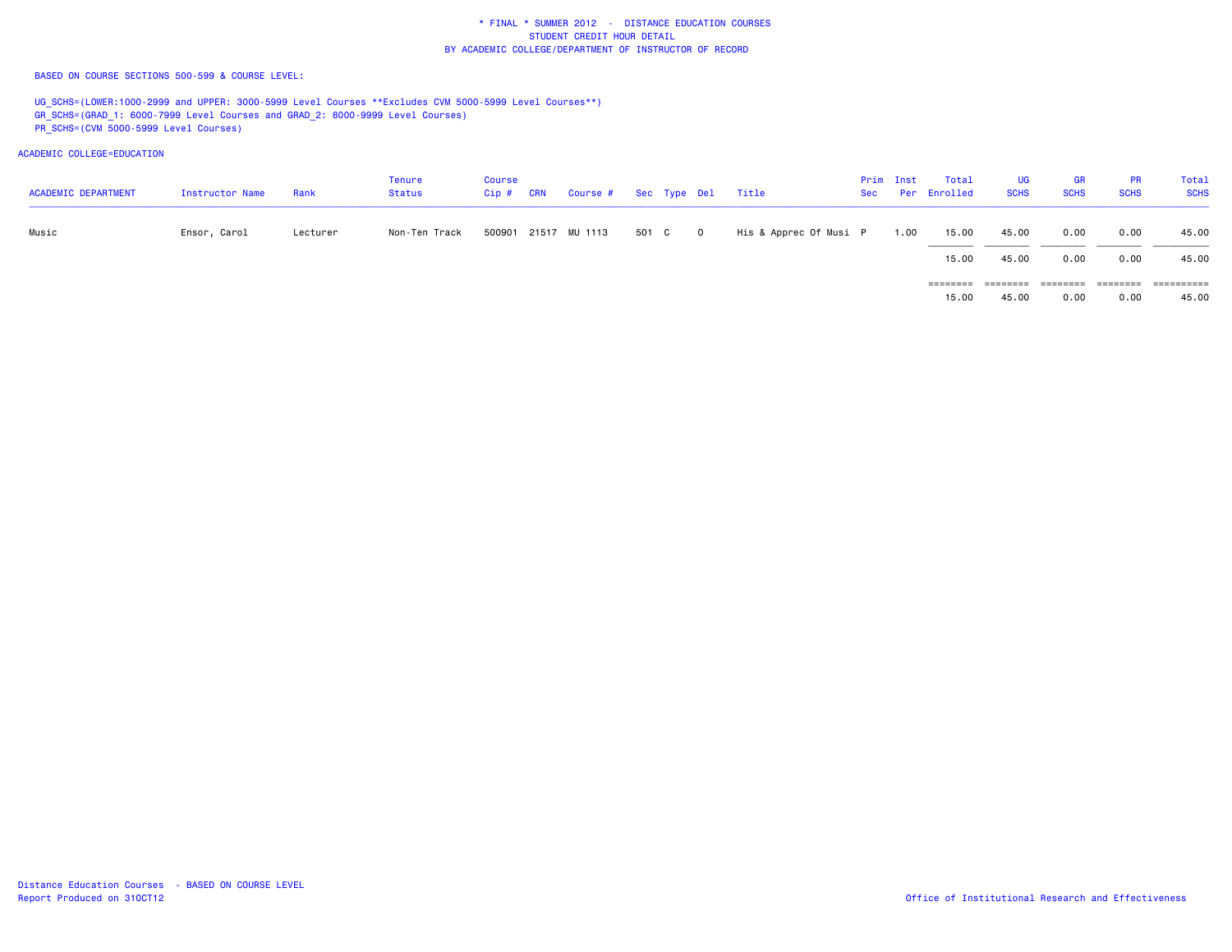BASED ON COURSE SECTIONS 500-599 & COURSE LEVEL:

UG\_SCHS=(LOWER:1000-2999 and UPPER: 3000-5999 Level Courses \*\*Excludes CVM 5000-5999 Level Courses\*\*) GR\_SCHS=(GRAD\_1: 6000-7999 Level Courses and GRAD\_2: 8000-9999 Level Courses) PR\_SCHS=(CVM 5000-5999 Level Courses)

ACADEMIC COLLEGE=EDUCATION

| <b>ACADEMIC DEPARTMENT</b> | Instructor Name | Rank     | Tenure<br>Status | Course<br>Cip # | <b>CRN</b> | Course # Sec Type Del Title |         |                        | Prim Inst | Total<br>Sec Per Enrolled | <b>UG</b><br><b>SCHS</b> | <b>GR</b><br><b>SCHS</b> | <b>PR</b><br><b>SCHS</b> | Total<br><b>SCHS</b> |
|----------------------------|-----------------|----------|------------------|-----------------|------------|-----------------------------|---------|------------------------|-----------|---------------------------|--------------------------|--------------------------|--------------------------|----------------------|
| Music                      | Ensor, Carol    | Lecturer | Non-Ten Track    |                 |            | 500901 21517 MU 1113        | 501 C 0 | His & Apprec Of Musi P | 1.00      | 15.00                     | 45.00                    | 0.00                     | 0.00                     | 45.00                |
|                            |                 |          |                  |                 |            |                             |         |                        |           | 15.00                     | 45.00                    | 0.00                     | 0.00                     | 45.00                |
|                            |                 |          |                  |                 |            |                             |         |                        |           | ========                  | ========                 | ========                 | --------                 |                      |

45.00 15.00 45.00 0.00 0.00 45.00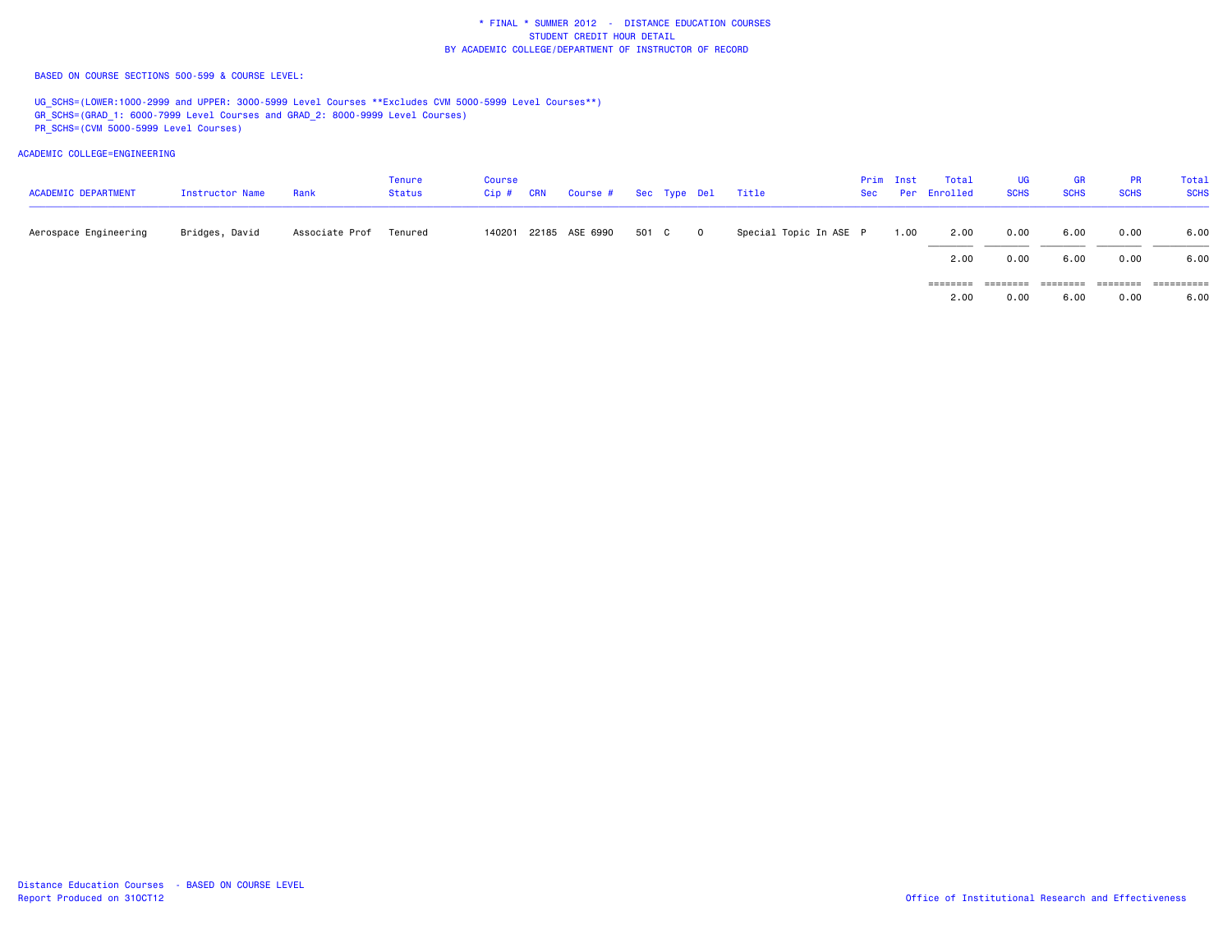BASED ON COURSE SECTIONS 500-599 & COURSE LEVEL:

UG\_SCHS=(LOWER:1000-2999 and UPPER: 3000-5999 Level Courses \*\*Excludes CVM 5000-5999 Level Courses\*\*) GR\_SCHS=(GRAD\_1: 6000-7999 Level Courses and GRAD\_2: 8000-9999 Level Courses) PR\_SCHS=(CVM 5000-5999 Level Courses)

| <b>ACADEMIC DEPARTMENT</b> | Instructor Name | Rank           | Tenure<br><b>Status</b> | <b>Course</b><br>$Cip$ # | <b>CRN</b> | Course # Sec Type Del |       |   | Title                  | Prim Inst | Total<br>Sec Per Enrolled | UG<br><b>SCHS</b> | <b>GR</b><br><b>SCHS</b> | <b>PR</b><br><b>SCHS</b> | Total<br><b>SCHS</b> |
|----------------------------|-----------------|----------------|-------------------------|--------------------------|------------|-----------------------|-------|---|------------------------|-----------|---------------------------|-------------------|--------------------------|--------------------------|----------------------|
| Aerospace Engineering      | Bridges, David  | Associate Prof | Tenured                 |                          |            | 140201 22185 ASE 6990 | 501 C | 0 | Special Topic In ASE P | 1.00      | 2.00                      | 0.00              | 6.00                     | 0.00                     | 6.00                 |
|                            |                 |                |                         |                          |            |                       |       |   |                        |           | 2.00                      | 0.00              | 6.00                     | 0.00                     | 6.00                 |
|                            |                 |                |                         |                          |            |                       |       |   |                        |           | ========                  | ========          |                          | ========                 | ==========           |
|                            |                 |                |                         |                          |            |                       |       |   |                        |           | 2.00                      | 0.00              | 6.00                     | 0.00                     | 6.00                 |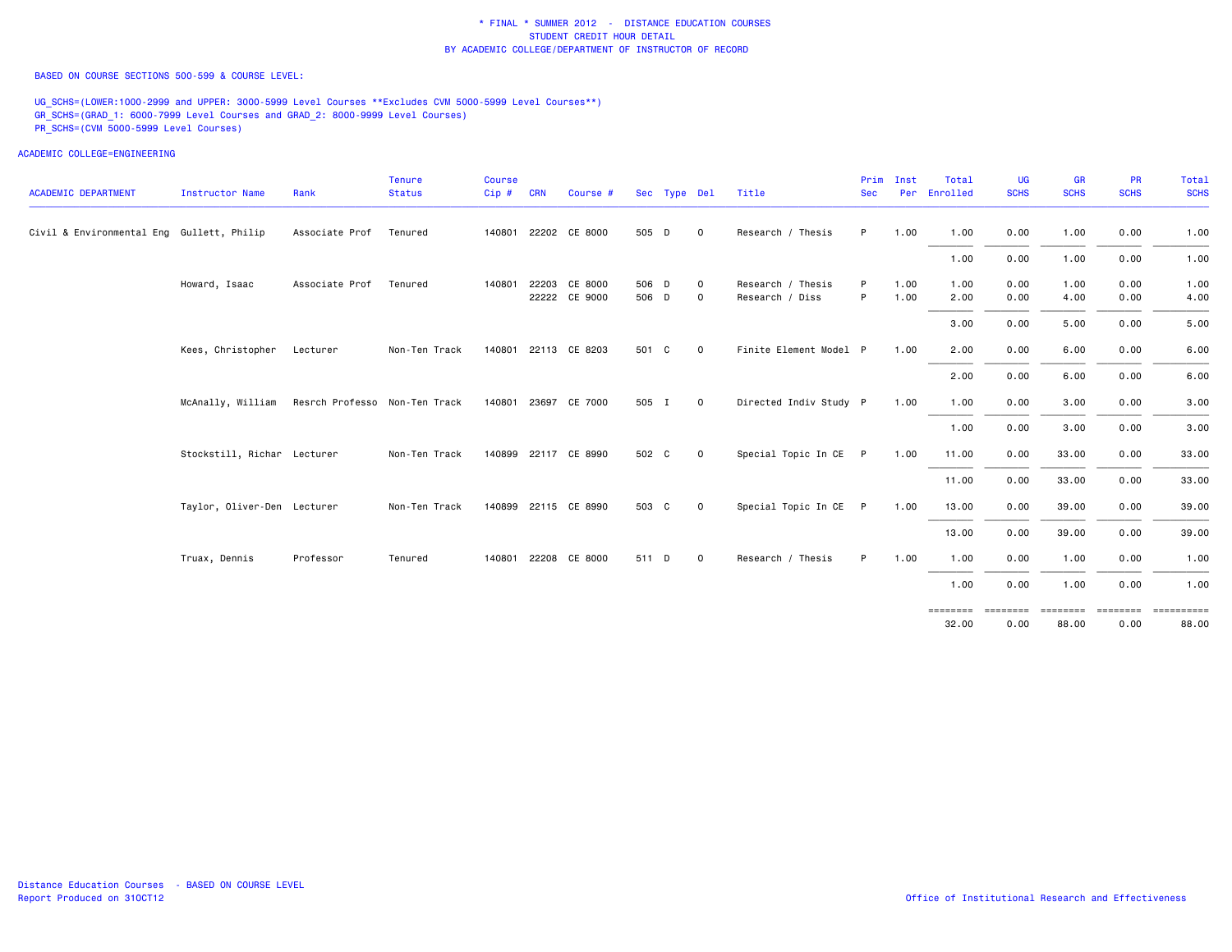BASED ON COURSE SECTIONS 500-599 & COURSE LEVEL:

UG\_SCHS=(LOWER:1000-2999 and UPPER: 3000-5999 Level Courses \*\*Excludes CVM 5000-5999 Level Courses\*\*) GR\_SCHS=(GRAD\_1: 6000-7999 Level Courses and GRAD\_2: 8000-9999 Level Courses) PR\_SCHS=(CVM 5000-5999 Level Courses)

| <b>ACADEMIC DEPARTMENT</b>                | Instructor Name             | Rank                          | <b>Tenure</b><br><b>Status</b> | <b>Course</b><br>Cip# | <b>CRN</b> | Course #                       |                | Sec Type Del |             | Title                                | Prim<br><b>Sec</b> | Inst<br>Per  | Total<br>Enrolled | <b>UG</b><br><b>SCHS</b> | GR<br><b>SCHS</b> | <b>PR</b><br><b>SCHS</b> | <b>Total</b><br><b>SCHS</b>    |
|-------------------------------------------|-----------------------------|-------------------------------|--------------------------------|-----------------------|------------|--------------------------------|----------------|--------------|-------------|--------------------------------------|--------------------|--------------|-------------------|--------------------------|-------------------|--------------------------|--------------------------------|
| Civil & Environmental Eng Gullett, Philip |                             | Associate Prof                | Tenured                        |                       |            | 140801 22202 CE 8000           | 505 D          |              | $\mathbf 0$ | Research / Thesis                    | P.                 | 1.00         | 1.00              | 0.00                     | 1.00              | 0.00                     | 1.00                           |
|                                           |                             |                               |                                |                       |            |                                |                |              |             |                                      |                    |              | 1.00              | 0.00                     | 1.00              | 0.00                     | 1.00                           |
|                                           | Howard, Isaac               | Associate Prof                | Tenured                        | 140801                |            | 22203 CE 8000<br>22222 CE 9000 | 506 D<br>506 D |              | 0           | Research / Thesis<br>Research / Diss | P.<br>P            | 1.00<br>1.00 | 1.00<br>2.00      | 0.00<br>0.00             | 1.00<br>4.00      | 0.00                     | 1.00                           |
|                                           |                             |                               |                                |                       |            |                                |                |              | $\mathsf 0$ |                                      |                    |              |                   |                          |                   | 0.00                     | 4.00                           |
|                                           |                             |                               |                                |                       |            |                                |                |              |             |                                      |                    |              | 3.00              | 0.00                     | 5.00              | 0.00                     | 5.00                           |
|                                           | Kees, Christopher           | Lecturer                      | Non-Ten Track                  |                       |            | 140801 22113 CE 8203           | 501 C          |              | $\mathbf 0$ | Finite Element Model P               |                    | 1.00         | 2.00              | 0.00                     | 6.00              | 0.00                     | 6.00                           |
|                                           |                             |                               |                                |                       |            |                                |                |              |             |                                      |                    |              | 2.00              | 0.00                     | 6.00              | 0.00                     | 6.00                           |
|                                           | McAnally, William           | Resrch Professo Non-Ten Track |                                |                       |            | 140801 23697 CE 7000           | 505 I          |              | $\mathbf 0$ | Directed Indiv Study P               |                    | 1.00         | 1.00              | 0.00                     | 3.00              | 0.00                     | 3.00                           |
|                                           |                             |                               |                                |                       |            |                                |                |              |             |                                      |                    |              | 1.00              | 0.00                     | 3.00              | 0.00                     | 3.00                           |
|                                           | Stockstill, Richar Lecturer |                               | Non-Ten Track                  |                       |            | 140899 22117 CE 8990           | 502 C          |              | $\circ$     | Special Topic In CE P                |                    | 1.00         | 11.00             | 0.00                     | 33.00             | 0.00                     | 33.00                          |
|                                           |                             |                               |                                |                       |            |                                |                |              |             |                                      |                    |              | 11.00             | 0.00                     | 33.00             | 0.00                     | 33.00                          |
|                                           | Taylor, Oliver-Den Lecturer |                               | Non-Ten Track                  |                       |            | 140899 22115 CE 8990           | 503 C          |              | $\mathbf 0$ | Special Topic In CE                  | P                  | 1.00         | 13.00             | 0.00                     | 39.00             | 0.00                     | 39.00                          |
|                                           |                             |                               |                                |                       |            |                                |                |              |             |                                      |                    |              | 13.00             | 0.00                     | 39.00             | 0.00                     | 39.00                          |
|                                           | Truax, Dennis               | Professor                     | Tenured                        |                       |            | 140801 22208 CE 8000           | 511 D          |              | $\mathbf 0$ | Research / Thesis                    | P.                 | 1.00         | 1.00              | 0.00                     | 1.00              | 0.00                     | 1.00                           |
|                                           |                             |                               |                                |                       |            |                                |                |              |             |                                      |                    |              | 1.00              | 0.00                     | 1.00              | 0.00                     | 1.00                           |
|                                           |                             |                               |                                |                       |            |                                |                |              |             |                                      |                    |              | ========<br>32.00 | 0.00                     | 88.00             | 0.00                     | $=$ = = = = = = = = =<br>88.00 |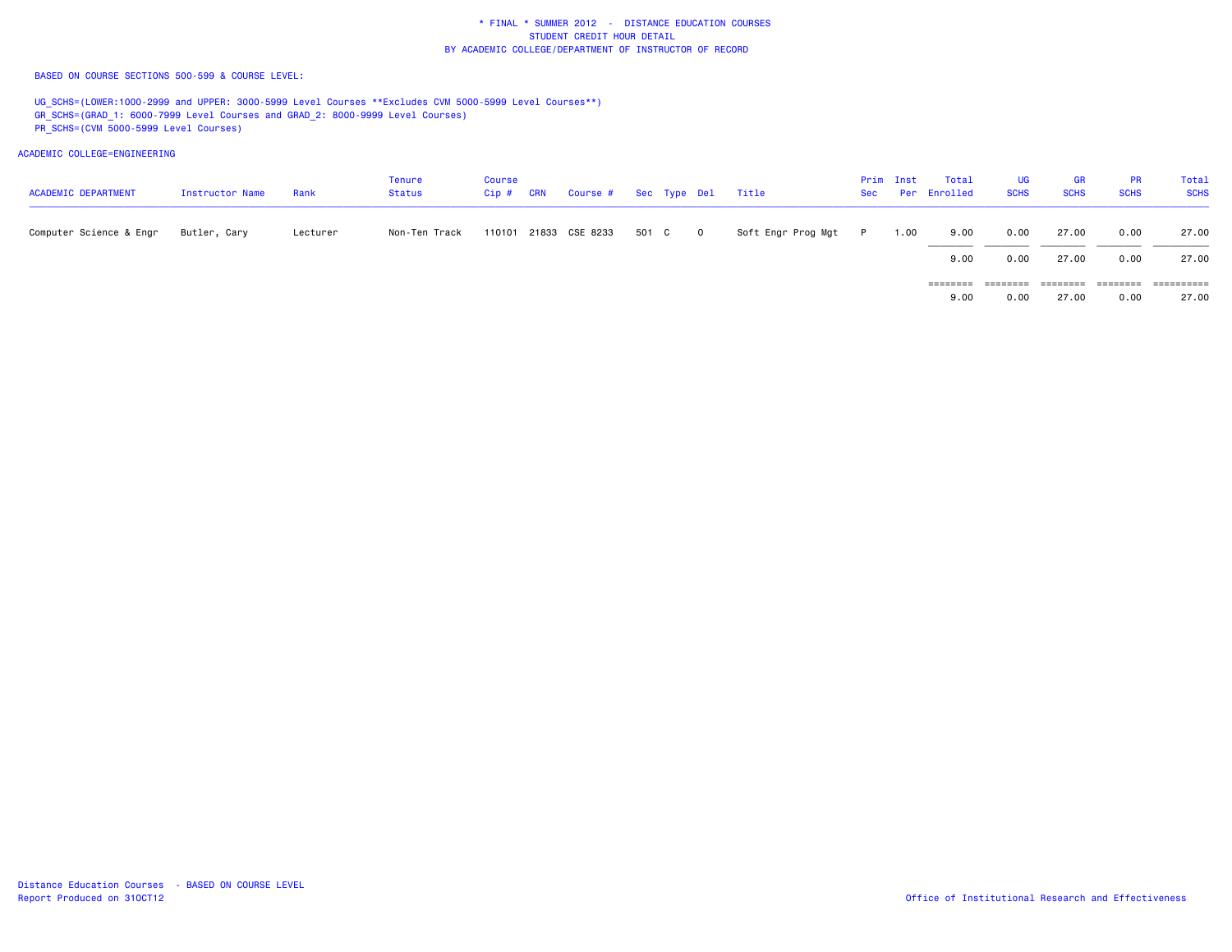BASED ON COURSE SECTIONS 500-599 & COURSE LEVEL:

UG\_SCHS=(LOWER:1000-2999 and UPPER: 3000-5999 Level Courses \*\*Excludes CVM 5000-5999 Level Courses\*\*) GR\_SCHS=(GRAD\_1: 6000-7999 Level Courses and GRAD\_2: 8000-9999 Level Courses) PR\_SCHS=(CVM 5000-5999 Level Courses)

| <b>ACADEMIC DEPARTMENT</b> | Instructor Name | Rank     | Tenure<br><b>Status</b> | <b>Course</b><br>$Cip$ # | <b>CRN</b> | Course # Sec Type Del Title |       |         |                      | Prim Inst | Total<br>Sec Per Enrolled | UG<br><b>SCHS</b> | <b>GR</b><br><b>SCHS</b> | <b>PR</b><br><b>SCHS</b> | Total<br><b>SCHS</b> |
|----------------------------|-----------------|----------|-------------------------|--------------------------|------------|-----------------------------|-------|---------|----------------------|-----------|---------------------------|-------------------|--------------------------|--------------------------|----------------------|
| Computer Science & Engr    | Butler, Cary    | Lecturer | Non-Ten Track           |                          |            | 110101 21833 CSE 8233       | 501 C | $\circ$ | Soft Engr Prog Mgt P | 1.00      | 9.00                      | 0.00              | 27.00                    | 0.00                     | 27.00                |
|                            |                 |          |                         |                          |            |                             |       |         |                      |           | 9.00                      | 0.00              | 27.00                    | 0.00                     | 27.00                |
|                            |                 |          |                         |                          |            |                             |       |         |                      |           | ========                  | ========          |                          |                          | ==========           |
|                            |                 |          |                         |                          |            |                             |       |         |                      |           | 9.00                      | 0.00              | 27.00                    | 0.00                     | 27.00                |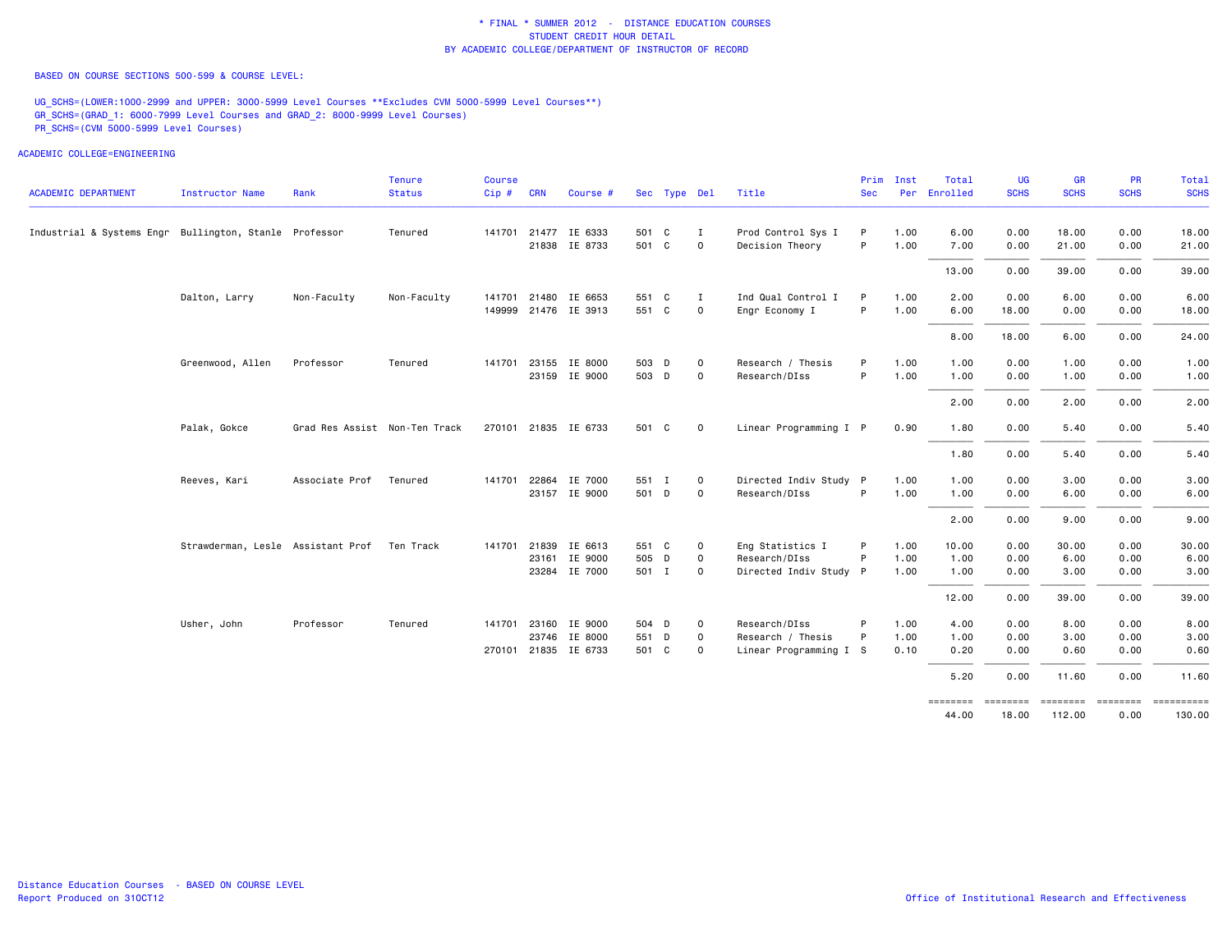BASED ON COURSE SECTIONS 500-599 & COURSE LEVEL:

UG\_SCHS=(LOWER:1000-2999 and UPPER: 3000-5999 Level Courses \*\*Excludes CVM 5000-5999 Level Courses\*\*) GR\_SCHS=(GRAD\_1: 6000-7999 Level Courses and GRAD\_2: 8000-9999 Level Courses) PR\_SCHS=(CVM 5000-5999 Level Courses)

ACADEMIC COLLEGE=ENGINEERING

| <b>ACADEMIC DEPARTMENT</b>                             | <b>Instructor Name</b>                      | Rank                          | <b>Tenure</b><br><b>Status</b> | <b>Course</b><br>Cip # CRN |       | Course #             |       | Sec Type Del |             | Title                  | Prim<br><b>Sec</b> | Inst | Total<br>Per Enrolled | <b>UG</b><br><b>SCHS</b> | GR<br><b>SCHS</b> | PR<br><b>SCHS</b> | <b>Total</b><br><b>SCHS</b> |
|--------------------------------------------------------|---------------------------------------------|-------------------------------|--------------------------------|----------------------------|-------|----------------------|-------|--------------|-------------|------------------------|--------------------|------|-----------------------|--------------------------|-------------------|-------------------|-----------------------------|
|                                                        |                                             |                               |                                |                            |       |                      |       |              |             |                        |                    |      |                       |                          |                   |                   |                             |
| Industrial & Systems Engr Bullington, Stanle Professor |                                             |                               | Tenured                        |                            |       | 141701 21477 IE 6333 | 501 C |              | I           | Prod Control Sys I     | P                  | 1.00 | 6.00                  | 0.00                     | 18,00             | 0.00              | 18.00                       |
|                                                        |                                             |                               |                                |                            |       | 21838 IE 8733        | 501 C |              | $\mathbf 0$ | Decision Theory        | P                  | 1.00 | 7.00                  | 0.00                     | 21.00             | 0.00              | 21.00                       |
|                                                        |                                             |                               |                                |                            |       |                      |       |              |             |                        |                    |      | 13.00                 | 0.00                     | 39.00             | 0.00              | 39.00                       |
|                                                        | Dalton, Larry                               | Non-Faculty                   | Non-Faculty                    |                            |       | 141701 21480 IE 6653 | 551 C |              | I           | Ind Qual Control I     | P                  | 1.00 | 2.00                  | 0.00                     | 6.00              | 0.00              | 6.00                        |
|                                                        |                                             |                               |                                |                            |       | 149999 21476 IE 3913 | 551 C |              | $\mathbf 0$ | Engr Economy I         | P                  | 1.00 | 6.00                  | 18.00                    | 0.00              | 0.00              | 18.00                       |
|                                                        |                                             |                               |                                |                            |       |                      |       |              |             |                        |                    |      | 8.00                  | 18.00                    | 6.00              | 0.00              | 24.00                       |
|                                                        | Greenwood, Allen                            | Professor                     | Tenured                        | 141701                     |       | 23155 IE 8000        | 503 D |              | 0           | Research / Thesis      | P                  | 1.00 | 1.00                  | 0.00                     | 1.00              | 0.00              | 1.00                        |
|                                                        |                                             |                               |                                |                            |       | 23159 IE 9000        | 503 D |              | $\mathbf 0$ | Research/DIss          | P                  | 1.00 | 1.00                  | 0.00                     | 1.00              | 0.00              | 1.00                        |
|                                                        |                                             |                               |                                |                            |       |                      |       |              |             |                        |                    |      | 2.00                  | 0.00                     | 2.00              | 0.00              | 2.00                        |
|                                                        | Palak, Gokce                                | Grad Res Assist Non-Ten Track |                                |                            |       | 270101 21835 IE 6733 | 501 C |              | $\mathbf 0$ | Linear Programming I P |                    | 0.90 | 1.80                  | 0.00                     | 5.40              | 0.00              | 5.40                        |
|                                                        |                                             |                               |                                |                            |       |                      |       |              |             |                        |                    |      | 1.80                  | 0.00                     | 5.40              | 0.00              | 5.40                        |
|                                                        | Reeves, Kari                                | Associate Prof                | Tenured                        | 141701                     | 22864 | IE 7000              | 551 I |              | 0           | Directed Indiv Study P |                    | 1.00 | 1.00                  | 0.00                     | 3.00              | 0.00              | 3.00                        |
|                                                        |                                             |                               |                                |                            |       | 23157 IE 9000        | 501 D |              | $\mathsf 0$ | Research/DIss          | P                  | 1.00 | 1.00                  | 0.00                     | 6.00              | 0.00              | 6.00                        |
|                                                        |                                             |                               |                                |                            |       |                      |       |              |             |                        |                    |      | 2.00                  | 0.00                     | 9.00              | 0.00              | 9.00                        |
|                                                        | Strawderman, Lesle Assistant Prof Ten Track |                               |                                |                            |       | 141701 21839 IE 6613 | 551 C |              | $\mathbf 0$ | Eng Statistics I       | P                  | 1.00 | 10.00                 | 0.00                     | 30.00             | 0.00              | 30.00                       |
|                                                        |                                             |                               |                                |                            |       | 23161 IE 9000        | 505 D |              | 0           | Research/DIss          | P                  | 1.00 | 1.00                  | 0.00                     | 6.00              | 0.00              | 6.00                        |
|                                                        |                                             |                               |                                |                            |       | 23284 IE 7000        | 501 I |              | $\mathbf 0$ | Directed Indiv Study P |                    | 1.00 | 1.00                  | 0.00                     | 3.00              | 0.00              | 3.00                        |
|                                                        |                                             |                               |                                |                            |       |                      |       |              |             |                        |                    |      | 12.00                 | 0.00                     | 39.00             | 0.00              | 39.00                       |
|                                                        | Usher, John                                 | Professor                     | Tenured                        |                            |       | 141701 23160 IE 9000 | 504 D |              | 0           | Research/DIss          |                    | 1.00 | 4.00                  | 0.00                     | 8.00              | 0.00              | 8.00                        |
|                                                        |                                             |                               |                                |                            |       | 23746 IE 8000        | 551 D |              | $\mathsf 0$ | Research / Thesis      | P                  | 1.00 | 1.00                  | 0.00                     | 3.00              | 0.00              | 3.00                        |
|                                                        |                                             |                               |                                | 270101                     |       | 21835 IE 6733        | 501 C |              | $\mathbf 0$ | Linear Programming I S |                    | 0.10 | 0.20                  | 0.00                     | 0.60              | 0.00              | 0.60                        |
|                                                        |                                             |                               |                                |                            |       |                      |       |              |             |                        |                    |      | 5.20                  | 0.00                     | 11.60             | 0.00              | 11.60                       |
|                                                        |                                             |                               |                                |                            |       |                      |       |              |             |                        |                    |      |                       | 10.00                    | 110.00            |                   | $\sim$ $\sim$               |

 44.00 18.00 112.00 0.00 130.00130.00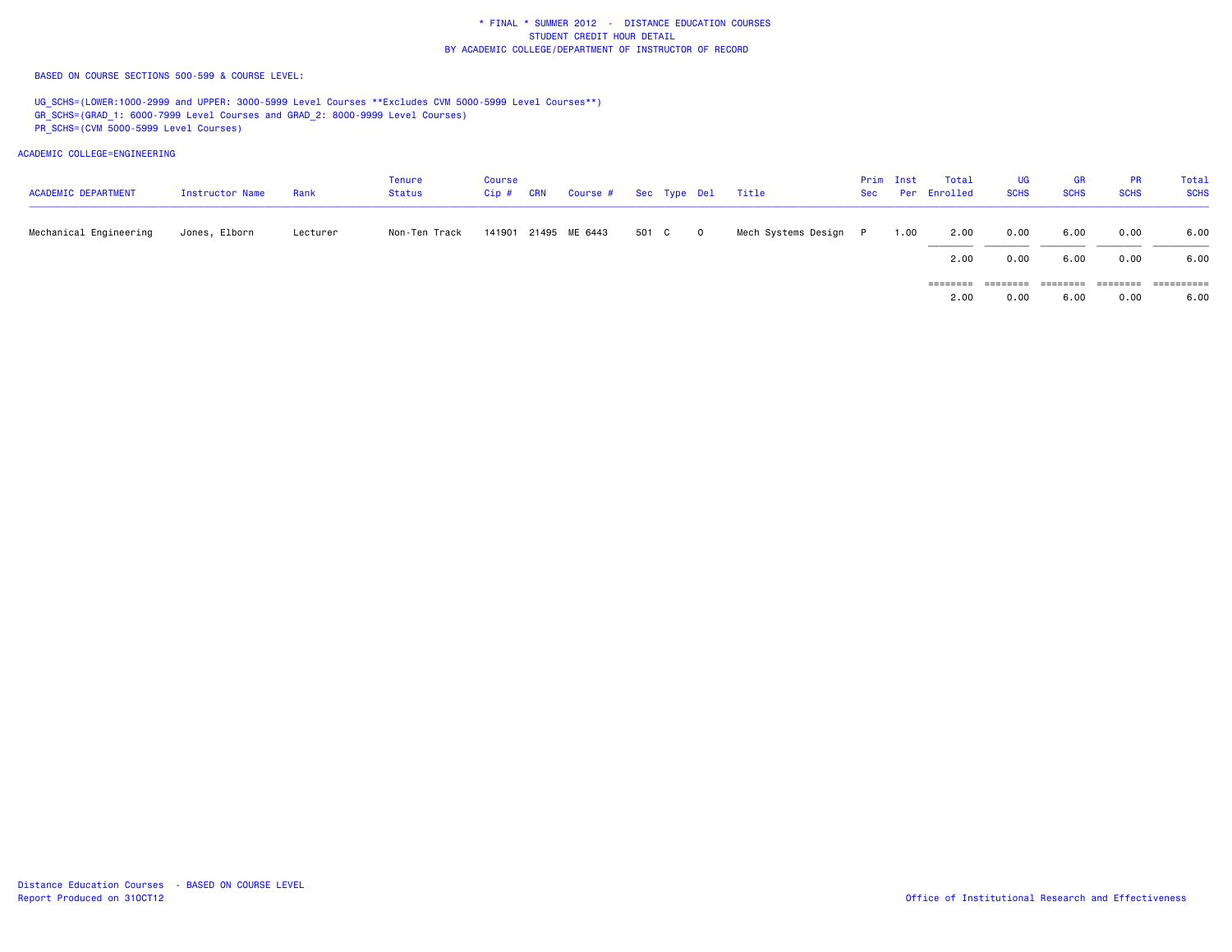BASED ON COURSE SECTIONS 500-599 & COURSE LEVEL:

UG\_SCHS=(LOWER:1000-2999 and UPPER: 3000-5999 Level Courses \*\*Excludes CVM 5000-5999 Level Courses\*\*) GR\_SCHS=(GRAD\_1: 6000-7999 Level Courses and GRAD\_2: 8000-9999 Level Courses) PR\_SCHS=(CVM 5000-5999 Level Courses)

ACADEMIC COLLEGE=ENGINEERING

| <b>ACADEMIC DEPARTMENT</b> | Instructor Name | Rank     | Tenure<br><b>Status</b> | <b>Course</b><br>$Cip$ # | <b>CRN</b> | Course # Sec Type Del Title |       |              |                       | Prim Inst | Total<br>Sec Per Enrolled | UG<br><b>SCHS</b> | GR<br><b>SCHS</b> | <b>PR</b><br><b>SCHS</b> | Total<br><b>SCHS</b> |
|----------------------------|-----------------|----------|-------------------------|--------------------------|------------|-----------------------------|-------|--------------|-----------------------|-----------|---------------------------|-------------------|-------------------|--------------------------|----------------------|
| Mechanical Engineering     | Jones, Elborn   | Lecturer | Non-Ten Track           |                          |            | 141901 21495 ME 6443        | 501 C | $\mathbf{O}$ | Mech Systems Design P | 1.00      | 2.00                      | 0.00              | 6.00              | 0.00                     | 6.00                 |
|                            |                 |          |                         |                          |            |                             |       |              |                       |           | 2.00                      | 0.00              | 6.00              | 0.00                     | 6.00                 |
|                            |                 |          |                         |                          |            |                             |       |              |                       |           | ========                  | $= 222222222$     | =====             | -----                    | ==========           |

 $6.00$ 2.00 0.00 6.00 0.00 6.00